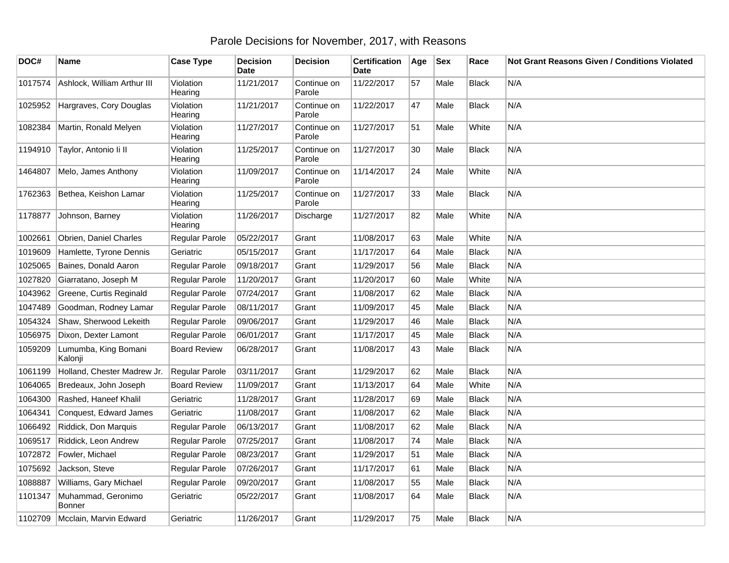## Parole Decisions for November, 2017, with Reasons

| DOC#    | Name                            | <b>Case Type</b>     | <b>Decision</b><br><b>Date</b> | <b>Decision</b>       | <b>Certification</b><br><b>Date</b> | Age | <b>Sex</b> | Race         | Not Grant Reasons Given / Conditions Violated |
|---------|---------------------------------|----------------------|--------------------------------|-----------------------|-------------------------------------|-----|------------|--------------|-----------------------------------------------|
| 1017574 | Ashlock, William Arthur III     | Violation<br>Hearing | 11/21/2017                     | Continue on<br>Parole | 11/22/2017                          | 57  | Male       | <b>Black</b> | N/A                                           |
| 1025952 | Hargraves, Cory Douglas         | Violation<br>Hearing | 11/21/2017                     | Continue on<br>Parole | 11/22/2017                          | 47  | Male       | Black        | N/A                                           |
| 1082384 | Martin, Ronald Melyen           | Violation<br>Hearing | 11/27/2017                     | Continue on<br>Parole | 11/27/2017                          | 51  | Male       | White        | N/A                                           |
| 1194910 | Taylor, Antonio li II           | Violation<br>Hearing | 11/25/2017                     | Continue on<br>Parole | 11/27/2017                          | 30  | Male       | <b>Black</b> | N/A                                           |
| 1464807 | Melo, James Anthony             | Violation<br>Hearing | 11/09/2017                     | Continue on<br>Parole | 11/14/2017                          | 24  | Male       | White        | N/A                                           |
| 1762363 | Bethea, Keishon Lamar           | Violation<br>Hearing | 11/25/2017                     | Continue on<br>Parole | 11/27/2017                          | 33  | Male       | <b>Black</b> | N/A                                           |
| 1178877 | Johnson, Barney                 | Violation<br>Hearing | 11/26/2017                     | Discharge             | 11/27/2017                          | 82  | Male       | White        | N/A                                           |
| 1002661 | Obrien, Daniel Charles          | Regular Parole       | 05/22/2017                     | Grant                 | 11/08/2017                          | 63  | Male       | White        | N/A                                           |
| 1019609 | Hamlette, Tyrone Dennis         | Geriatric            | 05/15/2017                     | Grant                 | 11/17/2017                          | 64  | Male       | <b>Black</b> | N/A                                           |
| 1025065 | Baines, Donald Aaron            | Regular Parole       | 09/18/2017                     | Grant                 | 11/29/2017                          | 56  | Male       | <b>Black</b> | N/A                                           |
| 1027820 | Giarratano, Joseph M            | Regular Parole       | 11/20/2017                     | Grant                 | 11/20/2017                          | 60  | Male       | White        | N/A                                           |
| 1043962 | Greene, Curtis Reginald         | Regular Parole       | 07/24/2017                     | Grant                 | 11/08/2017                          | 62  | Male       | <b>Black</b> | N/A                                           |
| 1047489 | Goodman, Rodney Lamar           | Regular Parole       | 08/11/2017                     | Grant                 | 11/09/2017                          | 45  | Male       | <b>Black</b> | N/A                                           |
| 1054324 | Shaw, Sherwood Lekeith          | Regular Parole       | 09/06/2017                     | Grant                 | 11/29/2017                          | 46  | Male       | <b>Black</b> | N/A                                           |
| 1056975 | Dixon, Dexter Lamont            | Regular Parole       | 06/01/2017                     | Grant                 | 11/17/2017                          | 45  | Male       | <b>Black</b> | N/A                                           |
| 1059209 | Lumumba, King Bomani<br>Kalonji | <b>Board Review</b>  | 06/28/2017                     | Grant                 | 11/08/2017                          | 43  | Male       | <b>Black</b> | N/A                                           |
| 1061199 | Holland, Chester Madrew Jr.     | Regular Parole       | 03/11/2017                     | Grant                 | 11/29/2017                          | 62  | Male       | <b>Black</b> | N/A                                           |
| 1064065 | Bredeaux, John Joseph           | <b>Board Review</b>  | 11/09/2017                     | Grant                 | 11/13/2017                          | 64  | Male       | White        | N/A                                           |
| 1064300 | Rashed, Haneef Khalil           | Geriatric            | 11/28/2017                     | Grant                 | 11/28/2017                          | 69  | Male       | Black        | N/A                                           |
| 1064341 | Conquest, Edward James          | Geriatric            | 11/08/2017                     | Grant                 | 11/08/2017                          | 62  | Male       | <b>Black</b> | N/A                                           |
| 1066492 | Riddick, Don Marquis            | Regular Parole       | 06/13/2017                     | Grant                 | 11/08/2017                          | 62  | Male       | <b>Black</b> | N/A                                           |
| 1069517 | Riddick, Leon Andrew            | Regular Parole       | 07/25/2017                     | Grant                 | 11/08/2017                          | 74  | Male       | <b>Black</b> | N/A                                           |
| 1072872 | Fowler, Michael                 | Regular Parole       | 08/23/2017                     | Grant                 | 11/29/2017                          | 51  | Male       | <b>Black</b> | N/A                                           |
| 1075692 | Jackson, Steve                  | Regular Parole       | 07/26/2017                     | Grant                 | 11/17/2017                          | 61  | Male       | <b>Black</b> | N/A                                           |
| 1088887 | Williams, Gary Michael          | Regular Parole       | 09/20/2017                     | Grant                 | 11/08/2017                          | 55  | Male       | <b>Black</b> | N/A                                           |
| 1101347 | Muhammad, Geronimo<br>Bonner    | Geriatric            | 05/22/2017                     | Grant                 | 11/08/2017                          | 64  | Male       | <b>Black</b> | N/A                                           |
| 1102709 | Mcclain, Marvin Edward          | Geriatric            | 11/26/2017                     | Grant                 | 11/29/2017                          | 75  | Male       | <b>Black</b> | N/A                                           |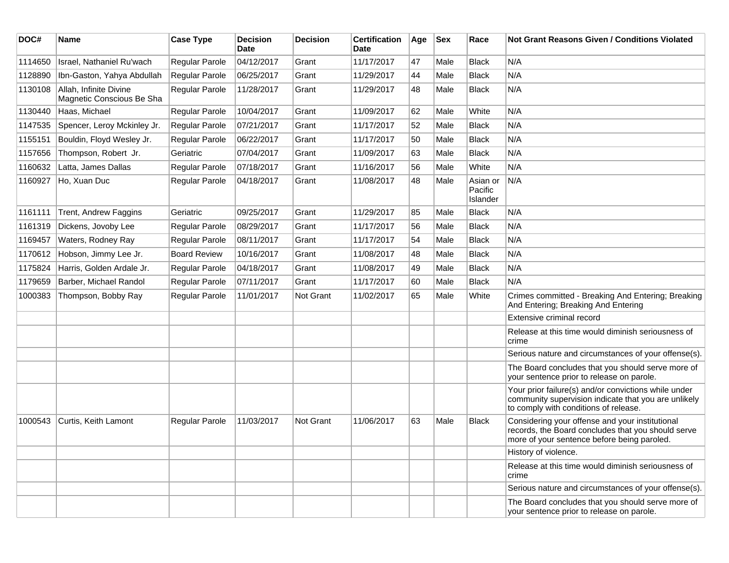| DOC#    | Name                                                | <b>Case Type</b>    | <b>Decision</b><br><b>Date</b> | <b>Decision</b>  | <b>Certification</b><br>Date | Age | <b>Sex</b> | Race                            | <b>Not Grant Reasons Given / Conditions Violated</b>                                                                                                  |
|---------|-----------------------------------------------------|---------------------|--------------------------------|------------------|------------------------------|-----|------------|---------------------------------|-------------------------------------------------------------------------------------------------------------------------------------------------------|
| 1114650 | Israel, Nathaniel Ru'wach                           | Regular Parole      | 04/12/2017                     | Grant            | 11/17/2017                   | 47  | Male       | <b>Black</b>                    | N/A                                                                                                                                                   |
| 1128890 | Ibn-Gaston, Yahya Abdullah                          | Regular Parole      | 06/25/2017                     | Grant            | 11/29/2017                   | 44  | Male       | <b>Black</b>                    | N/A                                                                                                                                                   |
| 1130108 | Allah, Infinite Divine<br>Magnetic Conscious Be Sha | Regular Parole      | 11/28/2017                     | Grant            | 11/29/2017                   | 48  | Male       | <b>Black</b>                    | N/A                                                                                                                                                   |
| 1130440 | Haas, Michael                                       | Regular Parole      | 10/04/2017                     | Grant            | 11/09/2017                   | 62  | Male       | White                           | N/A                                                                                                                                                   |
| 1147535 | Spencer, Leroy Mckinley Jr.                         | Regular Parole      | 07/21/2017                     | Grant            | 11/17/2017                   | 52  | Male       | <b>Black</b>                    | N/A                                                                                                                                                   |
| 1155151 | Bouldin, Floyd Wesley Jr.                           | Regular Parole      | 06/22/2017                     | Grant            | 11/17/2017                   | 50  | Male       | <b>Black</b>                    | N/A                                                                                                                                                   |
| 1157656 | Thompson, Robert Jr.                                | Geriatric           | 07/04/2017                     | Grant            | 11/09/2017                   | 63  | Male       | <b>Black</b>                    | N/A                                                                                                                                                   |
| 1160632 | Latta, James Dallas                                 | Regular Parole      | 07/18/2017                     | Grant            | 11/16/2017                   | 56  | Male       | White                           | N/A                                                                                                                                                   |
| 1160927 | Ho, Xuan Duc                                        | Regular Parole      | 04/18/2017                     | Grant            | 11/08/2017                   | 48  | Male       | Asian or<br>Pacific<br>Islander | N/A                                                                                                                                                   |
| 1161111 | Trent, Andrew Faggins                               | Geriatric           | 09/25/2017                     | Grant            | 11/29/2017                   | 85  | Male       | <b>Black</b>                    | N/A                                                                                                                                                   |
| 1161319 | Dickens, Jovoby Lee                                 | Regular Parole      | 08/29/2017                     | Grant            | 11/17/2017                   | 56  | Male       | <b>Black</b>                    | N/A                                                                                                                                                   |
| 1169457 | Waters, Rodney Ray                                  | Regular Parole      | 08/11/2017                     | Grant            | 11/17/2017                   | 54  | Male       | <b>Black</b>                    | N/A                                                                                                                                                   |
| 1170612 | Hobson, Jimmy Lee Jr.                               | <b>Board Review</b> | 10/16/2017                     | Grant            | 11/08/2017                   | 48  | Male       | <b>Black</b>                    | N/A                                                                                                                                                   |
| 1175824 | Harris, Golden Ardale Jr.                           | Regular Parole      | 04/18/2017                     | Grant            | 11/08/2017                   | 49  | Male       | <b>Black</b>                    | N/A                                                                                                                                                   |
| 1179659 | Barber, Michael Randol                              | Regular Parole      | 07/11/2017                     | Grant            | 11/17/2017                   | 60  | Male       | <b>Black</b>                    | N/A                                                                                                                                                   |
| 1000383 | Thompson, Bobby Ray                                 | Regular Parole      | 11/01/2017                     | Not Grant        | 11/02/2017                   | 65  | Male       | White                           | Crimes committed - Breaking And Entering; Breaking<br>And Entering; Breaking And Entering                                                             |
|         |                                                     |                     |                                |                  |                              |     |            |                                 | Extensive criminal record                                                                                                                             |
|         |                                                     |                     |                                |                  |                              |     |            |                                 | Release at this time would diminish seriousness of<br>crime                                                                                           |
|         |                                                     |                     |                                |                  |                              |     |            |                                 | Serious nature and circumstances of your offense(s).                                                                                                  |
|         |                                                     |                     |                                |                  |                              |     |            |                                 | The Board concludes that you should serve more of<br>your sentence prior to release on parole.                                                        |
|         |                                                     |                     |                                |                  |                              |     |            |                                 | Your prior failure(s) and/or convictions while under<br>community supervision indicate that you are unlikely<br>to comply with conditions of release. |
| 1000543 | Curtis, Keith Lamont                                | Regular Parole      | 11/03/2017                     | <b>Not Grant</b> | 11/06/2017                   | 63  | Male       | <b>Black</b>                    | Considering your offense and your institutional<br>records, the Board concludes that you should serve<br>more of your sentence before being paroled.  |
|         |                                                     |                     |                                |                  |                              |     |            |                                 | History of violence.                                                                                                                                  |
|         |                                                     |                     |                                |                  |                              |     |            |                                 | Release at this time would diminish seriousness of<br>crime                                                                                           |
|         |                                                     |                     |                                |                  |                              |     |            |                                 | Serious nature and circumstances of your offense(s).                                                                                                  |
|         |                                                     |                     |                                |                  |                              |     |            |                                 | The Board concludes that you should serve more of<br>your sentence prior to release on parole.                                                        |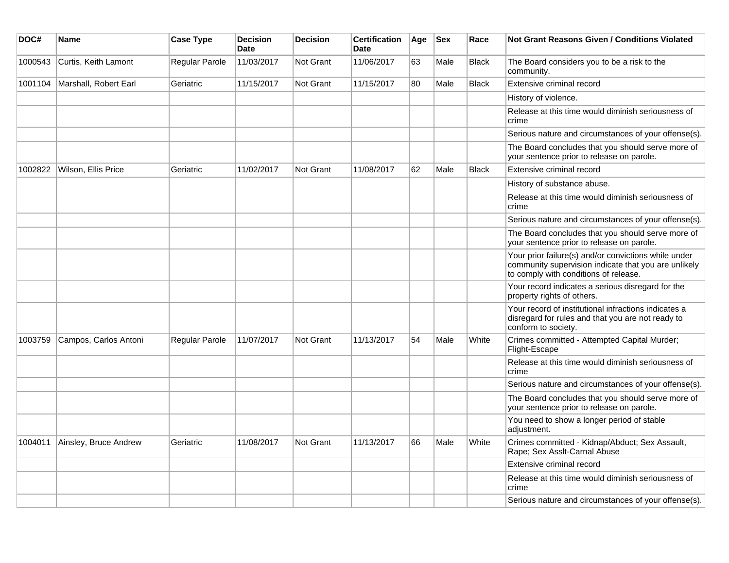| DOC#    | Name                  | <b>Case Type</b>      | <b>Decision</b><br><b>Date</b> | <b>Decision</b> | <b>Certification</b><br><b>Date</b> | Age | <b>Sex</b> | Race         | Not Grant Reasons Given / Conditions Violated                                                                                                         |
|---------|-----------------------|-----------------------|--------------------------------|-----------------|-------------------------------------|-----|------------|--------------|-------------------------------------------------------------------------------------------------------------------------------------------------------|
| 1000543 | Curtis, Keith Lamont  | Regular Parole        | 11/03/2017                     | Not Grant       | 11/06/2017                          | 63  | Male       | Black        | The Board considers you to be a risk to the<br>community.                                                                                             |
| 1001104 | Marshall, Robert Earl | Geriatric             | 11/15/2017                     | Not Grant       | 11/15/2017                          | 80  | Male       | <b>Black</b> | Extensive criminal record                                                                                                                             |
|         |                       |                       |                                |                 |                                     |     |            |              | History of violence.                                                                                                                                  |
|         |                       |                       |                                |                 |                                     |     |            |              | Release at this time would diminish seriousness of<br>crime                                                                                           |
|         |                       |                       |                                |                 |                                     |     |            |              | Serious nature and circumstances of your offense(s).                                                                                                  |
|         |                       |                       |                                |                 |                                     |     |            |              | The Board concludes that you should serve more of<br>your sentence prior to release on parole.                                                        |
| 1002822 | Wilson, Ellis Price   | Geriatric             | 11/02/2017                     | Not Grant       | 11/08/2017                          | 62  | Male       | <b>Black</b> | Extensive criminal record                                                                                                                             |
|         |                       |                       |                                |                 |                                     |     |            |              | History of substance abuse.                                                                                                                           |
|         |                       |                       |                                |                 |                                     |     |            |              | Release at this time would diminish seriousness of<br>crime                                                                                           |
|         |                       |                       |                                |                 |                                     |     |            |              | Serious nature and circumstances of your offense(s).                                                                                                  |
|         |                       |                       |                                |                 |                                     |     |            |              | The Board concludes that you should serve more of<br>your sentence prior to release on parole.                                                        |
|         |                       |                       |                                |                 |                                     |     |            |              | Your prior failure(s) and/or convictions while under<br>community supervision indicate that you are unlikely<br>to comply with conditions of release. |
|         |                       |                       |                                |                 |                                     |     |            |              | Your record indicates a serious disregard for the<br>property rights of others.                                                                       |
|         |                       |                       |                                |                 |                                     |     |            |              | Your record of institutional infractions indicates a<br>disregard for rules and that you are not ready to<br>conform to society.                      |
| 1003759 | Campos, Carlos Antoni | <b>Regular Parole</b> | 11/07/2017                     | Not Grant       | 11/13/2017                          | 54  | Male       | White        | Crimes committed - Attempted Capital Murder;<br>Flight-Escape                                                                                         |
|         |                       |                       |                                |                 |                                     |     |            |              | Release at this time would diminish seriousness of<br>crime                                                                                           |
|         |                       |                       |                                |                 |                                     |     |            |              | Serious nature and circumstances of your offense(s).                                                                                                  |
|         |                       |                       |                                |                 |                                     |     |            |              | The Board concludes that you should serve more of<br>your sentence prior to release on parole.                                                        |
|         |                       |                       |                                |                 |                                     |     |            |              | You need to show a longer period of stable<br>adjustment.                                                                                             |
| 1004011 | Ainsley, Bruce Andrew | Geriatric             | 11/08/2017                     | Not Grant       | 11/13/2017                          | 66  | Male       | White        | Crimes committed - Kidnap/Abduct; Sex Assault,<br>Rape; Sex Asslt-Carnal Abuse                                                                        |
|         |                       |                       |                                |                 |                                     |     |            |              | Extensive criminal record                                                                                                                             |
|         |                       |                       |                                |                 |                                     |     |            |              | Release at this time would diminish seriousness of<br>crime                                                                                           |
|         |                       |                       |                                |                 |                                     |     |            |              | Serious nature and circumstances of your offense(s).                                                                                                  |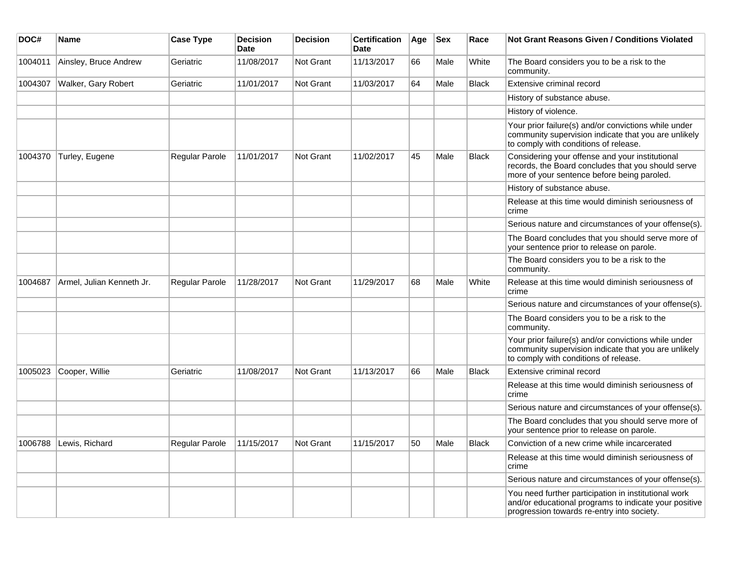| DOC#    | Name                      | <b>Case Type</b>      | <b>Decision</b><br>Date | <b>Decision</b>  | <b>Certification</b><br>Date | Age | <b>Sex</b> | Race         | <b>Not Grant Reasons Given / Conditions Violated</b>                                                                                                        |
|---------|---------------------------|-----------------------|-------------------------|------------------|------------------------------|-----|------------|--------------|-------------------------------------------------------------------------------------------------------------------------------------------------------------|
| 1004011 | Ainsley, Bruce Andrew     | Geriatric             | 11/08/2017              | Not Grant        | 11/13/2017                   | 66  | Male       | White        | The Board considers you to be a risk to the<br>community.                                                                                                   |
| 1004307 | Walker, Gary Robert       | Geriatric             | 11/01/2017              | <b>Not Grant</b> | 11/03/2017                   | 64  | Male       | <b>Black</b> | Extensive criminal record                                                                                                                                   |
|         |                           |                       |                         |                  |                              |     |            |              | History of substance abuse.                                                                                                                                 |
|         |                           |                       |                         |                  |                              |     |            |              | History of violence.                                                                                                                                        |
|         |                           |                       |                         |                  |                              |     |            |              | Your prior failure(s) and/or convictions while under<br>community supervision indicate that you are unlikely<br>to comply with conditions of release.       |
| 1004370 | Turley, Eugene            | <b>Regular Parole</b> | 11/01/2017              | <b>Not Grant</b> | 11/02/2017                   | 45  | Male       | <b>Black</b> | Considering your offense and your institutional<br>records, the Board concludes that you should serve<br>more of your sentence before being paroled.        |
|         |                           |                       |                         |                  |                              |     |            |              | History of substance abuse.                                                                                                                                 |
|         |                           |                       |                         |                  |                              |     |            |              | Release at this time would diminish seriousness of<br>crime                                                                                                 |
|         |                           |                       |                         |                  |                              |     |            |              | Serious nature and circumstances of your offense(s).                                                                                                        |
|         |                           |                       |                         |                  |                              |     |            |              | The Board concludes that you should serve more of<br>your sentence prior to release on parole.                                                              |
|         |                           |                       |                         |                  |                              |     |            |              | The Board considers you to be a risk to the<br>community.                                                                                                   |
| 1004687 | Armel, Julian Kenneth Jr. | <b>Regular Parole</b> | 11/28/2017              | Not Grant        | 11/29/2017                   | 68  | Male       | White        | Release at this time would diminish seriousness of<br>crime                                                                                                 |
|         |                           |                       |                         |                  |                              |     |            |              | Serious nature and circumstances of your offense(s).                                                                                                        |
|         |                           |                       |                         |                  |                              |     |            |              | The Board considers you to be a risk to the<br>community.                                                                                                   |
|         |                           |                       |                         |                  |                              |     |            |              | Your prior failure(s) and/or convictions while under<br>community supervision indicate that you are unlikely<br>to comply with conditions of release.       |
| 1005023 | Cooper, Willie            | Geriatric             | 11/08/2017              | <b>Not Grant</b> | 11/13/2017                   | 66  | Male       | <b>Black</b> | Extensive criminal record                                                                                                                                   |
|         |                           |                       |                         |                  |                              |     |            |              | Release at this time would diminish seriousness of<br>crime                                                                                                 |
|         |                           |                       |                         |                  |                              |     |            |              | Serious nature and circumstances of your offense(s).                                                                                                        |
|         |                           |                       |                         |                  |                              |     |            |              | The Board concludes that you should serve more of<br>your sentence prior to release on parole.                                                              |
|         | 1006788 Lewis, Richard    | Regular Parole        | 11/15/2017              | Not Grant        | 11/15/2017                   | 50  | Male       | <b>Black</b> | Conviction of a new crime while incarcerated                                                                                                                |
|         |                           |                       |                         |                  |                              |     |            |              | Release at this time would diminish seriousness of<br>crime                                                                                                 |
|         |                           |                       |                         |                  |                              |     |            |              | Serious nature and circumstances of your offense(s).                                                                                                        |
|         |                           |                       |                         |                  |                              |     |            |              | You need further participation in institutional work<br>and/or educational programs to indicate your positive<br>progression towards re-entry into society. |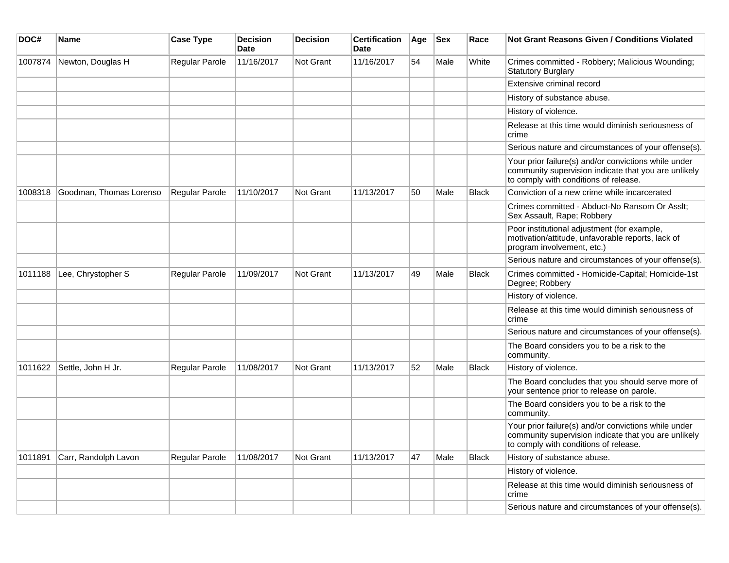| DOC#    | Name                    | <b>Case Type</b> | <b>Decision</b><br><b>Date</b> | <b>Decision</b>  | <b>Certification</b><br><b>Date</b> | Age | <b>Sex</b> | Race         | <b>Not Grant Reasons Given / Conditions Violated</b>                                                                                                  |
|---------|-------------------------|------------------|--------------------------------|------------------|-------------------------------------|-----|------------|--------------|-------------------------------------------------------------------------------------------------------------------------------------------------------|
| 1007874 | Newton, Douglas H       | Regular Parole   | 11/16/2017                     | Not Grant        | 11/16/2017                          | 54  | Male       | White        | Crimes committed - Robbery; Malicious Wounding;<br><b>Statutory Burglary</b>                                                                          |
|         |                         |                  |                                |                  |                                     |     |            |              | Extensive criminal record                                                                                                                             |
|         |                         |                  |                                |                  |                                     |     |            |              | History of substance abuse.                                                                                                                           |
|         |                         |                  |                                |                  |                                     |     |            |              | History of violence.                                                                                                                                  |
|         |                         |                  |                                |                  |                                     |     |            |              | Release at this time would diminish seriousness of<br>crime                                                                                           |
|         |                         |                  |                                |                  |                                     |     |            |              | Serious nature and circumstances of your offense(s).                                                                                                  |
|         |                         |                  |                                |                  |                                     |     |            |              | Your prior failure(s) and/or convictions while under<br>community supervision indicate that you are unlikely<br>to comply with conditions of release. |
| 1008318 | Goodman, Thomas Lorenso | Regular Parole   | 11/10/2017                     | Not Grant        | 11/13/2017                          | 50  | Male       | <b>Black</b> | Conviction of a new crime while incarcerated                                                                                                          |
|         |                         |                  |                                |                  |                                     |     |            |              | Crimes committed - Abduct-No Ransom Or Asslt:<br>Sex Assault, Rape; Robbery                                                                           |
|         |                         |                  |                                |                  |                                     |     |            |              | Poor institutional adjustment (for example,<br>motivation/attitude, unfavorable reports, lack of<br>program involvement, etc.)                        |
|         |                         |                  |                                |                  |                                     |     |            |              | Serious nature and circumstances of your offense(s).                                                                                                  |
| 1011188 | Lee, Chrystopher S      | Regular Parole   | 11/09/2017                     | Not Grant        | 11/13/2017                          | 49  | Male       | <b>Black</b> | Crimes committed - Homicide-Capital; Homicide-1st<br>Degree; Robbery                                                                                  |
|         |                         |                  |                                |                  |                                     |     |            |              | History of violence.                                                                                                                                  |
|         |                         |                  |                                |                  |                                     |     |            |              | Release at this time would diminish seriousness of<br>crime                                                                                           |
|         |                         |                  |                                |                  |                                     |     |            |              | Serious nature and circumstances of your offense(s).                                                                                                  |
|         |                         |                  |                                |                  |                                     |     |            |              | The Board considers you to be a risk to the<br>community.                                                                                             |
| 1011622 | Settle, John H Jr.      | Regular Parole   | 11/08/2017                     | <b>Not Grant</b> | 11/13/2017                          | 52  | Male       | <b>Black</b> | History of violence.                                                                                                                                  |
|         |                         |                  |                                |                  |                                     |     |            |              | The Board concludes that you should serve more of<br>your sentence prior to release on parole.                                                        |
|         |                         |                  |                                |                  |                                     |     |            |              | The Board considers you to be a risk to the<br>community.                                                                                             |
|         |                         |                  |                                |                  |                                     |     |            |              | Your prior failure(s) and/or convictions while under<br>community supervision indicate that you are unlikely<br>to comply with conditions of release. |
| 1011891 | Carr, Randolph Lavon    | Regular Parole   | 11/08/2017                     | <b>Not Grant</b> | 11/13/2017                          | 47  | Male       | <b>Black</b> | History of substance abuse.                                                                                                                           |
|         |                         |                  |                                |                  |                                     |     |            |              | History of violence.                                                                                                                                  |
|         |                         |                  |                                |                  |                                     |     |            |              | Release at this time would diminish seriousness of<br>crime                                                                                           |
|         |                         |                  |                                |                  |                                     |     |            |              | Serious nature and circumstances of your offense(s).                                                                                                  |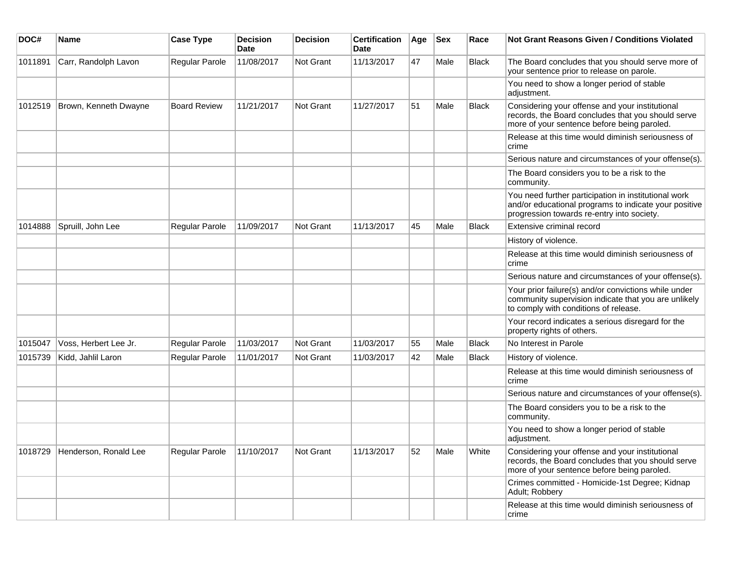| DOC#    | <b>Name</b>           | <b>Case Type</b>    | <b>Decision</b><br>Date | <b>Decision</b>  | <b>Certification</b><br>Date | Age | $ $ Sex | Race         | Not Grant Reasons Given / Conditions Violated                                                                                                               |
|---------|-----------------------|---------------------|-------------------------|------------------|------------------------------|-----|---------|--------------|-------------------------------------------------------------------------------------------------------------------------------------------------------------|
| 1011891 | Carr, Randolph Lavon  | Regular Parole      | 11/08/2017              | Not Grant        | 11/13/2017                   | 47  | Male    | <b>Black</b> | The Board concludes that you should serve more of<br>your sentence prior to release on parole.                                                              |
|         |                       |                     |                         |                  |                              |     |         |              | You need to show a longer period of stable<br>adjustment.                                                                                                   |
| 1012519 | Brown, Kenneth Dwayne | <b>Board Review</b> | 11/21/2017              | Not Grant        | 11/27/2017                   | 51  | Male    | <b>Black</b> | Considering your offense and your institutional<br>records, the Board concludes that you should serve<br>more of your sentence before being paroled.        |
|         |                       |                     |                         |                  |                              |     |         |              | Release at this time would diminish seriousness of<br>crime                                                                                                 |
|         |                       |                     |                         |                  |                              |     |         |              | Serious nature and circumstances of your offense(s).                                                                                                        |
|         |                       |                     |                         |                  |                              |     |         |              | The Board considers you to be a risk to the<br>community.                                                                                                   |
|         |                       |                     |                         |                  |                              |     |         |              | You need further participation in institutional work<br>and/or educational programs to indicate your positive<br>progression towards re-entry into society. |
| 1014888 | Spruill, John Lee     | Regular Parole      | 11/09/2017              | Not Grant        | 11/13/2017                   | 45  | Male    | <b>Black</b> | Extensive criminal record                                                                                                                                   |
|         |                       |                     |                         |                  |                              |     |         |              | History of violence.                                                                                                                                        |
|         |                       |                     |                         |                  |                              |     |         |              | Release at this time would diminish seriousness of<br>crime                                                                                                 |
|         |                       |                     |                         |                  |                              |     |         |              | Serious nature and circumstances of your offense(s).                                                                                                        |
|         |                       |                     |                         |                  |                              |     |         |              | Your prior failure(s) and/or convictions while under<br>community supervision indicate that you are unlikely<br>to comply with conditions of release.       |
|         |                       |                     |                         |                  |                              |     |         |              | Your record indicates a serious disregard for the<br>property rights of others.                                                                             |
| 1015047 | Voss, Herbert Lee Jr. | Regular Parole      | 11/03/2017              | Not Grant        | 11/03/2017                   | 55  | Male    | <b>Black</b> | No Interest in Parole                                                                                                                                       |
| 1015739 | Kidd, Jahlil Laron    | Regular Parole      | 11/01/2017              | <b>Not Grant</b> | 11/03/2017                   | 42  | Male    | <b>Black</b> | History of violence.                                                                                                                                        |
|         |                       |                     |                         |                  |                              |     |         |              | Release at this time would diminish seriousness of<br>crime                                                                                                 |
|         |                       |                     |                         |                  |                              |     |         |              | Serious nature and circumstances of your offense(s).                                                                                                        |
|         |                       |                     |                         |                  |                              |     |         |              | The Board considers you to be a risk to the<br>community.                                                                                                   |
|         |                       |                     |                         |                  |                              |     |         |              | You need to show a longer period of stable<br>adjustment.                                                                                                   |
| 1018729 | Henderson, Ronald Lee | Regular Parole      | 11/10/2017              | Not Grant        | 11/13/2017                   | 52  | Male    | White        | Considering your offense and your institutional<br>records, the Board concludes that you should serve<br>more of your sentence before being paroled.        |
|         |                       |                     |                         |                  |                              |     |         |              | Crimes committed - Homicide-1st Degree; Kidnap<br>Adult; Robbery                                                                                            |
|         |                       |                     |                         |                  |                              |     |         |              | Release at this time would diminish seriousness of<br>crime                                                                                                 |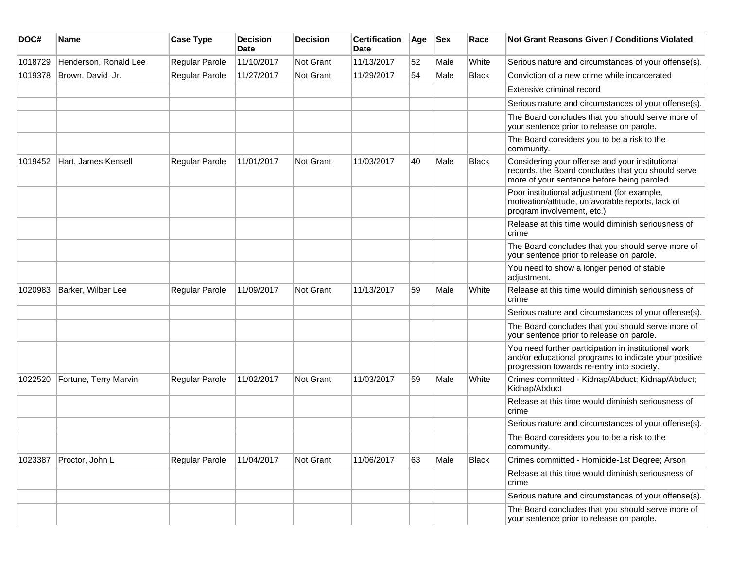| DOC#    | <b>Name</b>           | <b>Case Type</b> | <b>Decision</b><br><b>Date</b> | <b>Decision</b>  | <b>Certification</b><br>Date | Age | <b>Sex</b> | Race         | <b>Not Grant Reasons Given / Conditions Violated</b>                                                                                                        |
|---------|-----------------------|------------------|--------------------------------|------------------|------------------------------|-----|------------|--------------|-------------------------------------------------------------------------------------------------------------------------------------------------------------|
| 1018729 | Henderson, Ronald Lee | Regular Parole   | 11/10/2017                     | Not Grant        | 11/13/2017                   | 52  | Male       | White        | Serious nature and circumstances of your offense(s).                                                                                                        |
| 1019378 | Brown, David Jr.      | Regular Parole   | 11/27/2017                     | <b>Not Grant</b> | 11/29/2017                   | 54  | Male       | Black        | Conviction of a new crime while incarcerated                                                                                                                |
|         |                       |                  |                                |                  |                              |     |            |              | Extensive criminal record                                                                                                                                   |
|         |                       |                  |                                |                  |                              |     |            |              | Serious nature and circumstances of your offense(s).                                                                                                        |
|         |                       |                  |                                |                  |                              |     |            |              | The Board concludes that you should serve more of<br>your sentence prior to release on parole.                                                              |
|         |                       |                  |                                |                  |                              |     |            |              | The Board considers you to be a risk to the<br>community.                                                                                                   |
| 1019452 | Hart, James Kensell   | Regular Parole   | 11/01/2017                     | Not Grant        | 11/03/2017                   | 40  | Male       | Black        | Considering your offense and your institutional<br>records, the Board concludes that you should serve<br>more of your sentence before being paroled.        |
|         |                       |                  |                                |                  |                              |     |            |              | Poor institutional adjustment (for example,<br>motivation/attitude, unfavorable reports, lack of<br>program involvement, etc.)                              |
|         |                       |                  |                                |                  |                              |     |            |              | Release at this time would diminish seriousness of<br>crime                                                                                                 |
|         |                       |                  |                                |                  |                              |     |            |              | The Board concludes that you should serve more of<br>your sentence prior to release on parole.                                                              |
|         |                       |                  |                                |                  |                              |     |            |              | You need to show a longer period of stable<br>adjustment.                                                                                                   |
| 1020983 | Barker, Wilber Lee    | Regular Parole   | 11/09/2017                     | <b>Not Grant</b> | 11/13/2017                   | 59  | Male       | White        | Release at this time would diminish seriousness of<br>crime                                                                                                 |
|         |                       |                  |                                |                  |                              |     |            |              | Serious nature and circumstances of your offense(s).                                                                                                        |
|         |                       |                  |                                |                  |                              |     |            |              | The Board concludes that you should serve more of<br>your sentence prior to release on parole.                                                              |
|         |                       |                  |                                |                  |                              |     |            |              | You need further participation in institutional work<br>and/or educational programs to indicate your positive<br>progression towards re-entry into society. |
| 1022520 | Fortune, Terry Marvin | Regular Parole   | 11/02/2017                     | Not Grant        | 11/03/2017                   | 59  | Male       | White        | Crimes committed - Kidnap/Abduct; Kidnap/Abduct;<br>Kidnap/Abduct                                                                                           |
|         |                       |                  |                                |                  |                              |     |            |              | Release at this time would diminish seriousness of<br>crime                                                                                                 |
|         |                       |                  |                                |                  |                              |     |            |              | Serious nature and circumstances of your offense(s).                                                                                                        |
|         |                       |                  |                                |                  |                              |     |            |              | The Board considers you to be a risk to the<br>community.                                                                                                   |
| 1023387 | Proctor, John L       | Regular Parole   | 11/04/2017                     | Not Grant        | 11/06/2017                   | 63  | Male       | <b>Black</b> | Crimes committed - Homicide-1st Degree; Arson                                                                                                               |
|         |                       |                  |                                |                  |                              |     |            |              | Release at this time would diminish seriousness of<br>crime                                                                                                 |
|         |                       |                  |                                |                  |                              |     |            |              | Serious nature and circumstances of your offense(s).                                                                                                        |
|         |                       |                  |                                |                  |                              |     |            |              | The Board concludes that you should serve more of<br>your sentence prior to release on parole.                                                              |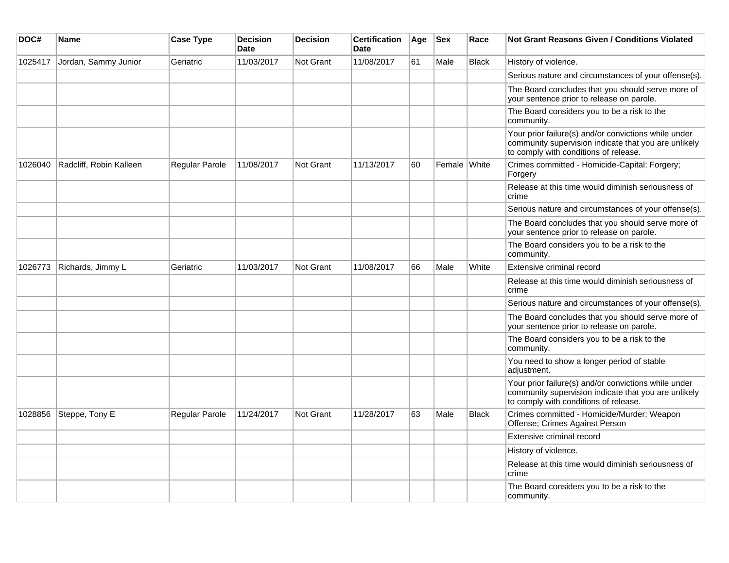| DOC#    | <b>Name</b>             | <b>Case Type</b> | <b>Decision</b><br><b>Date</b> | <b>Decision</b>  | <b>Certification</b><br><b>Date</b> | Age | <b>Sex</b>   | Race         | <b>Not Grant Reasons Given / Conditions Violated</b>                                                                                                  |
|---------|-------------------------|------------------|--------------------------------|------------------|-------------------------------------|-----|--------------|--------------|-------------------------------------------------------------------------------------------------------------------------------------------------------|
| 1025417 | Jordan, Sammy Junior    | Geriatric        | 11/03/2017                     | <b>Not Grant</b> | 11/08/2017                          | 61  | Male         | <b>Black</b> | History of violence.                                                                                                                                  |
|         |                         |                  |                                |                  |                                     |     |              |              | Serious nature and circumstances of your offense(s).                                                                                                  |
|         |                         |                  |                                |                  |                                     |     |              |              | The Board concludes that you should serve more of<br>your sentence prior to release on parole.                                                        |
|         |                         |                  |                                |                  |                                     |     |              |              | The Board considers you to be a risk to the<br>community.                                                                                             |
|         |                         |                  |                                |                  |                                     |     |              |              | Your prior failure(s) and/or convictions while under<br>community supervision indicate that you are unlikely<br>to comply with conditions of release. |
| 1026040 | Radcliff, Robin Kalleen | Regular Parole   | 11/08/2017                     | Not Grant        | 11/13/2017                          | 60  | Female White |              | Crimes committed - Homicide-Capital; Forgery;<br>Forgery                                                                                              |
|         |                         |                  |                                |                  |                                     |     |              |              | Release at this time would diminish seriousness of<br>crime                                                                                           |
|         |                         |                  |                                |                  |                                     |     |              |              | Serious nature and circumstances of your offense(s).                                                                                                  |
|         |                         |                  |                                |                  |                                     |     |              |              | The Board concludes that you should serve more of<br>your sentence prior to release on parole.                                                        |
|         |                         |                  |                                |                  |                                     |     |              |              | The Board considers you to be a risk to the<br>community.                                                                                             |
| 1026773 | Richards, Jimmy L       | Geriatric        | 11/03/2017                     | <b>Not Grant</b> | 11/08/2017                          | 66  | Male         | White        | Extensive criminal record                                                                                                                             |
|         |                         |                  |                                |                  |                                     |     |              |              | Release at this time would diminish seriousness of<br>crime                                                                                           |
|         |                         |                  |                                |                  |                                     |     |              |              | Serious nature and circumstances of your offense(s).                                                                                                  |
|         |                         |                  |                                |                  |                                     |     |              |              | The Board concludes that you should serve more of<br>your sentence prior to release on parole.                                                        |
|         |                         |                  |                                |                  |                                     |     |              |              | The Board considers you to be a risk to the<br>community.                                                                                             |
|         |                         |                  |                                |                  |                                     |     |              |              | You need to show a longer period of stable<br>adjustment.                                                                                             |
|         |                         |                  |                                |                  |                                     |     |              |              | Your prior failure(s) and/or convictions while under<br>community supervision indicate that you are unlikely<br>to comply with conditions of release. |
| 1028856 | Steppe, Tony E          | Regular Parole   | 11/24/2017                     | <b>Not Grant</b> | 11/28/2017                          | 63  | Male         | <b>Black</b> | Crimes committed - Homicide/Murder; Weapon<br>Offense; Crimes Against Person                                                                          |
|         |                         |                  |                                |                  |                                     |     |              |              | Extensive criminal record                                                                                                                             |
|         |                         |                  |                                |                  |                                     |     |              |              | History of violence.                                                                                                                                  |
|         |                         |                  |                                |                  |                                     |     |              |              | Release at this time would diminish seriousness of<br>crime                                                                                           |
|         |                         |                  |                                |                  |                                     |     |              |              | The Board considers you to be a risk to the<br>community.                                                                                             |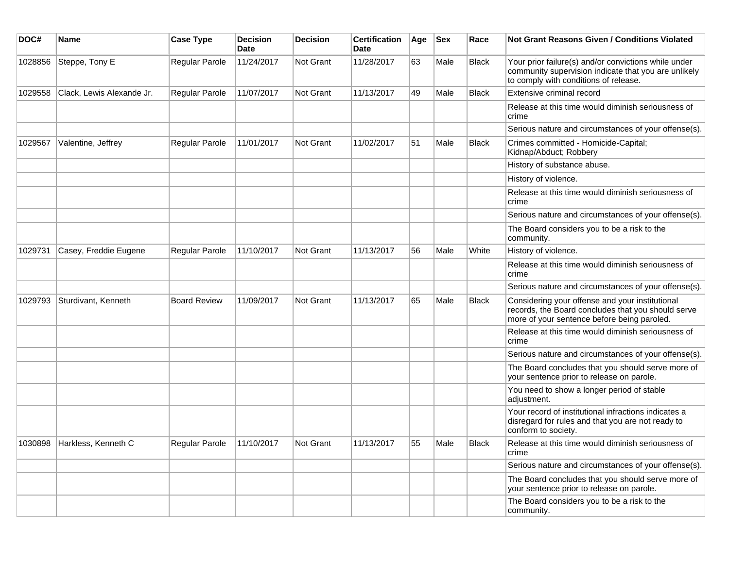| DOC#    | Name                        | <b>Case Type</b>      | <b>Decision</b><br>Date | <b>Decision</b> | <b>Certification</b><br>Date | Age | <b>Sex</b> | Race         | Not Grant Reasons Given / Conditions Violated                                                                                                         |
|---------|-----------------------------|-----------------------|-------------------------|-----------------|------------------------------|-----|------------|--------------|-------------------------------------------------------------------------------------------------------------------------------------------------------|
| 1028856 | Steppe, Tony E              | Regular Parole        | 11/24/2017              | Not Grant       | 11/28/2017                   | 63  | Male       | <b>Black</b> | Your prior failure(s) and/or convictions while under<br>community supervision indicate that you are unlikely<br>to comply with conditions of release. |
| 1029558 | Clack, Lewis Alexande Jr.   | Regular Parole        | 11/07/2017              | Not Grant       | 11/13/2017                   | 49  | Male       | <b>Black</b> | Extensive criminal record                                                                                                                             |
|         |                             |                       |                         |                 |                              |     |            |              | Release at this time would diminish seriousness of<br>crime                                                                                           |
|         |                             |                       |                         |                 |                              |     |            |              | Serious nature and circumstances of your offense(s).                                                                                                  |
| 1029567 | Valentine, Jeffrey          | Regular Parole        | 11/01/2017              | Not Grant       | 11/02/2017                   | 51  | Male       | Black        | Crimes committed - Homicide-Capital;<br>Kidnap/Abduct; Robbery                                                                                        |
|         |                             |                       |                         |                 |                              |     |            |              | History of substance abuse.                                                                                                                           |
|         |                             |                       |                         |                 |                              |     |            |              | History of violence.                                                                                                                                  |
|         |                             |                       |                         |                 |                              |     |            |              | Release at this time would diminish seriousness of<br>crime                                                                                           |
|         |                             |                       |                         |                 |                              |     |            |              | Serious nature and circumstances of your offense(s).                                                                                                  |
|         |                             |                       |                         |                 |                              |     |            |              | The Board considers you to be a risk to the<br>community.                                                                                             |
| 1029731 | Casey, Freddie Eugene       | <b>Regular Parole</b> | 11/10/2017              | Not Grant       | 11/13/2017                   | 56  | Male       | White        | History of violence.                                                                                                                                  |
|         |                             |                       |                         |                 |                              |     |            |              | Release at this time would diminish seriousness of<br>crime                                                                                           |
|         |                             |                       |                         |                 |                              |     |            |              | Serious nature and circumstances of your offense(s).                                                                                                  |
| 1029793 | Sturdivant, Kenneth         | <b>Board Review</b>   | 11/09/2017              | Not Grant       | 11/13/2017                   | 65  | Male       | <b>Black</b> | Considering your offense and your institutional<br>records, the Board concludes that you should serve<br>more of your sentence before being paroled.  |
|         |                             |                       |                         |                 |                              |     |            |              | Release at this time would diminish seriousness of<br>crime                                                                                           |
|         |                             |                       |                         |                 |                              |     |            |              | Serious nature and circumstances of your offense(s).                                                                                                  |
|         |                             |                       |                         |                 |                              |     |            |              | The Board concludes that you should serve more of<br>your sentence prior to release on parole.                                                        |
|         |                             |                       |                         |                 |                              |     |            |              | You need to show a longer period of stable<br>adjustment.                                                                                             |
|         |                             |                       |                         |                 |                              |     |            |              | Your record of institutional infractions indicates a<br>disregard for rules and that you are not ready to<br>conform to society.                      |
|         | 1030898 Harkless, Kenneth C | Regular Parole        | 11/10/2017              | Not Grant       | 11/13/2017                   | 55  | Male       | <b>Black</b> | Release at this time would diminish seriousness of<br>crime                                                                                           |
|         |                             |                       |                         |                 |                              |     |            |              | Serious nature and circumstances of your offense(s).                                                                                                  |
|         |                             |                       |                         |                 |                              |     |            |              | The Board concludes that you should serve more of<br>your sentence prior to release on parole.                                                        |
|         |                             |                       |                         |                 |                              |     |            |              | The Board considers you to be a risk to the<br>community.                                                                                             |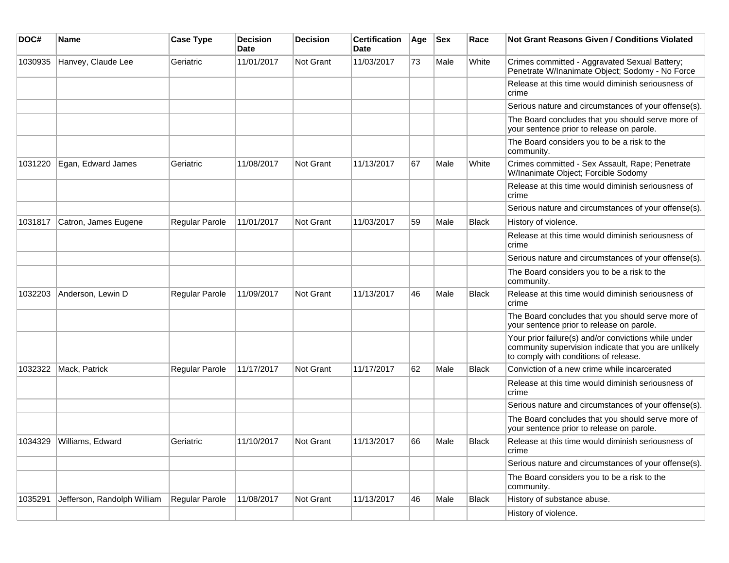| DOC#    | Name                        | <b>Case Type</b>      | <b>Decision</b><br>Date | <b>Decision</b>  | <b>Certification</b><br>Date | Age | <b>Sex</b> | Race         | <b>Not Grant Reasons Given / Conditions Violated</b>                                                                                                  |
|---------|-----------------------------|-----------------------|-------------------------|------------------|------------------------------|-----|------------|--------------|-------------------------------------------------------------------------------------------------------------------------------------------------------|
| 1030935 | Hanvey, Claude Lee          | Geriatric             | 11/01/2017              | Not Grant        | 11/03/2017                   | 73  | Male       | White        | Crimes committed - Aggravated Sexual Battery;<br>Penetrate W/Inanimate Object; Sodomy - No Force                                                      |
|         |                             |                       |                         |                  |                              |     |            |              | Release at this time would diminish seriousness of<br>crime                                                                                           |
|         |                             |                       |                         |                  |                              |     |            |              | Serious nature and circumstances of your offense(s).                                                                                                  |
|         |                             |                       |                         |                  |                              |     |            |              | The Board concludes that you should serve more of<br>your sentence prior to release on parole.                                                        |
|         |                             |                       |                         |                  |                              |     |            |              | The Board considers you to be a risk to the<br>community.                                                                                             |
| 1031220 | Egan, Edward James          | Geriatric             | 11/08/2017              | <b>Not Grant</b> | 11/13/2017                   | 67  | Male       | White        | Crimes committed - Sex Assault, Rape; Penetrate<br>W/Inanimate Object; Forcible Sodomy                                                                |
|         |                             |                       |                         |                  |                              |     |            |              | Release at this time would diminish seriousness of<br>crime                                                                                           |
|         |                             |                       |                         |                  |                              |     |            |              | Serious nature and circumstances of your offense(s).                                                                                                  |
| 1031817 | Catron, James Eugene        | <b>Regular Parole</b> | 11/01/2017              | Not Grant        | 11/03/2017                   | 59  | Male       | Black        | History of violence.                                                                                                                                  |
|         |                             |                       |                         |                  |                              |     |            |              | Release at this time would diminish seriousness of<br>crime                                                                                           |
|         |                             |                       |                         |                  |                              |     |            |              | Serious nature and circumstances of your offense(s).                                                                                                  |
|         |                             |                       |                         |                  |                              |     |            |              | The Board considers you to be a risk to the<br>community.                                                                                             |
| 1032203 | Anderson, Lewin D           | <b>Regular Parole</b> | 11/09/2017              | Not Grant        | 11/13/2017                   | 46  | Male       | <b>Black</b> | Release at this time would diminish seriousness of<br>crime                                                                                           |
|         |                             |                       |                         |                  |                              |     |            |              | The Board concludes that you should serve more of<br>your sentence prior to release on parole.                                                        |
|         |                             |                       |                         |                  |                              |     |            |              | Your prior failure(s) and/or convictions while under<br>community supervision indicate that you are unlikely<br>to comply with conditions of release. |
| 1032322 | Mack, Patrick               | Regular Parole        | 11/17/2017              | Not Grant        | 11/17/2017                   | 62  | Male       | Black        | Conviction of a new crime while incarcerated                                                                                                          |
|         |                             |                       |                         |                  |                              |     |            |              | Release at this time would diminish seriousness of<br>crime                                                                                           |
|         |                             |                       |                         |                  |                              |     |            |              | Serious nature and circumstances of your offense(s).                                                                                                  |
|         |                             |                       |                         |                  |                              |     |            |              | The Board concludes that you should serve more of<br>your sentence prior to release on parole.                                                        |
| 1034329 | Williams, Edward            | Geriatric             | 11/10/2017              | Not Grant        | 11/13/2017                   | 66  | Male       | <b>Black</b> | Release at this time would diminish seriousness of<br>crime                                                                                           |
|         |                             |                       |                         |                  |                              |     |            |              | Serious nature and circumstances of your offense(s).                                                                                                  |
|         |                             |                       |                         |                  |                              |     |            |              | The Board considers you to be a risk to the<br>community.                                                                                             |
| 1035291 | Jefferson, Randolph William | Regular Parole        | 11/08/2017              | Not Grant        | 11/13/2017                   | 46  | Male       | <b>Black</b> | History of substance abuse.                                                                                                                           |
|         |                             |                       |                         |                  |                              |     |            |              | History of violence.                                                                                                                                  |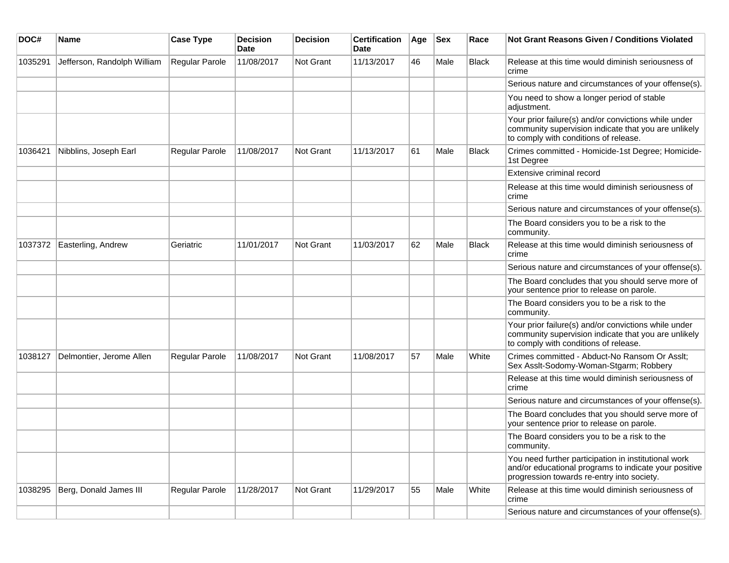| DOC#    | <b>Name</b>                 | <b>Case Type</b>      | <b>Decision</b><br><b>Date</b> | <b>Decision</b>  | <b>Certification</b><br>Date | Age | <b>Sex</b> | Race         | <b>Not Grant Reasons Given / Conditions Violated</b>                                                                                                        |
|---------|-----------------------------|-----------------------|--------------------------------|------------------|------------------------------|-----|------------|--------------|-------------------------------------------------------------------------------------------------------------------------------------------------------------|
| 1035291 | Jefferson, Randolph William | Regular Parole        | 11/08/2017                     | <b>Not Grant</b> | 11/13/2017                   | 46  | Male       | <b>Black</b> | Release at this time would diminish seriousness of<br>crime                                                                                                 |
|         |                             |                       |                                |                  |                              |     |            |              | Serious nature and circumstances of your offense(s).                                                                                                        |
|         |                             |                       |                                |                  |                              |     |            |              | You need to show a longer period of stable<br>adjustment.                                                                                                   |
|         |                             |                       |                                |                  |                              |     |            |              | Your prior failure(s) and/or convictions while under<br>community supervision indicate that you are unlikely<br>to comply with conditions of release.       |
| 1036421 | Nibblins, Joseph Earl       | Regular Parole        | 11/08/2017                     | <b>Not Grant</b> | 11/13/2017                   | 61  | Male       | Black        | Crimes committed - Homicide-1st Degree; Homicide-<br>1st Degree                                                                                             |
|         |                             |                       |                                |                  |                              |     |            |              | Extensive criminal record                                                                                                                                   |
|         |                             |                       |                                |                  |                              |     |            |              | Release at this time would diminish seriousness of<br>crime                                                                                                 |
|         |                             |                       |                                |                  |                              |     |            |              | Serious nature and circumstances of your offense(s).                                                                                                        |
|         |                             |                       |                                |                  |                              |     |            |              | The Board considers you to be a risk to the<br>community.                                                                                                   |
| 1037372 | Easterling, Andrew          | Geriatric             | 11/01/2017                     | <b>Not Grant</b> | 11/03/2017                   | 62  | Male       | Black        | Release at this time would diminish seriousness of<br>crime                                                                                                 |
|         |                             |                       |                                |                  |                              |     |            |              | Serious nature and circumstances of your offense(s).                                                                                                        |
|         |                             |                       |                                |                  |                              |     |            |              | The Board concludes that you should serve more of<br>your sentence prior to release on parole.                                                              |
|         |                             |                       |                                |                  |                              |     |            |              | The Board considers you to be a risk to the<br>community.                                                                                                   |
|         |                             |                       |                                |                  |                              |     |            |              | Your prior failure(s) and/or convictions while under<br>community supervision indicate that you are unlikely<br>to comply with conditions of release.       |
| 1038127 | Delmontier, Jerome Allen    | <b>Regular Parole</b> | 11/08/2017                     | <b>Not Grant</b> | 11/08/2017                   | 57  | Male       | White        | Crimes committed - Abduct-No Ransom Or Asslt;<br>Sex Asslt-Sodomy-Woman-Stgarm; Robbery                                                                     |
|         |                             |                       |                                |                  |                              |     |            |              | Release at this time would diminish seriousness of<br>crime                                                                                                 |
|         |                             |                       |                                |                  |                              |     |            |              | Serious nature and circumstances of your offense(s).                                                                                                        |
|         |                             |                       |                                |                  |                              |     |            |              | The Board concludes that you should serve more of<br>your sentence prior to release on parole.                                                              |
|         |                             |                       |                                |                  |                              |     |            |              | The Board considers you to be a risk to the<br>community.                                                                                                   |
|         |                             |                       |                                |                  |                              |     |            |              | You need further participation in institutional work<br>and/or educational programs to indicate your positive<br>progression towards re-entry into society. |
| 1038295 | Berg, Donald James III      | Regular Parole        | 11/28/2017                     | Not Grant        | 11/29/2017                   | 55  | Male       | White        | Release at this time would diminish seriousness of<br>crime                                                                                                 |
|         |                             |                       |                                |                  |                              |     |            |              | Serious nature and circumstances of your offense(s).                                                                                                        |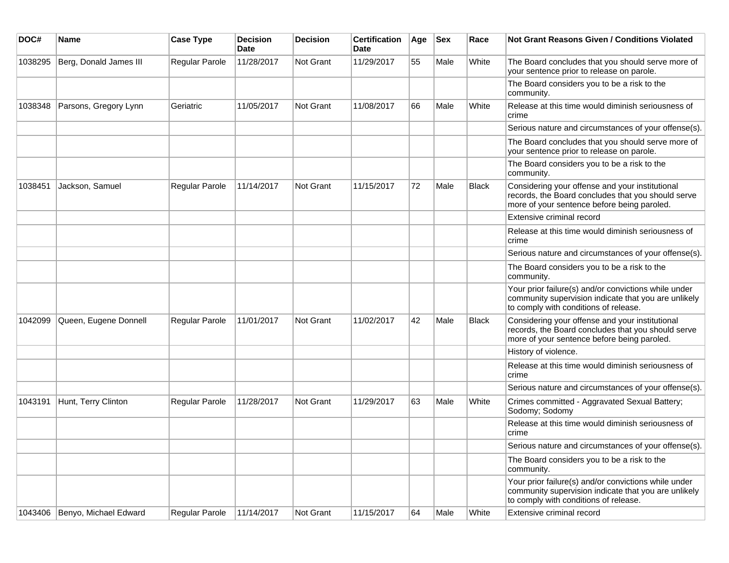| DOC#    | <b>Name</b>            | <b>Case Type</b>      | <b>Decision</b><br><b>Date</b> | <b>Decision</b>  | <b>Certification</b><br>Date | Age | <b>Sex</b> | Race         | <b>Not Grant Reasons Given / Conditions Violated</b>                                                                                                  |
|---------|------------------------|-----------------------|--------------------------------|------------------|------------------------------|-----|------------|--------------|-------------------------------------------------------------------------------------------------------------------------------------------------------|
| 1038295 | Berg, Donald James III | Regular Parole        | 11/28/2017                     | <b>Not Grant</b> | 11/29/2017                   | 55  | Male       | White        | The Board concludes that you should serve more of<br>your sentence prior to release on parole.                                                        |
|         |                        |                       |                                |                  |                              |     |            |              | The Board considers you to be a risk to the<br>community.                                                                                             |
| 1038348 | Parsons, Gregory Lynn  | Geriatric             | 11/05/2017                     | Not Grant        | 11/08/2017                   | 66  | Male       | White        | Release at this time would diminish seriousness of<br>crime                                                                                           |
|         |                        |                       |                                |                  |                              |     |            |              | Serious nature and circumstances of your offense(s).                                                                                                  |
|         |                        |                       |                                |                  |                              |     |            |              | The Board concludes that you should serve more of<br>your sentence prior to release on parole.                                                        |
|         |                        |                       |                                |                  |                              |     |            |              | The Board considers you to be a risk to the<br>community.                                                                                             |
| 1038451 | Jackson, Samuel        | Regular Parole        | 11/14/2017                     | <b>Not Grant</b> | 11/15/2017                   | 72  | Male       | <b>Black</b> | Considering your offense and your institutional<br>records, the Board concludes that you should serve<br>more of your sentence before being paroled.  |
|         |                        |                       |                                |                  |                              |     |            |              | Extensive criminal record                                                                                                                             |
|         |                        |                       |                                |                  |                              |     |            |              | Release at this time would diminish seriousness of<br>crime                                                                                           |
|         |                        |                       |                                |                  |                              |     |            |              | Serious nature and circumstances of your offense(s).                                                                                                  |
|         |                        |                       |                                |                  |                              |     |            |              | The Board considers you to be a risk to the<br>community.                                                                                             |
|         |                        |                       |                                |                  |                              |     |            |              | Your prior failure(s) and/or convictions while under<br>community supervision indicate that you are unlikely<br>to comply with conditions of release. |
| 1042099 | Queen, Eugene Donnell  | <b>Regular Parole</b> | 11/01/2017                     | <b>Not Grant</b> | 11/02/2017                   | 42  | Male       | Black        | Considering your offense and your institutional<br>records, the Board concludes that you should serve<br>more of your sentence before being paroled.  |
|         |                        |                       |                                |                  |                              |     |            |              | History of violence.                                                                                                                                  |
|         |                        |                       |                                |                  |                              |     |            |              | Release at this time would diminish seriousness of<br>crime                                                                                           |
|         |                        |                       |                                |                  |                              |     |            |              | Serious nature and circumstances of your offense(s).                                                                                                  |
| 1043191 | Hunt, Terry Clinton    | Regular Parole        | 11/28/2017                     | Not Grant        | 11/29/2017                   | 63  | Male       | White        | Crimes committed - Aggravated Sexual Battery;<br>Sodomy; Sodomy                                                                                       |
|         |                        |                       |                                |                  |                              |     |            |              | Release at this time would diminish seriousness of<br>crime                                                                                           |
|         |                        |                       |                                |                  |                              |     |            |              | Serious nature and circumstances of your offense(s).                                                                                                  |
|         |                        |                       |                                |                  |                              |     |            |              | The Board considers you to be a risk to the<br>community.                                                                                             |
|         |                        |                       |                                |                  |                              |     |            |              | Your prior failure(s) and/or convictions while under<br>community supervision indicate that you are unlikely<br>to comply with conditions of release. |
| 1043406 | Benyo, Michael Edward  | Regular Parole        | 11/14/2017                     | Not Grant        | 11/15/2017                   | 64  | Male       | White        | Extensive criminal record                                                                                                                             |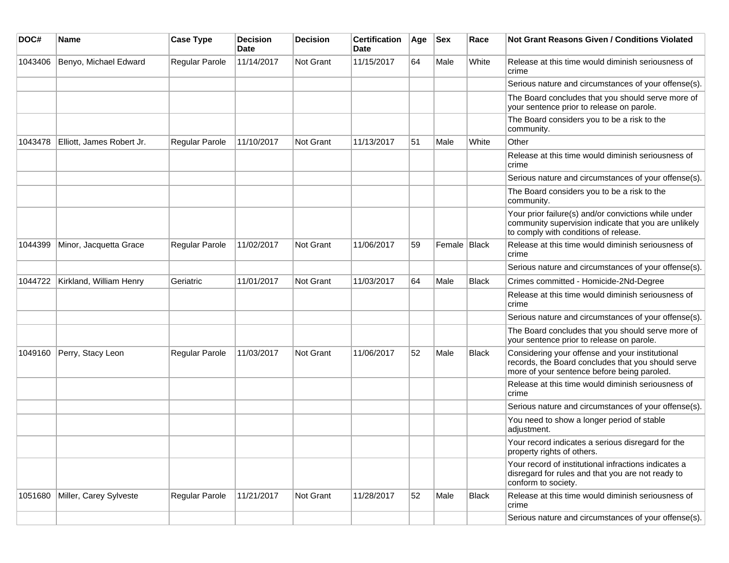| DOC#    | <b>Name</b>               | <b>Case Type</b>      | <b>Decision</b><br>Date | <b>Decision</b>  | <b>Certification</b><br>Date | Age | <b>Sex</b>     | Race  | <b>Not Grant Reasons Given / Conditions Violated</b>                                                                                                  |
|---------|---------------------------|-----------------------|-------------------------|------------------|------------------------------|-----|----------------|-------|-------------------------------------------------------------------------------------------------------------------------------------------------------|
| 1043406 | Benyo, Michael Edward     | Regular Parole        | 11/14/2017              | Not Grant        | 11/15/2017                   | 64  | Male           | White | Release at this time would diminish seriousness of<br>crime                                                                                           |
|         |                           |                       |                         |                  |                              |     |                |       | Serious nature and circumstances of your offense(s).                                                                                                  |
|         |                           |                       |                         |                  |                              |     |                |       | The Board concludes that you should serve more of<br>your sentence prior to release on parole.                                                        |
|         |                           |                       |                         |                  |                              |     |                |       | The Board considers you to be a risk to the<br>community.                                                                                             |
| 1043478 | Elliott, James Robert Jr. | <b>Regular Parole</b> | 11/10/2017              | <b>Not Grant</b> | 11/13/2017                   | 51  | Male           | White | Other                                                                                                                                                 |
|         |                           |                       |                         |                  |                              |     |                |       | Release at this time would diminish seriousness of<br>crime                                                                                           |
|         |                           |                       |                         |                  |                              |     |                |       | Serious nature and circumstances of your offense(s).                                                                                                  |
|         |                           |                       |                         |                  |                              |     |                |       | The Board considers you to be a risk to the<br>community.                                                                                             |
|         |                           |                       |                         |                  |                              |     |                |       | Your prior failure(s) and/or convictions while under<br>community supervision indicate that you are unlikely<br>to comply with conditions of release. |
| 1044399 | Minor, Jacquetta Grace    | Regular Parole        | 11/02/2017              | Not Grant        | 11/06/2017                   | 59  | Female   Black |       | Release at this time would diminish seriousness of<br>crime                                                                                           |
|         |                           |                       |                         |                  |                              |     |                |       | Serious nature and circumstances of your offense(s).                                                                                                  |
| 1044722 | Kirkland, William Henry   | Geriatric             | 11/01/2017              | <b>Not Grant</b> | 11/03/2017                   | 64  | Male           | Black | Crimes committed - Homicide-2Nd-Degree                                                                                                                |
|         |                           |                       |                         |                  |                              |     |                |       | Release at this time would diminish seriousness of<br>crime                                                                                           |
|         |                           |                       |                         |                  |                              |     |                |       | Serious nature and circumstances of your offense(s).                                                                                                  |
|         |                           |                       |                         |                  |                              |     |                |       | The Board concludes that you should serve more of<br>your sentence prior to release on parole.                                                        |
| 1049160 | Perry, Stacy Leon         | <b>Regular Parole</b> | 11/03/2017              | <b>Not Grant</b> | 11/06/2017                   | 52  | Male           | Black | Considering your offense and your institutional<br>records, the Board concludes that you should serve<br>more of your sentence before being paroled.  |
|         |                           |                       |                         |                  |                              |     |                |       | Release at this time would diminish seriousness of<br>crime                                                                                           |
|         |                           |                       |                         |                  |                              |     |                |       | Serious nature and circumstances of your offense(s).                                                                                                  |
|         |                           |                       |                         |                  |                              |     |                |       | You need to show a longer period of stable<br>adjustment.                                                                                             |
|         |                           |                       |                         |                  |                              |     |                |       | Your record indicates a serious disregard for the<br>property rights of others.                                                                       |
|         |                           |                       |                         |                  |                              |     |                |       | Your record of institutional infractions indicates a<br>disregard for rules and that you are not ready to<br>conform to society.                      |
| 1051680 | Miller, Carey Sylveste    | Regular Parole        | 11/21/2017              | Not Grant        | 11/28/2017                   | 52  | Male           | Black | Release at this time would diminish seriousness of<br>crime                                                                                           |
|         |                           |                       |                         |                  |                              |     |                |       | Serious nature and circumstances of your offense(s).                                                                                                  |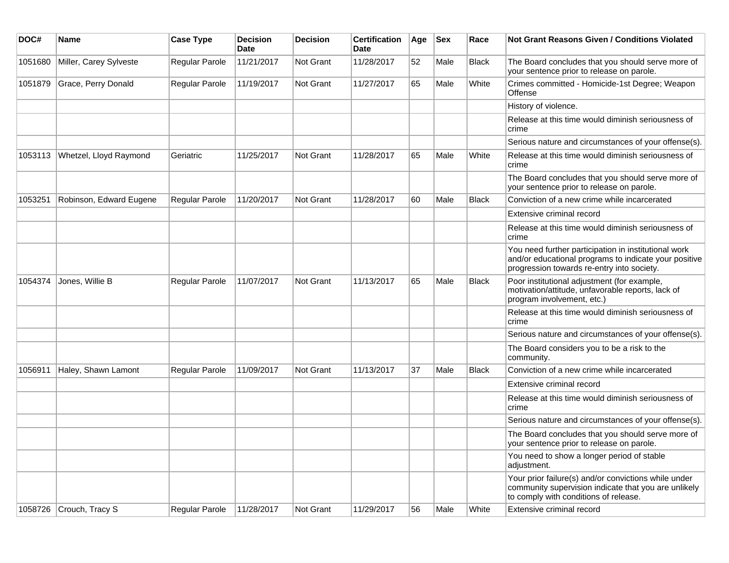| DOC#    | <b>Name</b>             | <b>Case Type</b> | <b>Decision</b><br>Date | <b>Decision</b> | <b>Certification</b><br>Date | Age | <b>Sex</b> | Race         | Not Grant Reasons Given / Conditions Violated                                                                                                               |
|---------|-------------------------|------------------|-------------------------|-----------------|------------------------------|-----|------------|--------------|-------------------------------------------------------------------------------------------------------------------------------------------------------------|
| 1051680 | Miller, Carey Sylveste  | Regular Parole   | 11/21/2017              | Not Grant       | 11/28/2017                   | 52  | Male       | <b>Black</b> | The Board concludes that you should serve more of<br>your sentence prior to release on parole.                                                              |
| 1051879 | Grace, Perry Donald     | Regular Parole   | 11/19/2017              | Not Grant       | 11/27/2017                   | 65  | Male       | White        | Crimes committed - Homicide-1st Degree; Weapon<br>Offense                                                                                                   |
|         |                         |                  |                         |                 |                              |     |            |              | History of violence.                                                                                                                                        |
|         |                         |                  |                         |                 |                              |     |            |              | Release at this time would diminish seriousness of<br>crime                                                                                                 |
|         |                         |                  |                         |                 |                              |     |            |              | Serious nature and circumstances of your offense(s).                                                                                                        |
| 1053113 | Whetzel, Lloyd Raymond  | Geriatric        | 11/25/2017              | Not Grant       | 11/28/2017                   | 65  | Male       | White        | Release at this time would diminish seriousness of<br>crime                                                                                                 |
|         |                         |                  |                         |                 |                              |     |            |              | The Board concludes that you should serve more of<br>your sentence prior to release on parole.                                                              |
| 1053251 | Robinson, Edward Eugene | Regular Parole   | 11/20/2017              | Not Grant       | 11/28/2017                   | 60  | Male       | <b>Black</b> | Conviction of a new crime while incarcerated                                                                                                                |
|         |                         |                  |                         |                 |                              |     |            |              | Extensive criminal record                                                                                                                                   |
|         |                         |                  |                         |                 |                              |     |            |              | Release at this time would diminish seriousness of<br>crime                                                                                                 |
|         |                         |                  |                         |                 |                              |     |            |              | You need further participation in institutional work<br>and/or educational programs to indicate your positive<br>progression towards re-entry into society. |
| 1054374 | Jones, Willie B         | Regular Parole   | 11/07/2017              | Not Grant       | 11/13/2017                   | 65  | Male       | <b>Black</b> | Poor institutional adjustment (for example,<br>motivation/attitude, unfavorable reports, lack of<br>program involvement, etc.)                              |
|         |                         |                  |                         |                 |                              |     |            |              | Release at this time would diminish seriousness of<br>crime                                                                                                 |
|         |                         |                  |                         |                 |                              |     |            |              | Serious nature and circumstances of your offense(s).                                                                                                        |
|         |                         |                  |                         |                 |                              |     |            |              | The Board considers you to be a risk to the<br>community.                                                                                                   |
| 1056911 | Haley, Shawn Lamont     | Regular Parole   | 11/09/2017              | Not Grant       | 11/13/2017                   | 37  | Male       | <b>Black</b> | Conviction of a new crime while incarcerated                                                                                                                |
|         |                         |                  |                         |                 |                              |     |            |              | Extensive criminal record                                                                                                                                   |
|         |                         |                  |                         |                 |                              |     |            |              | Release at this time would diminish seriousness of<br>crime                                                                                                 |
|         |                         |                  |                         |                 |                              |     |            |              | Serious nature and circumstances of your offense(s).                                                                                                        |
|         |                         |                  |                         |                 |                              |     |            |              | The Board concludes that you should serve more of<br>your sentence prior to release on parole.                                                              |
|         |                         |                  |                         |                 |                              |     |            |              | You need to show a longer period of stable<br>adjustment.                                                                                                   |
|         |                         |                  |                         |                 |                              |     |            |              | Your prior failure(s) and/or convictions while under<br>community supervision indicate that you are unlikely<br>to comply with conditions of release.       |
| 1058726 | Crouch, Tracy S         | Regular Parole   | 11/28/2017              | Not Grant       | 11/29/2017                   | 56  | Male       | White        | Extensive criminal record                                                                                                                                   |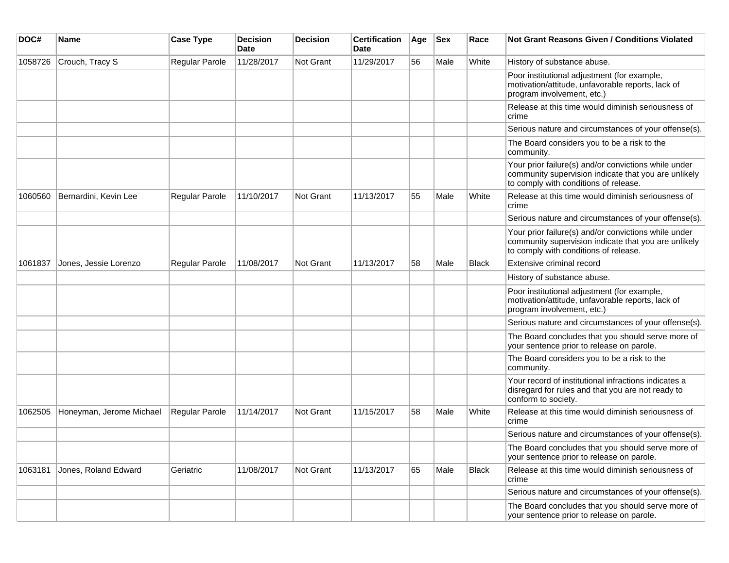| DOC#    | <b>Name</b>              | <b>Case Type</b> | <b>Decision</b><br><b>Date</b> | <b>Decision</b>  | <b>Certification</b><br>Date | Age | <b>Sex</b> | Race         | <b>Not Grant Reasons Given / Conditions Violated</b>                                                                                                  |
|---------|--------------------------|------------------|--------------------------------|------------------|------------------------------|-----|------------|--------------|-------------------------------------------------------------------------------------------------------------------------------------------------------|
| 1058726 | Crouch, Tracy S          | Regular Parole   | 11/28/2017                     | <b>Not Grant</b> | 11/29/2017                   | 56  | Male       | White        | History of substance abuse.                                                                                                                           |
|         |                          |                  |                                |                  |                              |     |            |              | Poor institutional adjustment (for example,<br>motivation/attitude, unfavorable reports, lack of<br>program involvement, etc.)                        |
|         |                          |                  |                                |                  |                              |     |            |              | Release at this time would diminish seriousness of<br>crime                                                                                           |
|         |                          |                  |                                |                  |                              |     |            |              | Serious nature and circumstances of your offense(s).                                                                                                  |
|         |                          |                  |                                |                  |                              |     |            |              | The Board considers you to be a risk to the<br>community.                                                                                             |
|         |                          |                  |                                |                  |                              |     |            |              | Your prior failure(s) and/or convictions while under<br>community supervision indicate that you are unlikely<br>to comply with conditions of release. |
| 1060560 | Bernardini, Kevin Lee    | Regular Parole   | 11/10/2017                     | <b>Not Grant</b> | 11/13/2017                   | 55  | Male       | White        | Release at this time would diminish seriousness of<br>crime                                                                                           |
|         |                          |                  |                                |                  |                              |     |            |              | Serious nature and circumstances of your offense(s).                                                                                                  |
|         |                          |                  |                                |                  |                              |     |            |              | Your prior failure(s) and/or convictions while under<br>community supervision indicate that you are unlikely<br>to comply with conditions of release. |
| 1061837 | Jones, Jessie Lorenzo    | Regular Parole   | 11/08/2017                     | <b>Not Grant</b> | 11/13/2017                   | 58  | Male       | <b>Black</b> | Extensive criminal record                                                                                                                             |
|         |                          |                  |                                |                  |                              |     |            |              | History of substance abuse.                                                                                                                           |
|         |                          |                  |                                |                  |                              |     |            |              | Poor institutional adjustment (for example,<br>motivation/attitude, unfavorable reports, lack of<br>program involvement, etc.)                        |
|         |                          |                  |                                |                  |                              |     |            |              | Serious nature and circumstances of your offense(s).                                                                                                  |
|         |                          |                  |                                |                  |                              |     |            |              | The Board concludes that you should serve more of<br>your sentence prior to release on parole.                                                        |
|         |                          |                  |                                |                  |                              |     |            |              | The Board considers you to be a risk to the<br>community.                                                                                             |
|         |                          |                  |                                |                  |                              |     |            |              | Your record of institutional infractions indicates a<br>disregard for rules and that you are not ready to<br>conform to society.                      |
| 1062505 | Honeyman, Jerome Michael | Regular Parole   | 11/14/2017                     | <b>Not Grant</b> | 11/15/2017                   | 58  | Male       | White        | Release at this time would diminish seriousness of<br>crime                                                                                           |
|         |                          |                  |                                |                  |                              |     |            |              | Serious nature and circumstances of your offense(s).                                                                                                  |
|         |                          |                  |                                |                  |                              |     |            |              | The Board concludes that you should serve more of<br>your sentence prior to release on parole.                                                        |
| 1063181 | Jones, Roland Edward     | Geriatric        | 11/08/2017                     | Not Grant        | 11/13/2017                   | 65  | Male       | Black        | Release at this time would diminish seriousness of<br>crime                                                                                           |
|         |                          |                  |                                |                  |                              |     |            |              | Serious nature and circumstances of your offense(s).                                                                                                  |
|         |                          |                  |                                |                  |                              |     |            |              | The Board concludes that you should serve more of<br>your sentence prior to release on parole.                                                        |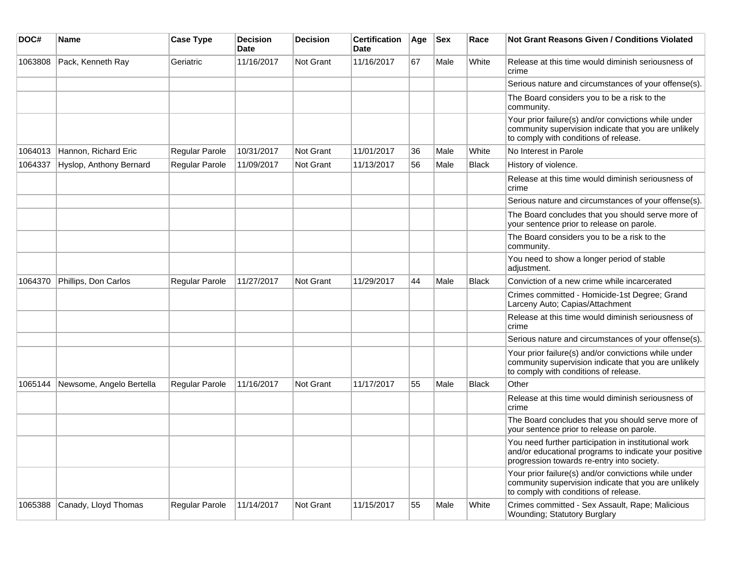| DOC#    | <b>Name</b>              | <b>Case Type</b>      | <b>Decision</b><br><b>Date</b> | <b>Decision</b>  | <b>Certification</b><br>Date | Age | <b>Sex</b> | Race         | <b>Not Grant Reasons Given / Conditions Violated</b>                                                                                                        |
|---------|--------------------------|-----------------------|--------------------------------|------------------|------------------------------|-----|------------|--------------|-------------------------------------------------------------------------------------------------------------------------------------------------------------|
| 1063808 | Pack, Kenneth Ray        | Geriatric             | 11/16/2017                     | <b>Not Grant</b> | 11/16/2017                   | 67  | Male       | White        | Release at this time would diminish seriousness of<br>crime                                                                                                 |
|         |                          |                       |                                |                  |                              |     |            |              | Serious nature and circumstances of your offense(s).                                                                                                        |
|         |                          |                       |                                |                  |                              |     |            |              | The Board considers you to be a risk to the<br>community.                                                                                                   |
|         |                          |                       |                                |                  |                              |     |            |              | Your prior failure(s) and/or convictions while under<br>community supervision indicate that you are unlikely<br>to comply with conditions of release.       |
| 1064013 | Hannon, Richard Eric     | Regular Parole        | 10/31/2017                     | <b>Not Grant</b> | 11/01/2017                   | 36  | Male       | White        | No Interest in Parole                                                                                                                                       |
| 1064337 | Hyslop, Anthony Bernard  | Regular Parole        | 11/09/2017                     | <b>Not Grant</b> | 11/13/2017                   | 56  | Male       | <b>Black</b> | History of violence.                                                                                                                                        |
|         |                          |                       |                                |                  |                              |     |            |              | Release at this time would diminish seriousness of<br>crime                                                                                                 |
|         |                          |                       |                                |                  |                              |     |            |              | Serious nature and circumstances of your offense(s).                                                                                                        |
|         |                          |                       |                                |                  |                              |     |            |              | The Board concludes that you should serve more of<br>your sentence prior to release on parole.                                                              |
|         |                          |                       |                                |                  |                              |     |            |              | The Board considers you to be a risk to the<br>community.                                                                                                   |
|         |                          |                       |                                |                  |                              |     |            |              | You need to show a longer period of stable<br>adjustment.                                                                                                   |
| 1064370 | Phillips, Don Carlos     | Regular Parole        | 11/27/2017                     | Not Grant        | 11/29/2017                   | 44  | Male       | Black        | Conviction of a new crime while incarcerated                                                                                                                |
|         |                          |                       |                                |                  |                              |     |            |              | Crimes committed - Homicide-1st Degree; Grand<br>Larceny Auto; Capias/Attachment                                                                            |
|         |                          |                       |                                |                  |                              |     |            |              | Release at this time would diminish seriousness of<br>crime                                                                                                 |
|         |                          |                       |                                |                  |                              |     |            |              | Serious nature and circumstances of your offense(s).                                                                                                        |
|         |                          |                       |                                |                  |                              |     |            |              | Your prior failure(s) and/or convictions while under<br>community supervision indicate that you are unlikely<br>to comply with conditions of release.       |
| 1065144 | Newsome, Angelo Bertella | <b>Regular Parole</b> | 11/16/2017                     | <b>Not Grant</b> | 11/17/2017                   | 55  | Male       | Black        | Other                                                                                                                                                       |
|         |                          |                       |                                |                  |                              |     |            |              | Release at this time would diminish seriousness of<br>crime                                                                                                 |
|         |                          |                       |                                |                  |                              |     |            |              | The Board concludes that you should serve more of<br>your sentence prior to release on parole.                                                              |
|         |                          |                       |                                |                  |                              |     |            |              | You need further participation in institutional work<br>and/or educational programs to indicate your positive<br>progression towards re-entry into society. |
|         |                          |                       |                                |                  |                              |     |            |              | Your prior failure(s) and/or convictions while under<br>community supervision indicate that you are unlikely<br>to comply with conditions of release.       |
| 1065388 | Canady, Lloyd Thomas     | Regular Parole        | 11/14/2017                     | Not Grant        | 11/15/2017                   | 55  | Male       | White        | Crimes committed - Sex Assault, Rape; Malicious<br><b>Wounding: Statutory Burglary</b>                                                                      |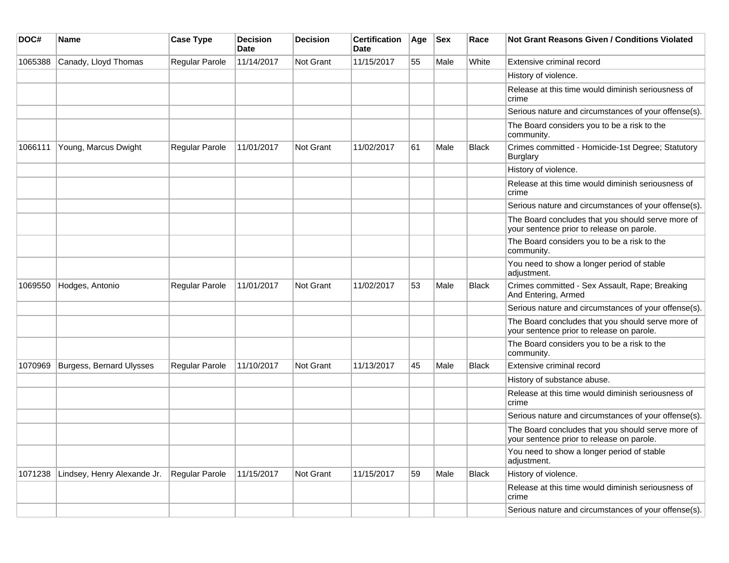| DOC#    | Name                        | <b>Case Type</b>      | <b>Decision</b><br><b>Date</b> | <b>Decision</b> | <b>Certification</b><br>Date | Age | <b>Sex</b> | Race         | <b>Not Grant Reasons Given / Conditions Violated</b>                                           |
|---------|-----------------------------|-----------------------|--------------------------------|-----------------|------------------------------|-----|------------|--------------|------------------------------------------------------------------------------------------------|
| 1065388 | Canady, Lloyd Thomas        | Regular Parole        | 11/14/2017                     | Not Grant       | 11/15/2017                   | 55  | Male       | White        | Extensive criminal record                                                                      |
|         |                             |                       |                                |                 |                              |     |            |              | History of violence.                                                                           |
|         |                             |                       |                                |                 |                              |     |            |              | Release at this time would diminish seriousness of<br>crime                                    |
|         |                             |                       |                                |                 |                              |     |            |              | Serious nature and circumstances of your offense(s).                                           |
|         |                             |                       |                                |                 |                              |     |            |              | The Board considers you to be a risk to the<br>community.                                      |
| 1066111 | Young, Marcus Dwight        | Regular Parole        | 11/01/2017                     | Not Grant       | 11/02/2017                   | 61  | Male       | <b>Black</b> | Crimes committed - Homicide-1st Degree; Statutory<br><b>Burglary</b>                           |
|         |                             |                       |                                |                 |                              |     |            |              | History of violence.                                                                           |
|         |                             |                       |                                |                 |                              |     |            |              | Release at this time would diminish seriousness of<br>crime                                    |
|         |                             |                       |                                |                 |                              |     |            |              | Serious nature and circumstances of your offense(s).                                           |
|         |                             |                       |                                |                 |                              |     |            |              | The Board concludes that you should serve more of<br>your sentence prior to release on parole. |
|         |                             |                       |                                |                 |                              |     |            |              | The Board considers you to be a risk to the<br>community.                                      |
|         |                             |                       |                                |                 |                              |     |            |              | You need to show a longer period of stable<br>adjustment.                                      |
| 1069550 | Hodges, Antonio             | Regular Parole        | 11/01/2017                     | Not Grant       | 11/02/2017                   | 53  | Male       | Black        | Crimes committed - Sex Assault, Rape; Breaking<br>And Entering, Armed                          |
|         |                             |                       |                                |                 |                              |     |            |              | Serious nature and circumstances of your offense(s).                                           |
|         |                             |                       |                                |                 |                              |     |            |              | The Board concludes that you should serve more of<br>your sentence prior to release on parole. |
|         |                             |                       |                                |                 |                              |     |            |              | The Board considers you to be a risk to the<br>community.                                      |
| 1070969 | Burgess, Bernard Ulysses    | <b>Regular Parole</b> | 11/10/2017                     | Not Grant       | 11/13/2017                   | 45  | Male       | <b>Black</b> | Extensive criminal record                                                                      |
|         |                             |                       |                                |                 |                              |     |            |              | History of substance abuse.                                                                    |
|         |                             |                       |                                |                 |                              |     |            |              | Release at this time would diminish seriousness of<br>crime                                    |
|         |                             |                       |                                |                 |                              |     |            |              | Serious nature and circumstances of your offense(s).                                           |
|         |                             |                       |                                |                 |                              |     |            |              | The Board concludes that you should serve more of<br>your sentence prior to release on parole. |
|         |                             |                       |                                |                 |                              |     |            |              | You need to show a longer period of stable<br>adjustment.                                      |
| 1071238 | Lindsey, Henry Alexande Jr. | Regular Parole        | 11/15/2017                     | Not Grant       | 11/15/2017                   | 59  | Male       | <b>Black</b> | History of violence.                                                                           |
|         |                             |                       |                                |                 |                              |     |            |              | Release at this time would diminish seriousness of<br>crime                                    |
|         |                             |                       |                                |                 |                              |     |            |              | Serious nature and circumstances of your offense(s).                                           |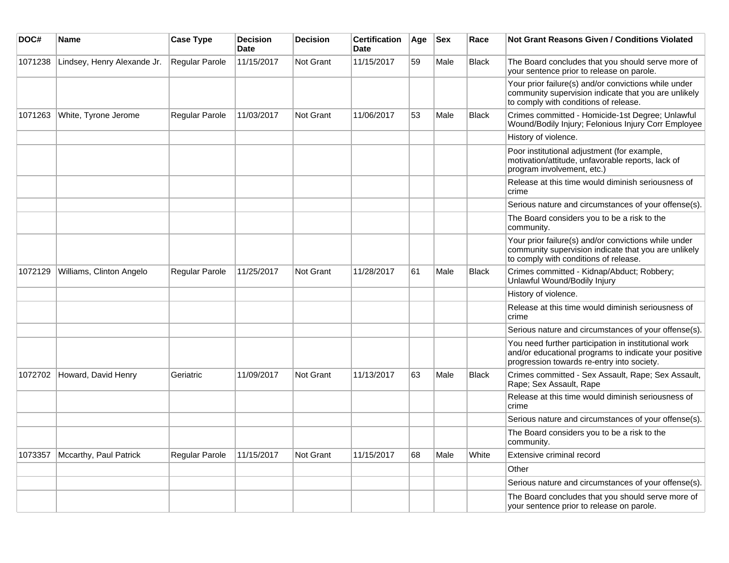| DOC#    | Name                        | <b>Case Type</b>      | <b>Decision</b><br><b>Date</b> | <b>Decision</b>  | <b>Certification</b><br><b>Date</b> | Age | <b>Sex</b> | Race         | <b>Not Grant Reasons Given / Conditions Violated</b>                                                                                                        |
|---------|-----------------------------|-----------------------|--------------------------------|------------------|-------------------------------------|-----|------------|--------------|-------------------------------------------------------------------------------------------------------------------------------------------------------------|
| 1071238 | Lindsey, Henry Alexande Jr. | Regular Parole        | 11/15/2017                     | Not Grant        | 11/15/2017                          | 59  | Male       | <b>Black</b> | The Board concludes that you should serve more of<br>your sentence prior to release on parole.                                                              |
|         |                             |                       |                                |                  |                                     |     |            |              | Your prior failure(s) and/or convictions while under<br>community supervision indicate that you are unlikely<br>to comply with conditions of release.       |
| 1071263 | White, Tyrone Jerome        | Regular Parole        | 11/03/2017                     | Not Grant        | 11/06/2017                          | 53  | Male       | Black        | Crimes committed - Homicide-1st Degree; Unlawful<br>Wound/Bodily Injury; Felonious Injury Corr Employee                                                     |
|         |                             |                       |                                |                  |                                     |     |            |              | History of violence.                                                                                                                                        |
|         |                             |                       |                                |                  |                                     |     |            |              | Poor institutional adjustment (for example,<br>motivation/attitude, unfavorable reports, lack of<br>program involvement, etc.)                              |
|         |                             |                       |                                |                  |                                     |     |            |              | Release at this time would diminish seriousness of<br>crime                                                                                                 |
|         |                             |                       |                                |                  |                                     |     |            |              | Serious nature and circumstances of your offense(s).                                                                                                        |
|         |                             |                       |                                |                  |                                     |     |            |              | The Board considers you to be a risk to the<br>community.                                                                                                   |
|         |                             |                       |                                |                  |                                     |     |            |              | Your prior failure(s) and/or convictions while under<br>community supervision indicate that you are unlikely<br>to comply with conditions of release.       |
| 1072129 | Williams, Clinton Angelo    | <b>Regular Parole</b> | 11/25/2017                     | <b>Not Grant</b> | 11/28/2017                          | 61  | Male       | <b>Black</b> | Crimes committed - Kidnap/Abduct; Robbery;<br>Unlawful Wound/Bodily Injury                                                                                  |
|         |                             |                       |                                |                  |                                     |     |            |              | History of violence.                                                                                                                                        |
|         |                             |                       |                                |                  |                                     |     |            |              | Release at this time would diminish seriousness of<br>crime                                                                                                 |
|         |                             |                       |                                |                  |                                     |     |            |              | Serious nature and circumstances of your offense(s).                                                                                                        |
|         |                             |                       |                                |                  |                                     |     |            |              | You need further participation in institutional work<br>and/or educational programs to indicate your positive<br>progression towards re-entry into society. |
| 1072702 | Howard, David Henry         | Geriatric             | 11/09/2017                     | Not Grant        | 11/13/2017                          | 63  | Male       | Black        | Crimes committed - Sex Assault, Rape; Sex Assault,<br>Rape: Sex Assault, Rape                                                                               |
|         |                             |                       |                                |                  |                                     |     |            |              | Release at this time would diminish seriousness of<br>crime                                                                                                 |
|         |                             |                       |                                |                  |                                     |     |            |              | Serious nature and circumstances of your offense(s).                                                                                                        |
|         |                             |                       |                                |                  |                                     |     |            |              | The Board considers you to be a risk to the<br>community.                                                                                                   |
| 1073357 | Mccarthy, Paul Patrick      | Regular Parole        | 11/15/2017                     | <b>Not Grant</b> | 11/15/2017                          | 68  | Male       | White        | Extensive criminal record                                                                                                                                   |
|         |                             |                       |                                |                  |                                     |     |            |              | Other                                                                                                                                                       |
|         |                             |                       |                                |                  |                                     |     |            |              | Serious nature and circumstances of your offense(s).                                                                                                        |
|         |                             |                       |                                |                  |                                     |     |            |              | The Board concludes that you should serve more of<br>your sentence prior to release on parole.                                                              |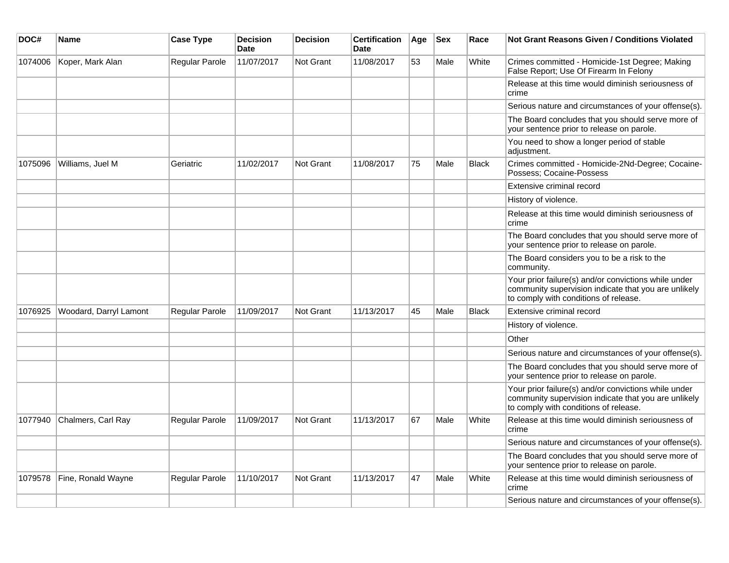| DOC#    | <b>Name</b>            | <b>Case Type</b> | <b>Decision</b><br><b>Date</b> | <b>Decision</b>  | <b>Certification</b><br><b>Date</b> | Age | <b>Sex</b> | Race         | Not Grant Reasons Given / Conditions Violated                                                                                                         |
|---------|------------------------|------------------|--------------------------------|------------------|-------------------------------------|-----|------------|--------------|-------------------------------------------------------------------------------------------------------------------------------------------------------|
| 1074006 | Koper, Mark Alan       | Regular Parole   | 11/07/2017                     | <b>Not Grant</b> | 11/08/2017                          | 53  | Male       | White        | Crimes committed - Homicide-1st Degree; Making<br>False Report; Use Of Firearm In Felony                                                              |
|         |                        |                  |                                |                  |                                     |     |            |              | Release at this time would diminish seriousness of<br>crime                                                                                           |
|         |                        |                  |                                |                  |                                     |     |            |              | Serious nature and circumstances of your offense(s).                                                                                                  |
|         |                        |                  |                                |                  |                                     |     |            |              | The Board concludes that you should serve more of<br>your sentence prior to release on parole.                                                        |
|         |                        |                  |                                |                  |                                     |     |            |              | You need to show a longer period of stable<br>adjustment.                                                                                             |
| 1075096 | Williams, Juel M       | Geriatric        | 11/02/2017                     | <b>Not Grant</b> | 11/08/2017                          | 75  | Male       | <b>Black</b> | Crimes committed - Homicide-2Nd-Degree; Cocaine-<br>Possess; Cocaine-Possess                                                                          |
|         |                        |                  |                                |                  |                                     |     |            |              | Extensive criminal record                                                                                                                             |
|         |                        |                  |                                |                  |                                     |     |            |              | History of violence.                                                                                                                                  |
|         |                        |                  |                                |                  |                                     |     |            |              | Release at this time would diminish seriousness of<br>crime                                                                                           |
|         |                        |                  |                                |                  |                                     |     |            |              | The Board concludes that you should serve more of<br>your sentence prior to release on parole.                                                        |
|         |                        |                  |                                |                  |                                     |     |            |              | The Board considers you to be a risk to the<br>community.                                                                                             |
|         |                        |                  |                                |                  |                                     |     |            |              | Your prior failure(s) and/or convictions while under<br>community supervision indicate that you are unlikely<br>to comply with conditions of release. |
| 1076925 | Woodard, Darryl Lamont | Regular Parole   | 11/09/2017                     | Not Grant        | 11/13/2017                          | 45  | Male       | <b>Black</b> | Extensive criminal record                                                                                                                             |
|         |                        |                  |                                |                  |                                     |     |            |              | History of violence.                                                                                                                                  |
|         |                        |                  |                                |                  |                                     |     |            |              | Other                                                                                                                                                 |
|         |                        |                  |                                |                  |                                     |     |            |              | Serious nature and circumstances of your offense(s).                                                                                                  |
|         |                        |                  |                                |                  |                                     |     |            |              | The Board concludes that you should serve more of<br>your sentence prior to release on parole.                                                        |
|         |                        |                  |                                |                  |                                     |     |            |              | Your prior failure(s) and/or convictions while under<br>community supervision indicate that you are unlikely<br>to comply with conditions of release. |
| 1077940 | Chalmers, Carl Ray     | Regular Parole   | 11/09/2017                     | <b>Not Grant</b> | 11/13/2017                          | 67  | Male       | White        | Release at this time would diminish seriousness of<br>crime                                                                                           |
|         |                        |                  |                                |                  |                                     |     |            |              | Serious nature and circumstances of your offense(s).                                                                                                  |
|         |                        |                  |                                |                  |                                     |     |            |              | The Board concludes that you should serve more of<br>your sentence prior to release on parole.                                                        |
| 1079578 | Fine, Ronald Wayne     | Regular Parole   | 11/10/2017                     | <b>Not Grant</b> | 11/13/2017                          | 47  | Male       | White        | Release at this time would diminish seriousness of<br>crime                                                                                           |
|         |                        |                  |                                |                  |                                     |     |            |              | Serious nature and circumstances of your offense(s).                                                                                                  |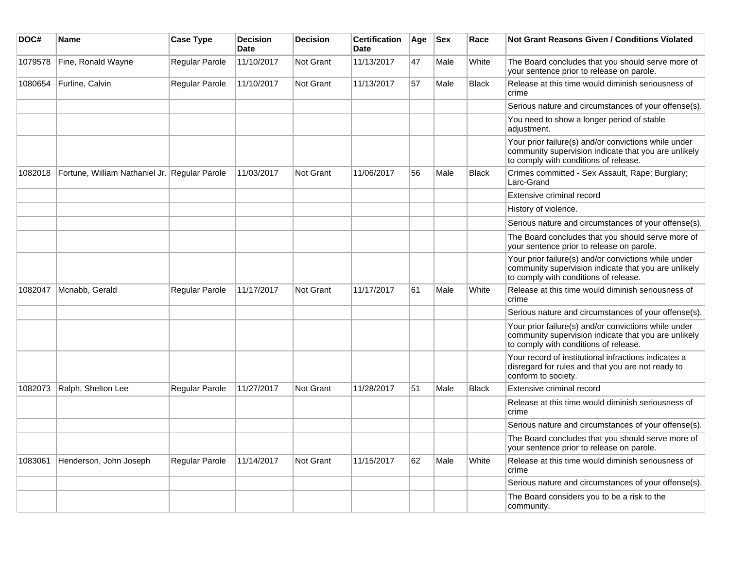| DOC#    | <b>Name</b>                                   | <b>Case Type</b> | <b>Decision</b><br><b>Date</b> | <b>Decision</b>  | <b>Certification</b><br><b>Date</b> | Age | <b>Sex</b> | Race         | Not Grant Reasons Given / Conditions Violated                                                                                                         |
|---------|-----------------------------------------------|------------------|--------------------------------|------------------|-------------------------------------|-----|------------|--------------|-------------------------------------------------------------------------------------------------------------------------------------------------------|
| 1079578 | Fine, Ronald Wayne                            | Regular Parole   | 11/10/2017                     | Not Grant        | 11/13/2017                          | 47  | Male       | White        | The Board concludes that you should serve more of<br>your sentence prior to release on parole.                                                        |
| 1080654 | Furline, Calvin                               | Regular Parole   | 11/10/2017                     | <b>Not Grant</b> | 11/13/2017                          | 57  | Male       | <b>Black</b> | Release at this time would diminish seriousness of<br>crime                                                                                           |
|         |                                               |                  |                                |                  |                                     |     |            |              | Serious nature and circumstances of your offense(s).                                                                                                  |
|         |                                               |                  |                                |                  |                                     |     |            |              | You need to show a longer period of stable<br>adjustment.                                                                                             |
|         |                                               |                  |                                |                  |                                     |     |            |              | Your prior failure(s) and/or convictions while under<br>community supervision indicate that you are unlikely<br>to comply with conditions of release. |
| 1082018 | Fortune, William Nathaniel Jr. Regular Parole |                  | 11/03/2017                     | <b>Not Grant</b> | 11/06/2017                          | 56  | Male       | <b>Black</b> | Crimes committed - Sex Assault, Rape; Burglary;<br>Larc-Grand                                                                                         |
|         |                                               |                  |                                |                  |                                     |     |            |              | Extensive criminal record                                                                                                                             |
|         |                                               |                  |                                |                  |                                     |     |            |              | History of violence.                                                                                                                                  |
|         |                                               |                  |                                |                  |                                     |     |            |              | Serious nature and circumstances of your offense(s).                                                                                                  |
|         |                                               |                  |                                |                  |                                     |     |            |              | The Board concludes that you should serve more of<br>your sentence prior to release on parole.                                                        |
|         |                                               |                  |                                |                  |                                     |     |            |              | Your prior failure(s) and/or convictions while under<br>community supervision indicate that you are unlikely<br>to comply with conditions of release. |
| 1082047 | Mcnabb, Gerald                                | Regular Parole   | 11/17/2017                     | <b>Not Grant</b> | 11/17/2017                          | 61  | Male       | White        | Release at this time would diminish seriousness of<br>crime                                                                                           |
|         |                                               |                  |                                |                  |                                     |     |            |              | Serious nature and circumstances of your offense(s).                                                                                                  |
|         |                                               |                  |                                |                  |                                     |     |            |              | Your prior failure(s) and/or convictions while under<br>community supervision indicate that you are unlikely<br>to comply with conditions of release. |
|         |                                               |                  |                                |                  |                                     |     |            |              | Your record of institutional infractions indicates a<br>disregard for rules and that you are not ready to<br>conform to society.                      |
| 1082073 | Ralph, Shelton Lee                            | Regular Parole   | 11/27/2017                     | <b>Not Grant</b> | 11/28/2017                          | 51  | Male       | <b>Black</b> | Extensive criminal record                                                                                                                             |
|         |                                               |                  |                                |                  |                                     |     |            |              | Release at this time would diminish seriousness of<br>crime                                                                                           |
|         |                                               |                  |                                |                  |                                     |     |            |              | Serious nature and circumstances of your offense(s).                                                                                                  |
|         |                                               |                  |                                |                  |                                     |     |            |              | The Board concludes that you should serve more of<br>your sentence prior to release on parole.                                                        |
| 1083061 | Henderson, John Joseph                        | Regular Parole   | 11/14/2017                     | <b>Not Grant</b> | 11/15/2017                          | 62  | Male       | White        | Release at this time would diminish seriousness of<br>crime                                                                                           |
|         |                                               |                  |                                |                  |                                     |     |            |              | Serious nature and circumstances of your offense(s).                                                                                                  |
|         |                                               |                  |                                |                  |                                     |     |            |              | The Board considers you to be a risk to the<br>community.                                                                                             |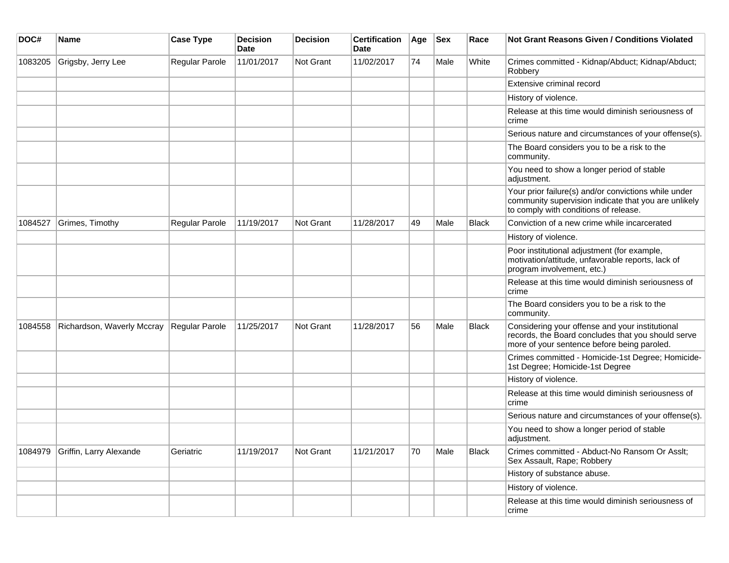| DOC#    | Name                       | <b>Case Type</b> | <b>Decision</b><br><b>Date</b> | <b>Decision</b> | <b>Certification</b><br><b>Date</b> | Age | <b>Sex</b> | Race         | <b>Not Grant Reasons Given / Conditions Violated</b>                                                                                                  |
|---------|----------------------------|------------------|--------------------------------|-----------------|-------------------------------------|-----|------------|--------------|-------------------------------------------------------------------------------------------------------------------------------------------------------|
| 1083205 | Grigsby, Jerry Lee         | Regular Parole   | 11/01/2017                     | Not Grant       | 11/02/2017                          | 74  | Male       | White        | Crimes committed - Kidnap/Abduct; Kidnap/Abduct;<br>Robbery                                                                                           |
|         |                            |                  |                                |                 |                                     |     |            |              | Extensive criminal record                                                                                                                             |
|         |                            |                  |                                |                 |                                     |     |            |              | History of violence.                                                                                                                                  |
|         |                            |                  |                                |                 |                                     |     |            |              | Release at this time would diminish seriousness of<br>crime                                                                                           |
|         |                            |                  |                                |                 |                                     |     |            |              | Serious nature and circumstances of your offense(s).                                                                                                  |
|         |                            |                  |                                |                 |                                     |     |            |              | The Board considers you to be a risk to the<br>community.                                                                                             |
|         |                            |                  |                                |                 |                                     |     |            |              | You need to show a longer period of stable<br>adjustment.                                                                                             |
|         |                            |                  |                                |                 |                                     |     |            |              | Your prior failure(s) and/or convictions while under<br>community supervision indicate that you are unlikely<br>to comply with conditions of release. |
| 1084527 | Grimes, Timothy            | Regular Parole   | 11/19/2017                     | Not Grant       | 11/28/2017                          | 49  | Male       | <b>Black</b> | Conviction of a new crime while incarcerated                                                                                                          |
|         |                            |                  |                                |                 |                                     |     |            |              | History of violence.                                                                                                                                  |
|         |                            |                  |                                |                 |                                     |     |            |              | Poor institutional adjustment (for example,<br>motivation/attitude, unfavorable reports, lack of<br>program involvement, etc.)                        |
|         |                            |                  |                                |                 |                                     |     |            |              | Release at this time would diminish seriousness of<br>crime                                                                                           |
|         |                            |                  |                                |                 |                                     |     |            |              | The Board considers you to be a risk to the<br>community.                                                                                             |
| 1084558 | Richardson, Waverly Mccray | Regular Parole   | 11/25/2017                     | Not Grant       | 11/28/2017                          | 56  | Male       | Black        | Considering your offense and your institutional<br>records, the Board concludes that you should serve<br>more of your sentence before being paroled.  |
|         |                            |                  |                                |                 |                                     |     |            |              | Crimes committed - Homicide-1st Degree; Homicide-<br>1st Degree; Homicide-1st Degree                                                                  |
|         |                            |                  |                                |                 |                                     |     |            |              | History of violence.                                                                                                                                  |
|         |                            |                  |                                |                 |                                     |     |            |              | Release at this time would diminish seriousness of<br>crime                                                                                           |
|         |                            |                  |                                |                 |                                     |     |            |              | Serious nature and circumstances of your offense(s).                                                                                                  |
|         |                            |                  |                                |                 |                                     |     |            |              | You need to show a longer period of stable<br>adjustment.                                                                                             |
| 1084979 | Griffin, Larry Alexande    | Geriatric        | 11/19/2017                     | Not Grant       | 11/21/2017                          | 70  | Male       | Black        | Crimes committed - Abduct-No Ransom Or Asslt;<br>Sex Assault, Rape; Robbery                                                                           |
|         |                            |                  |                                |                 |                                     |     |            |              | History of substance abuse.                                                                                                                           |
|         |                            |                  |                                |                 |                                     |     |            |              | History of violence.                                                                                                                                  |
|         |                            |                  |                                |                 |                                     |     |            |              | Release at this time would diminish seriousness of<br>crime                                                                                           |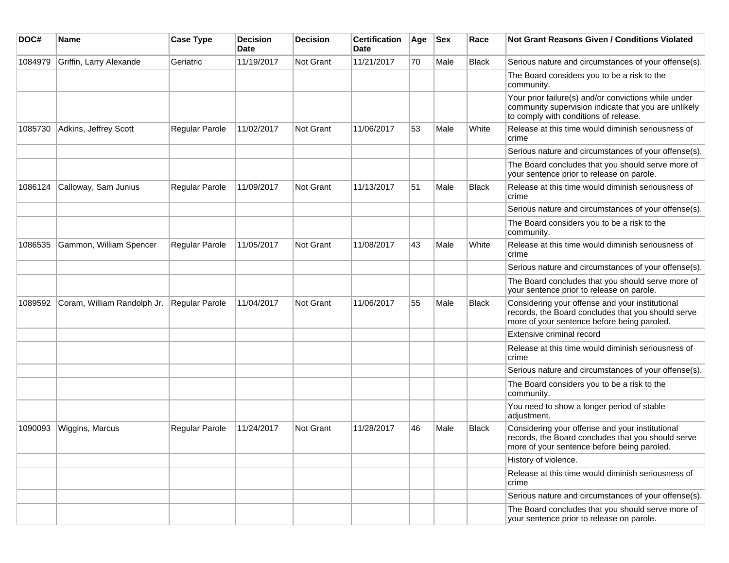| DOC#    | <b>Name</b>                 | <b>Case Type</b>      | <b>Decision</b><br><b>Date</b> | <b>Decision</b>  | <b>Certification</b><br>Date | Age | <b>Sex</b> | Race         | <b>Not Grant Reasons Given / Conditions Violated</b>                                                                                                  |
|---------|-----------------------------|-----------------------|--------------------------------|------------------|------------------------------|-----|------------|--------------|-------------------------------------------------------------------------------------------------------------------------------------------------------|
| 1084979 | Griffin, Larry Alexande     | Geriatric             | 11/19/2017                     | <b>Not Grant</b> | 11/21/2017                   | 70  | Male       | <b>Black</b> | Serious nature and circumstances of your offense(s).                                                                                                  |
|         |                             |                       |                                |                  |                              |     |            |              | The Board considers you to be a risk to the<br>community.                                                                                             |
|         |                             |                       |                                |                  |                              |     |            |              | Your prior failure(s) and/or convictions while under<br>community supervision indicate that you are unlikely<br>to comply with conditions of release. |
| 1085730 | Adkins, Jeffrey Scott       | <b>Regular Parole</b> | 11/02/2017                     | <b>Not Grant</b> | 11/06/2017                   | 53  | Male       | White        | Release at this time would diminish seriousness of<br>crime                                                                                           |
|         |                             |                       |                                |                  |                              |     |            |              | Serious nature and circumstances of your offense(s).                                                                                                  |
|         |                             |                       |                                |                  |                              |     |            |              | The Board concludes that you should serve more of<br>your sentence prior to release on parole.                                                        |
| 1086124 | Calloway, Sam Junius        | Regular Parole        | 11/09/2017                     | <b>Not Grant</b> | 11/13/2017                   | 51  | Male       | <b>Black</b> | Release at this time would diminish seriousness of<br>crime                                                                                           |
|         |                             |                       |                                |                  |                              |     |            |              | Serious nature and circumstances of your offense(s).                                                                                                  |
|         |                             |                       |                                |                  |                              |     |            |              | The Board considers you to be a risk to the<br>community.                                                                                             |
| 1086535 | Gammon, William Spencer     | Regular Parole        | 11/05/2017                     | <b>Not Grant</b> | 11/08/2017                   | 43  | Male       | White        | Release at this time would diminish seriousness of<br>crime                                                                                           |
|         |                             |                       |                                |                  |                              |     |            |              | Serious nature and circumstances of your offense(s).                                                                                                  |
|         |                             |                       |                                |                  |                              |     |            |              | The Board concludes that you should serve more of<br>your sentence prior to release on parole.                                                        |
| 1089592 | Coram, William Randolph Jr. | Regular Parole        | 11/04/2017                     | Not Grant        | 11/06/2017                   | 55  | Male       | <b>Black</b> | Considering your offense and your institutional<br>records, the Board concludes that you should serve<br>more of your sentence before being paroled.  |
|         |                             |                       |                                |                  |                              |     |            |              | Extensive criminal record                                                                                                                             |
|         |                             |                       |                                |                  |                              |     |            |              | Release at this time would diminish seriousness of<br>crime                                                                                           |
|         |                             |                       |                                |                  |                              |     |            |              | Serious nature and circumstances of your offense(s).                                                                                                  |
|         |                             |                       |                                |                  |                              |     |            |              | The Board considers you to be a risk to the<br>community.                                                                                             |
|         |                             |                       |                                |                  |                              |     |            |              | You need to show a longer period of stable<br>adjustment.                                                                                             |
| 1090093 | Wiggins, Marcus             | Regular Parole        | 11/24/2017                     | <b>Not Grant</b> | 11/28/2017                   | 46  | Male       | <b>Black</b> | Considering your offense and your institutional<br>records, the Board concludes that you should serve<br>more of your sentence before being paroled.  |
|         |                             |                       |                                |                  |                              |     |            |              | History of violence.                                                                                                                                  |
|         |                             |                       |                                |                  |                              |     |            |              | Release at this time would diminish seriousness of<br>crime                                                                                           |
|         |                             |                       |                                |                  |                              |     |            |              | Serious nature and circumstances of your offense(s).                                                                                                  |
|         |                             |                       |                                |                  |                              |     |            |              | The Board concludes that you should serve more of<br>your sentence prior to release on parole.                                                        |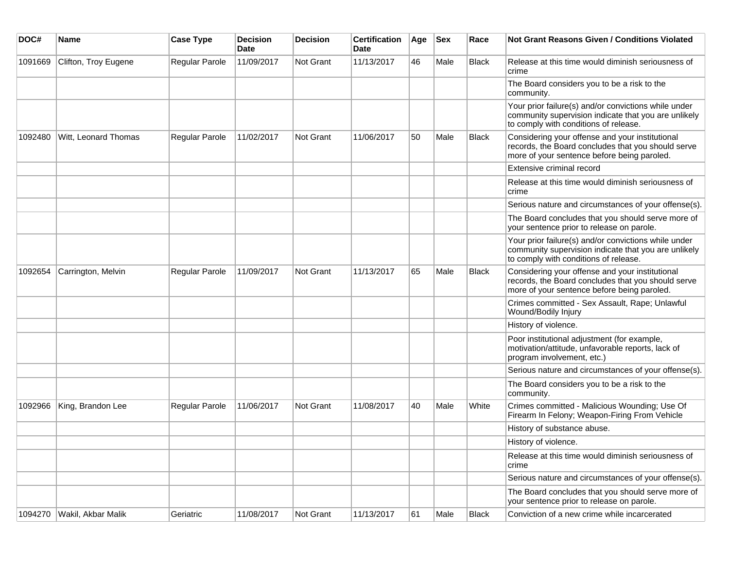| DOC#    | <b>Name</b>          | <b>Case Type</b> | Decision<br><b>Date</b> | <b>Decision</b> | <b>Certification</b><br>Date | Age | <b>Sex</b> | Race         | Not Grant Reasons Given / Conditions Violated                                                                                                         |
|---------|----------------------|------------------|-------------------------|-----------------|------------------------------|-----|------------|--------------|-------------------------------------------------------------------------------------------------------------------------------------------------------|
| 1091669 | Clifton, Troy Eugene | Regular Parole   | 11/09/2017              | Not Grant       | 11/13/2017                   | 46  | Male       | Black        | Release at this time would diminish seriousness of<br>crime                                                                                           |
|         |                      |                  |                         |                 |                              |     |            |              | The Board considers you to be a risk to the<br>community.                                                                                             |
|         |                      |                  |                         |                 |                              |     |            |              | Your prior failure(s) and/or convictions while under<br>community supervision indicate that you are unlikely<br>to comply with conditions of release. |
| 1092480 | Witt, Leonard Thomas | Regular Parole   | 11/02/2017              | Not Grant       | 11/06/2017                   | 50  | Male       | <b>Black</b> | Considering your offense and your institutional<br>records, the Board concludes that you should serve<br>more of your sentence before being paroled.  |
|         |                      |                  |                         |                 |                              |     |            |              | Extensive criminal record                                                                                                                             |
|         |                      |                  |                         |                 |                              |     |            |              | Release at this time would diminish seriousness of<br>crime                                                                                           |
|         |                      |                  |                         |                 |                              |     |            |              | Serious nature and circumstances of your offense(s).                                                                                                  |
|         |                      |                  |                         |                 |                              |     |            |              | The Board concludes that you should serve more of<br>your sentence prior to release on parole.                                                        |
|         |                      |                  |                         |                 |                              |     |            |              | Your prior failure(s) and/or convictions while under<br>community supervision indicate that you are unlikely<br>to comply with conditions of release. |
| 1092654 | Carrington, Melvin   | Regular Parole   | 11/09/2017              | Not Grant       | 11/13/2017                   | 65  | Male       | <b>Black</b> | Considering your offense and your institutional<br>records, the Board concludes that you should serve<br>more of your sentence before being paroled.  |
|         |                      |                  |                         |                 |                              |     |            |              | Crimes committed - Sex Assault, Rape; Unlawful<br>Wound/Bodily Injury                                                                                 |
|         |                      |                  |                         |                 |                              |     |            |              | History of violence.                                                                                                                                  |
|         |                      |                  |                         |                 |                              |     |            |              | Poor institutional adjustment (for example,<br>motivation/attitude, unfavorable reports, lack of<br>program involvement, etc.)                        |
|         |                      |                  |                         |                 |                              |     |            |              | Serious nature and circumstances of your offense(s).                                                                                                  |
|         |                      |                  |                         |                 |                              |     |            |              | The Board considers you to be a risk to the<br>community.                                                                                             |
| 1092966 | King, Brandon Lee    | Regular Parole   | 11/06/2017              | Not Grant       | 11/08/2017                   | 40  | Male       | White        | Crimes committed - Malicious Wounding; Use Of<br>Firearm In Felony; Weapon-Firing From Vehicle                                                        |
|         |                      |                  |                         |                 |                              |     |            |              | History of substance abuse.                                                                                                                           |
|         |                      |                  |                         |                 |                              |     |            |              | History of violence.                                                                                                                                  |
|         |                      |                  |                         |                 |                              |     |            |              | Release at this time would diminish seriousness of<br>crime                                                                                           |
|         |                      |                  |                         |                 |                              |     |            |              | Serious nature and circumstances of your offense(s).                                                                                                  |
|         |                      |                  |                         |                 |                              |     |            |              | The Board concludes that you should serve more of<br>your sentence prior to release on parole.                                                        |
| 1094270 | Wakil, Akbar Malik   | Geriatric        | 11/08/2017              | Not Grant       | 11/13/2017                   | 61  | Male       | Black        | Conviction of a new crime while incarcerated                                                                                                          |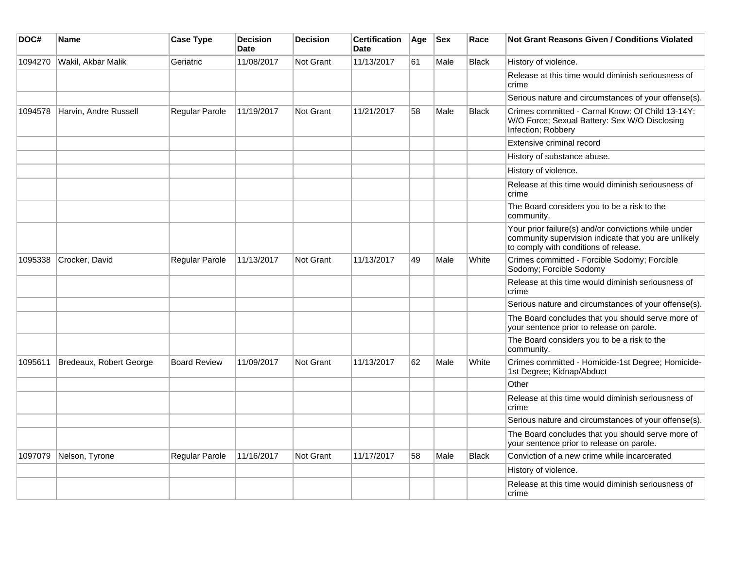| DOC#    | Name                    | <b>Case Type</b>      | <b>Decision</b><br><b>Date</b> | <b>Decision</b> | <b>Certification</b><br><b>Date</b> | Age | <b>Sex</b> | Race         | <b>Not Grant Reasons Given / Conditions Violated</b>                                                                                                  |
|---------|-------------------------|-----------------------|--------------------------------|-----------------|-------------------------------------|-----|------------|--------------|-------------------------------------------------------------------------------------------------------------------------------------------------------|
| 1094270 | Wakil, Akbar Malik      | Geriatric             | 11/08/2017                     | Not Grant       | 11/13/2017                          | 61  | Male       | <b>Black</b> | History of violence.                                                                                                                                  |
|         |                         |                       |                                |                 |                                     |     |            |              | Release at this time would diminish seriousness of<br>crime                                                                                           |
|         |                         |                       |                                |                 |                                     |     |            |              | Serious nature and circumstances of your offense(s).                                                                                                  |
| 1094578 | Harvin, Andre Russell   | Regular Parole        | 11/19/2017                     | Not Grant       | 11/21/2017                          | 58  | Male       | <b>Black</b> | Crimes committed - Carnal Know: Of Child 13-14Y:<br>W/O Force; Sexual Battery: Sex W/O Disclosing<br>Infection; Robbery                               |
|         |                         |                       |                                |                 |                                     |     |            |              | Extensive criminal record                                                                                                                             |
|         |                         |                       |                                |                 |                                     |     |            |              | History of substance abuse.                                                                                                                           |
|         |                         |                       |                                |                 |                                     |     |            |              | History of violence.                                                                                                                                  |
|         |                         |                       |                                |                 |                                     |     |            |              | Release at this time would diminish seriousness of<br>crime                                                                                           |
|         |                         |                       |                                |                 |                                     |     |            |              | The Board considers you to be a risk to the<br>community.                                                                                             |
|         |                         |                       |                                |                 |                                     |     |            |              | Your prior failure(s) and/or convictions while under<br>community supervision indicate that you are unlikely<br>to comply with conditions of release. |
| 1095338 | Crocker, David          | <b>Regular Parole</b> | 11/13/2017                     | Not Grant       | 11/13/2017                          | 49  | Male       | White        | Crimes committed - Forcible Sodomy; Forcible<br>Sodomy; Forcible Sodomy                                                                               |
|         |                         |                       |                                |                 |                                     |     |            |              | Release at this time would diminish seriousness of<br>crime                                                                                           |
|         |                         |                       |                                |                 |                                     |     |            |              | Serious nature and circumstances of your offense(s).                                                                                                  |
|         |                         |                       |                                |                 |                                     |     |            |              | The Board concludes that you should serve more of<br>your sentence prior to release on parole.                                                        |
|         |                         |                       |                                |                 |                                     |     |            |              | The Board considers you to be a risk to the<br>community.                                                                                             |
| 1095611 | Bredeaux, Robert George | <b>Board Review</b>   | 11/09/2017                     | Not Grant       | 11/13/2017                          | 62  | Male       | White        | Crimes committed - Homicide-1st Degree; Homicide-<br>1st Degree; Kidnap/Abduct                                                                        |
|         |                         |                       |                                |                 |                                     |     |            |              | Other                                                                                                                                                 |
|         |                         |                       |                                |                 |                                     |     |            |              | Release at this time would diminish seriousness of<br>crime                                                                                           |
|         |                         |                       |                                |                 |                                     |     |            |              | Serious nature and circumstances of your offense(s).                                                                                                  |
|         |                         |                       |                                |                 |                                     |     |            |              | The Board concludes that you should serve more of<br>your sentence prior to release on parole.                                                        |
| 1097079 | Nelson, Tyrone          | Regular Parole        | 11/16/2017                     | Not Grant       | 11/17/2017                          | 58  | Male       | <b>Black</b> | Conviction of a new crime while incarcerated                                                                                                          |
|         |                         |                       |                                |                 |                                     |     |            |              | History of violence.                                                                                                                                  |
|         |                         |                       |                                |                 |                                     |     |            |              | Release at this time would diminish seriousness of<br>crime                                                                                           |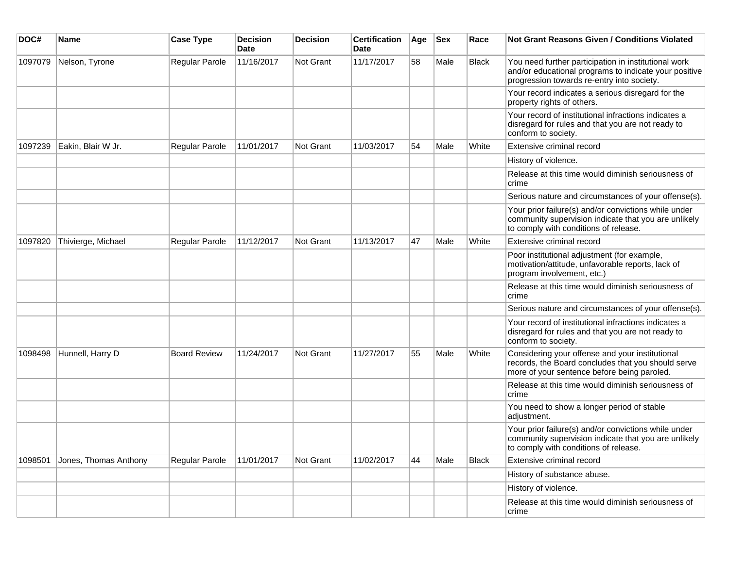| DOC#    | <b>Name</b>           | <b>Case Type</b>    | <b>Decision</b><br><b>Date</b> | <b>Decision</b> | <b>Certification</b><br>Date | Age | <b>Sex</b> | Race         | <b>Not Grant Reasons Given / Conditions Violated</b>                                                                                                        |
|---------|-----------------------|---------------------|--------------------------------|-----------------|------------------------------|-----|------------|--------------|-------------------------------------------------------------------------------------------------------------------------------------------------------------|
| 1097079 | Nelson, Tyrone        | Regular Parole      | 11/16/2017                     | Not Grant       | 11/17/2017                   | 58  | Male       | <b>Black</b> | You need further participation in institutional work<br>and/or educational programs to indicate your positive<br>progression towards re-entry into society. |
|         |                       |                     |                                |                 |                              |     |            |              | Your record indicates a serious disregard for the<br>property rights of others.                                                                             |
|         |                       |                     |                                |                 |                              |     |            |              | Your record of institutional infractions indicates a<br>disregard for rules and that you are not ready to<br>conform to society.                            |
| 1097239 | Eakin, Blair W Jr.    | Regular Parole      | 11/01/2017                     | Not Grant       | 11/03/2017                   | 54  | Male       | White        | Extensive criminal record                                                                                                                                   |
|         |                       |                     |                                |                 |                              |     |            |              | History of violence.                                                                                                                                        |
|         |                       |                     |                                |                 |                              |     |            |              | Release at this time would diminish seriousness of<br>crime                                                                                                 |
|         |                       |                     |                                |                 |                              |     |            |              | Serious nature and circumstances of your offense(s).                                                                                                        |
|         |                       |                     |                                |                 |                              |     |            |              | Your prior failure(s) and/or convictions while under<br>community supervision indicate that you are unlikely<br>to comply with conditions of release.       |
| 1097820 | Thivierge, Michael    | Regular Parole      | 11/12/2017                     | Not Grant       | 11/13/2017                   | 47  | Male       | White        | Extensive criminal record                                                                                                                                   |
|         |                       |                     |                                |                 |                              |     |            |              | Poor institutional adjustment (for example,<br>motivation/attitude, unfavorable reports, lack of<br>program involvement, etc.)                              |
|         |                       |                     |                                |                 |                              |     |            |              | Release at this time would diminish seriousness of<br>crime                                                                                                 |
|         |                       |                     |                                |                 |                              |     |            |              | Serious nature and circumstances of your offense(s).                                                                                                        |
|         |                       |                     |                                |                 |                              |     |            |              | Your record of institutional infractions indicates a<br>disregard for rules and that you are not ready to<br>conform to society.                            |
| 1098498 | Hunnell, Harry D      | <b>Board Review</b> | 11/24/2017                     | Not Grant       | 11/27/2017                   | 55  | Male       | White        | Considering your offense and your institutional<br>records, the Board concludes that you should serve<br>more of your sentence before being paroled.        |
|         |                       |                     |                                |                 |                              |     |            |              | Release at this time would diminish seriousness of<br>crime                                                                                                 |
|         |                       |                     |                                |                 |                              |     |            |              | You need to show a longer period of stable<br>adjustment.                                                                                                   |
|         |                       |                     |                                |                 |                              |     |            |              | Your prior failure(s) and/or convictions while under<br>community supervision indicate that you are unlikely<br>to comply with conditions of release.       |
| 1098501 | Jones, Thomas Anthony | Regular Parole      | 11/01/2017                     | Not Grant       | 11/02/2017                   | 44  | Male       | <b>Black</b> | Extensive criminal record                                                                                                                                   |
|         |                       |                     |                                |                 |                              |     |            |              | History of substance abuse.                                                                                                                                 |
|         |                       |                     |                                |                 |                              |     |            |              | History of violence.                                                                                                                                        |
|         |                       |                     |                                |                 |                              |     |            |              | Release at this time would diminish seriousness of<br>crime                                                                                                 |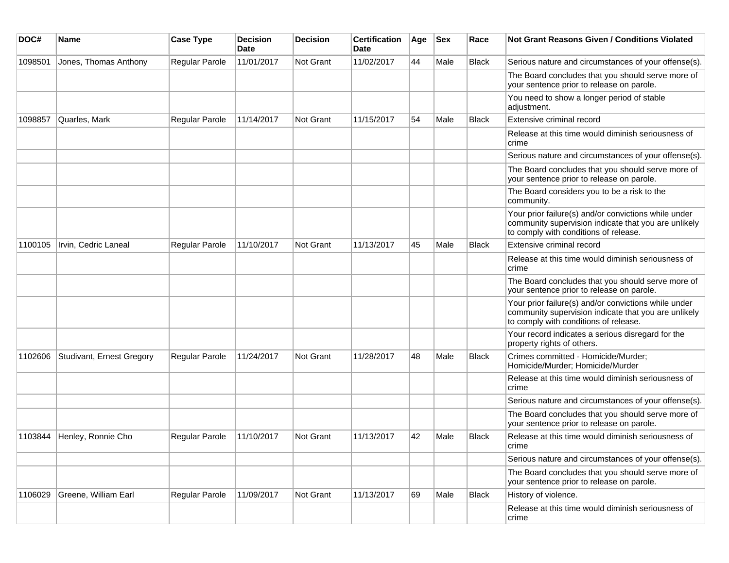| DOC#    | <b>Name</b>               | <b>Case Type</b>      | <b>Decision</b><br>Date | <b>Decision</b>  | <b>Certification</b><br>Date | Age | <b>Sex</b> | Race         | <b>Not Grant Reasons Given / Conditions Violated</b>                                                                                                  |
|---------|---------------------------|-----------------------|-------------------------|------------------|------------------------------|-----|------------|--------------|-------------------------------------------------------------------------------------------------------------------------------------------------------|
| 1098501 | Jones, Thomas Anthony     | Regular Parole        | 11/01/2017              | Not Grant        | 11/02/2017                   | 44  | Male       | <b>Black</b> | Serious nature and circumstances of your offense(s).                                                                                                  |
|         |                           |                       |                         |                  |                              |     |            |              | The Board concludes that you should serve more of<br>your sentence prior to release on parole.                                                        |
|         |                           |                       |                         |                  |                              |     |            |              | You need to show a longer period of stable<br>adjustment.                                                                                             |
| 1098857 | Quarles, Mark             | Regular Parole        | 11/14/2017              | <b>Not Grant</b> | 11/15/2017                   | 54  | Male       | Black        | Extensive criminal record                                                                                                                             |
|         |                           |                       |                         |                  |                              |     |            |              | Release at this time would diminish seriousness of<br>crime                                                                                           |
|         |                           |                       |                         |                  |                              |     |            |              | Serious nature and circumstances of your offense(s).                                                                                                  |
|         |                           |                       |                         |                  |                              |     |            |              | The Board concludes that you should serve more of<br>your sentence prior to release on parole.                                                        |
|         |                           |                       |                         |                  |                              |     |            |              | The Board considers you to be a risk to the<br>community.                                                                                             |
|         |                           |                       |                         |                  |                              |     |            |              | Your prior failure(s) and/or convictions while under<br>community supervision indicate that you are unlikely<br>to comply with conditions of release. |
| 1100105 | Irvin, Cedric Laneal      | Regular Parole        | 11/10/2017              | <b>Not Grant</b> | 11/13/2017                   | 45  | Male       | <b>Black</b> | Extensive criminal record                                                                                                                             |
|         |                           |                       |                         |                  |                              |     |            |              | Release at this time would diminish seriousness of<br>crime                                                                                           |
|         |                           |                       |                         |                  |                              |     |            |              | The Board concludes that you should serve more of<br>your sentence prior to release on parole.                                                        |
|         |                           |                       |                         |                  |                              |     |            |              | Your prior failure(s) and/or convictions while under<br>community supervision indicate that you are unlikely<br>to comply with conditions of release. |
|         |                           |                       |                         |                  |                              |     |            |              | Your record indicates a serious disregard for the<br>property rights of others.                                                                       |
| 1102606 | Studivant, Ernest Gregory | Regular Parole        | 11/24/2017              | Not Grant        | 11/28/2017                   | 48  | Male       | <b>Black</b> | Crimes committed - Homicide/Murder;<br>Homicide/Murder; Homicide/Murder                                                                               |
|         |                           |                       |                         |                  |                              |     |            |              | Release at this time would diminish seriousness of<br>crime                                                                                           |
|         |                           |                       |                         |                  |                              |     |            |              | Serious nature and circumstances of your offense(s).                                                                                                  |
|         |                           |                       |                         |                  |                              |     |            |              | The Board concludes that you should serve more of<br>your sentence prior to release on parole.                                                        |
| 1103844 | Henley, Ronnie Cho        | <b>Regular Parole</b> | 11/10/2017              | Not Grant        | 11/13/2017                   | 42  | Male       | <b>Black</b> | Release at this time would diminish seriousness of<br>crime                                                                                           |
|         |                           |                       |                         |                  |                              |     |            |              | Serious nature and circumstances of your offense(s).                                                                                                  |
|         |                           |                       |                         |                  |                              |     |            |              | The Board concludes that you should serve more of<br>your sentence prior to release on parole.                                                        |
| 1106029 | Greene, William Earl      | Regular Parole        | 11/09/2017              | Not Grant        | 11/13/2017                   | 69  | Male       | <b>Black</b> | History of violence.                                                                                                                                  |
|         |                           |                       |                         |                  |                              |     |            |              | Release at this time would diminish seriousness of<br>crime                                                                                           |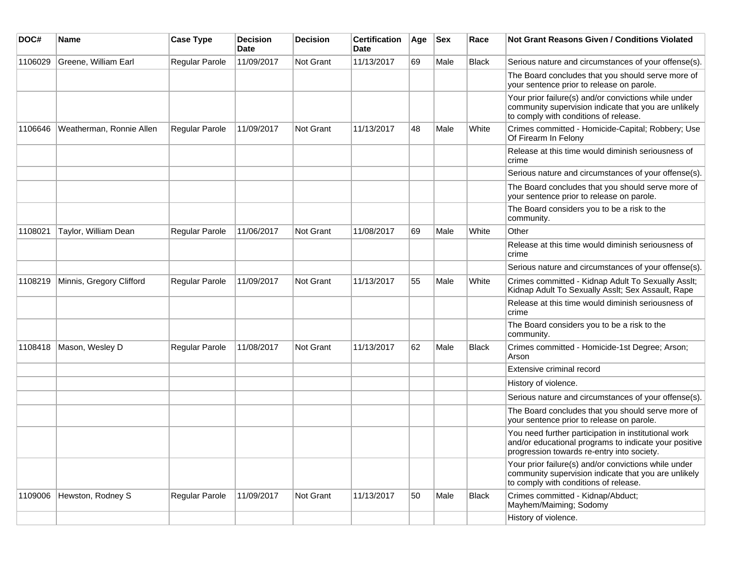| DOC#    | Name                     | <b>Case Type</b> | <b>Decision</b><br>Date | <b>Decision</b> | <b>Certification</b><br>Date | Age | <b>Sex</b> | Race         | <b>Not Grant Reasons Given / Conditions Violated</b>                                                                                                        |
|---------|--------------------------|------------------|-------------------------|-----------------|------------------------------|-----|------------|--------------|-------------------------------------------------------------------------------------------------------------------------------------------------------------|
| 1106029 | Greene, William Earl     | Regular Parole   | 11/09/2017              | Not Grant       | 11/13/2017                   | 69  | Male       | <b>Black</b> | Serious nature and circumstances of your offense(s).                                                                                                        |
|         |                          |                  |                         |                 |                              |     |            |              | The Board concludes that you should serve more of<br>your sentence prior to release on parole.                                                              |
|         |                          |                  |                         |                 |                              |     |            |              | Your prior failure(s) and/or convictions while under<br>community supervision indicate that you are unlikely<br>to comply with conditions of release.       |
| 1106646 | Weatherman, Ronnie Allen | Regular Parole   | 11/09/2017              | Not Grant       | 11/13/2017                   | 48  | Male       | White        | Crimes committed - Homicide-Capital; Robbery; Use<br>Of Firearm In Felony                                                                                   |
|         |                          |                  |                         |                 |                              |     |            |              | Release at this time would diminish seriousness of<br>crime                                                                                                 |
|         |                          |                  |                         |                 |                              |     |            |              | Serious nature and circumstances of your offense(s).                                                                                                        |
|         |                          |                  |                         |                 |                              |     |            |              | The Board concludes that you should serve more of<br>your sentence prior to release on parole.                                                              |
|         |                          |                  |                         |                 |                              |     |            |              | The Board considers you to be a risk to the<br>community.                                                                                                   |
| 1108021 | Taylor, William Dean     | Regular Parole   | 11/06/2017              | Not Grant       | 11/08/2017                   | 69  | Male       | White        | Other                                                                                                                                                       |
|         |                          |                  |                         |                 |                              |     |            |              | Release at this time would diminish seriousness of<br>crime                                                                                                 |
|         |                          |                  |                         |                 |                              |     |            |              | Serious nature and circumstances of your offense(s).                                                                                                        |
| 1108219 | Minnis, Gregory Clifford | Regular Parole   | 11/09/2017              | Not Grant       | 11/13/2017                   | 55  | Male       | White        | Crimes committed - Kidnap Adult To Sexually Asslt;<br>Kidnap Adult To Sexually Asslt; Sex Assault, Rape                                                     |
|         |                          |                  |                         |                 |                              |     |            |              | Release at this time would diminish seriousness of<br>crime                                                                                                 |
|         |                          |                  |                         |                 |                              |     |            |              | The Board considers you to be a risk to the<br>community.                                                                                                   |
| 1108418 | Mason, Wesley D          | Regular Parole   | 11/08/2017              | Not Grant       | 11/13/2017                   | 62  | Male       | <b>Black</b> | Crimes committed - Homicide-1st Degree; Arson;<br>Arson                                                                                                     |
|         |                          |                  |                         |                 |                              |     |            |              | Extensive criminal record                                                                                                                                   |
|         |                          |                  |                         |                 |                              |     |            |              | History of violence.                                                                                                                                        |
|         |                          |                  |                         |                 |                              |     |            |              | Serious nature and circumstances of your offense(s).                                                                                                        |
|         |                          |                  |                         |                 |                              |     |            |              | The Board concludes that you should serve more of<br>your sentence prior to release on parole.                                                              |
|         |                          |                  |                         |                 |                              |     |            |              | You need further participation in institutional work<br>and/or educational programs to indicate your positive<br>progression towards re-entry into society. |
|         |                          |                  |                         |                 |                              |     |            |              | Your prior failure(s) and/or convictions while under<br>community supervision indicate that you are unlikely<br>to comply with conditions of release.       |
| 1109006 | Hewston, Rodney S        | Regular Parole   | 11/09/2017              | Not Grant       | 11/13/2017                   | 50  | Male       | Black        | Crimes committed - Kidnap/Abduct;<br>Mayhem/Maiming; Sodomy                                                                                                 |
|         |                          |                  |                         |                 |                              |     |            |              | History of violence.                                                                                                                                        |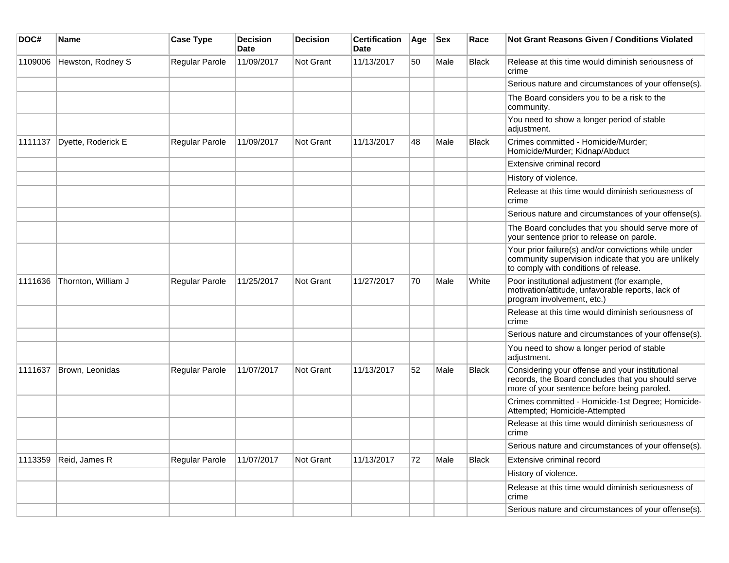| DOC#    | <b>Name</b>         | <b>Case Type</b> | Decision<br><b>Date</b> | <b>Decision</b>  | <b>Certification</b><br>Date | Age | <b>Sex</b> | Race         | Not Grant Reasons Given / Conditions Violated                                                                                                         |
|---------|---------------------|------------------|-------------------------|------------------|------------------------------|-----|------------|--------------|-------------------------------------------------------------------------------------------------------------------------------------------------------|
| 1109006 | Hewston, Rodney S   | Regular Parole   | 11/09/2017              | Not Grant        | 11/13/2017                   | 50  | Male       | Black        | Release at this time would diminish seriousness of<br>crime                                                                                           |
|         |                     |                  |                         |                  |                              |     |            |              | Serious nature and circumstances of your offense(s).                                                                                                  |
|         |                     |                  |                         |                  |                              |     |            |              | The Board considers you to be a risk to the<br>community.                                                                                             |
|         |                     |                  |                         |                  |                              |     |            |              | You need to show a longer period of stable<br>adjustment.                                                                                             |
| 1111137 | Dyette, Roderick E  | Regular Parole   | 11/09/2017              | <b>Not Grant</b> | 11/13/2017                   | 48  | Male       | <b>Black</b> | Crimes committed - Homicide/Murder;<br>Homicide/Murder; Kidnap/Abduct                                                                                 |
|         |                     |                  |                         |                  |                              |     |            |              | Extensive criminal record                                                                                                                             |
|         |                     |                  |                         |                  |                              |     |            |              | History of violence.                                                                                                                                  |
|         |                     |                  |                         |                  |                              |     |            |              | Release at this time would diminish seriousness of<br>crime                                                                                           |
|         |                     |                  |                         |                  |                              |     |            |              | Serious nature and circumstances of your offense(s).                                                                                                  |
|         |                     |                  |                         |                  |                              |     |            |              | The Board concludes that you should serve more of<br>your sentence prior to release on parole.                                                        |
|         |                     |                  |                         |                  |                              |     |            |              | Your prior failure(s) and/or convictions while under<br>community supervision indicate that you are unlikely<br>to comply with conditions of release. |
| 1111636 | Thornton, William J | Regular Parole   | 11/25/2017              | Not Grant        | 11/27/2017                   | 70  | Male       | White        | Poor institutional adjustment (for example,<br>motivation/attitude, unfavorable reports, lack of<br>program involvement, etc.)                        |
|         |                     |                  |                         |                  |                              |     |            |              | Release at this time would diminish seriousness of<br>crime                                                                                           |
|         |                     |                  |                         |                  |                              |     |            |              | Serious nature and circumstances of your offense(s).                                                                                                  |
|         |                     |                  |                         |                  |                              |     |            |              | You need to show a longer period of stable<br>adjustment.                                                                                             |
| 1111637 | Brown, Leonidas     | Regular Parole   | 11/07/2017              | <b>Not Grant</b> | 11/13/2017                   | 52  | Male       | <b>Black</b> | Considering your offense and your institutional<br>records, the Board concludes that you should serve<br>more of your sentence before being paroled.  |
|         |                     |                  |                         |                  |                              |     |            |              | Crimes committed - Homicide-1st Degree; Homicide-<br>Attempted; Homicide-Attempted                                                                    |
|         |                     |                  |                         |                  |                              |     |            |              | Release at this time would diminish seriousness of<br>crime                                                                                           |
|         |                     |                  |                         |                  |                              |     |            |              | Serious nature and circumstances of your offense(s).                                                                                                  |
| 1113359 | Reid, James R       | Regular Parole   | 11/07/2017              | Not Grant        | 11/13/2017                   | 72  | Male       | <b>Black</b> | Extensive criminal record                                                                                                                             |
|         |                     |                  |                         |                  |                              |     |            |              | History of violence.                                                                                                                                  |
|         |                     |                  |                         |                  |                              |     |            |              | Release at this time would diminish seriousness of<br>crime                                                                                           |
|         |                     |                  |                         |                  |                              |     |            |              | Serious nature and circumstances of your offense(s).                                                                                                  |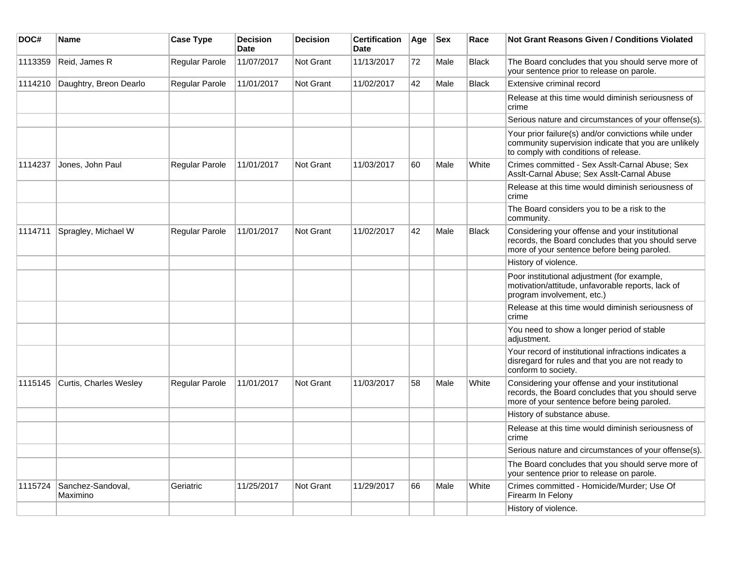| DOC#    | Name                          | <b>Case Type</b>      | <b>Decision</b><br>Date | <b>Decision</b> | <b>Certification</b><br>Date | Age | <b>Sex</b> | Race         | Not Grant Reasons Given / Conditions Violated                                                                                                         |
|---------|-------------------------------|-----------------------|-------------------------|-----------------|------------------------------|-----|------------|--------------|-------------------------------------------------------------------------------------------------------------------------------------------------------|
| 1113359 | Reid, James R                 | Regular Parole        | 11/07/2017              | Not Grant       | 11/13/2017                   | 72  | Male       | <b>Black</b> | The Board concludes that you should serve more of<br>your sentence prior to release on parole.                                                        |
| 1114210 | Daughtry, Breon Dearlo        | Regular Parole        | 11/01/2017              | Not Grant       | 11/02/2017                   | 42  | Male       | <b>Black</b> | <b>Extensive criminal record</b>                                                                                                                      |
|         |                               |                       |                         |                 |                              |     |            |              | Release at this time would diminish seriousness of<br>crime                                                                                           |
|         |                               |                       |                         |                 |                              |     |            |              | Serious nature and circumstances of your offense(s).                                                                                                  |
|         |                               |                       |                         |                 |                              |     |            |              | Your prior failure(s) and/or convictions while under<br>community supervision indicate that you are unlikely<br>to comply with conditions of release. |
| 1114237 | Jones, John Paul              | Regular Parole        | 11/01/2017              | Not Grant       | 11/03/2017                   | 60  | Male       | White        | Crimes committed - Sex Asslt-Carnal Abuse; Sex<br>Asslt-Carnal Abuse; Sex Asslt-Carnal Abuse                                                          |
|         |                               |                       |                         |                 |                              |     |            |              | Release at this time would diminish seriousness of<br>crime                                                                                           |
|         |                               |                       |                         |                 |                              |     |            |              | The Board considers you to be a risk to the<br>community.                                                                                             |
| 1114711 | Spragley, Michael W           | Regular Parole        | 11/01/2017              | Not Grant       | 11/02/2017                   | 42  | Male       | <b>Black</b> | Considering your offense and your institutional<br>records, the Board concludes that you should serve<br>more of your sentence before being paroled.  |
|         |                               |                       |                         |                 |                              |     |            |              | History of violence.                                                                                                                                  |
|         |                               |                       |                         |                 |                              |     |            |              | Poor institutional adjustment (for example,<br>motivation/attitude, unfavorable reports, lack of<br>program involvement, etc.)                        |
|         |                               |                       |                         |                 |                              |     |            |              | Release at this time would diminish seriousness of<br>crime                                                                                           |
|         |                               |                       |                         |                 |                              |     |            |              | You need to show a longer period of stable<br>adjustment.                                                                                             |
|         |                               |                       |                         |                 |                              |     |            |              | Your record of institutional infractions indicates a<br>disregard for rules and that you are not ready to<br>conform to society.                      |
| 1115145 | Curtis, Charles Wesley        | <b>Regular Parole</b> | 11/01/2017              | Not Grant       | 11/03/2017                   | 58  | Male       | White        | Considering your offense and your institutional<br>records, the Board concludes that you should serve<br>more of your sentence before being paroled.  |
|         |                               |                       |                         |                 |                              |     |            |              | History of substance abuse.                                                                                                                           |
|         |                               |                       |                         |                 |                              |     |            |              | Release at this time would diminish seriousness of<br>crime                                                                                           |
|         |                               |                       |                         |                 |                              |     |            |              | Serious nature and circumstances of your offense(s).                                                                                                  |
|         |                               |                       |                         |                 |                              |     |            |              | The Board concludes that you should serve more of<br>your sentence prior to release on parole.                                                        |
| 1115724 | Sanchez-Sandoval,<br>Maximino | Geriatric             | 11/25/2017              | Not Grant       | 11/29/2017                   | 66  | Male       | White        | Crimes committed - Homicide/Murder; Use Of<br>Firearm In Felony                                                                                       |
|         |                               |                       |                         |                 |                              |     |            |              | History of violence.                                                                                                                                  |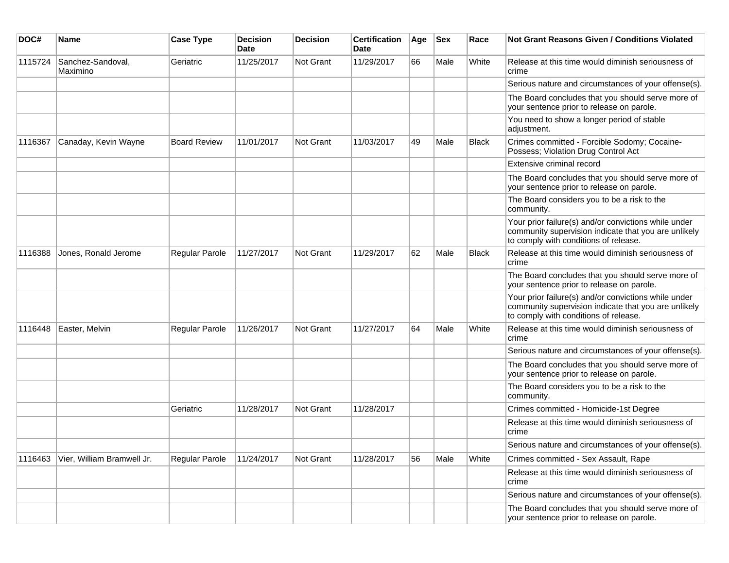| DOC#    | <b>Name</b>                   | <b>Case Type</b>      | <b>Decision</b><br><b>Date</b> | <b>Decision</b> | <b>Certification</b><br>Date | Age | <b>Sex</b> | Race         | Not Grant Reasons Given / Conditions Violated                                                                                                         |
|---------|-------------------------------|-----------------------|--------------------------------|-----------------|------------------------------|-----|------------|--------------|-------------------------------------------------------------------------------------------------------------------------------------------------------|
| 1115724 | Sanchez-Sandoval,<br>Maximino | Geriatric             | 11/25/2017                     | Not Grant       | 11/29/2017                   | 66  | Male       | White        | Release at this time would diminish seriousness of<br>crime                                                                                           |
|         |                               |                       |                                |                 |                              |     |            |              | Serious nature and circumstances of your offense(s).                                                                                                  |
|         |                               |                       |                                |                 |                              |     |            |              | The Board concludes that you should serve more of<br>your sentence prior to release on parole.                                                        |
|         |                               |                       |                                |                 |                              |     |            |              | You need to show a longer period of stable<br>adjustment.                                                                                             |
| 1116367 | Canaday, Kevin Wayne          | <b>Board Review</b>   | 11/01/2017                     | Not Grant       | 11/03/2017                   | 49  | Male       | <b>Black</b> | Crimes committed - Forcible Sodomy; Cocaine-<br>Possess; Violation Drug Control Act                                                                   |
|         |                               |                       |                                |                 |                              |     |            |              | Extensive criminal record                                                                                                                             |
|         |                               |                       |                                |                 |                              |     |            |              | The Board concludes that you should serve more of<br>your sentence prior to release on parole.                                                        |
|         |                               |                       |                                |                 |                              |     |            |              | The Board considers you to be a risk to the<br>community.                                                                                             |
|         |                               |                       |                                |                 |                              |     |            |              | Your prior failure(s) and/or convictions while under<br>community supervision indicate that you are unlikely<br>to comply with conditions of release. |
| 1116388 | Jones, Ronald Jerome          | Regular Parole        | 11/27/2017                     | Not Grant       | 11/29/2017                   | 62  | Male       | <b>Black</b> | Release at this time would diminish seriousness of<br>crime                                                                                           |
|         |                               |                       |                                |                 |                              |     |            |              | The Board concludes that you should serve more of<br>your sentence prior to release on parole.                                                        |
|         |                               |                       |                                |                 |                              |     |            |              | Your prior failure(s) and/or convictions while under<br>community supervision indicate that you are unlikely<br>to comply with conditions of release. |
| 1116448 | Easter, Melvin                | Regular Parole        | 11/26/2017                     | Not Grant       | 11/27/2017                   | 64  | Male       | White        | Release at this time would diminish seriousness of<br>crime                                                                                           |
|         |                               |                       |                                |                 |                              |     |            |              | Serious nature and circumstances of your offense(s).                                                                                                  |
|         |                               |                       |                                |                 |                              |     |            |              | The Board concludes that you should serve more of<br>your sentence prior to release on parole.                                                        |
|         |                               |                       |                                |                 |                              |     |            |              | The Board considers you to be a risk to the<br>community.                                                                                             |
|         |                               | Geriatric             | 11/28/2017                     | Not Grant       | 11/28/2017                   |     |            |              | Crimes committed - Homicide-1st Degree                                                                                                                |
|         |                               |                       |                                |                 |                              |     |            |              | Release at this time would diminish seriousness of<br>crime                                                                                           |
|         |                               |                       |                                |                 |                              |     |            |              | Serious nature and circumstances of your offense(s).                                                                                                  |
| 1116463 | Vier, William Bramwell Jr.    | <b>Regular Parole</b> | 11/24/2017                     | Not Grant       | 11/28/2017                   | 56  | Male       | White        | Crimes committed - Sex Assault, Rape                                                                                                                  |
|         |                               |                       |                                |                 |                              |     |            |              | Release at this time would diminish seriousness of<br>crime                                                                                           |
|         |                               |                       |                                |                 |                              |     |            |              | Serious nature and circumstances of your offense(s).                                                                                                  |
|         |                               |                       |                                |                 |                              |     |            |              | The Board concludes that you should serve more of<br>your sentence prior to release on parole.                                                        |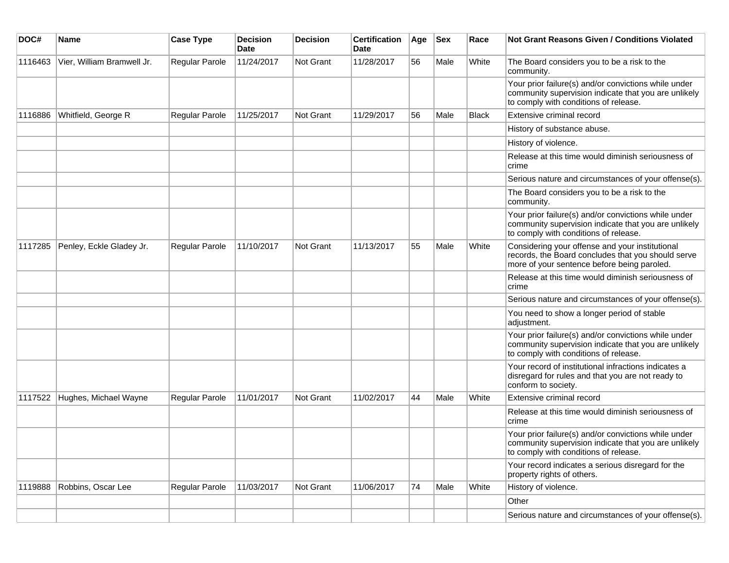| DOC#    | Name                       | <b>Case Type</b> | <b>Decision</b><br>Date | Decision  | <b>Certification</b><br>Date | Age | <b>Sex</b> | Race         | <b>Not Grant Reasons Given / Conditions Violated</b>                                                                                                  |
|---------|----------------------------|------------------|-------------------------|-----------|------------------------------|-----|------------|--------------|-------------------------------------------------------------------------------------------------------------------------------------------------------|
| 1116463 | Vier, William Bramwell Jr. | Regular Parole   | 11/24/2017              | Not Grant | 11/28/2017                   | 56  | Male       | White        | The Board considers you to be a risk to the<br>community.                                                                                             |
|         |                            |                  |                         |           |                              |     |            |              | Your prior failure(s) and/or convictions while under<br>community supervision indicate that you are unlikely<br>to comply with conditions of release. |
| 1116886 | Whitfield, George R        | Regular Parole   | 11/25/2017              | Not Grant | 11/29/2017                   | 56  | Male       | <b>Black</b> | Extensive criminal record                                                                                                                             |
|         |                            |                  |                         |           |                              |     |            |              | History of substance abuse.                                                                                                                           |
|         |                            |                  |                         |           |                              |     |            |              | History of violence.                                                                                                                                  |
|         |                            |                  |                         |           |                              |     |            |              | Release at this time would diminish seriousness of<br>crime                                                                                           |
|         |                            |                  |                         |           |                              |     |            |              | Serious nature and circumstances of your offense(s).                                                                                                  |
|         |                            |                  |                         |           |                              |     |            |              | The Board considers you to be a risk to the<br>community.                                                                                             |
|         |                            |                  |                         |           |                              |     |            |              | Your prior failure(s) and/or convictions while under<br>community supervision indicate that you are unlikely<br>to comply with conditions of release. |
| 1117285 | Penley, Eckle Gladey Jr.   | Regular Parole   | 11/10/2017              | Not Grant | 11/13/2017                   | 55  | Male       | White        | Considering your offense and your institutional<br>records, the Board concludes that you should serve<br>more of your sentence before being paroled.  |
|         |                            |                  |                         |           |                              |     |            |              | Release at this time would diminish seriousness of<br>crime                                                                                           |
|         |                            |                  |                         |           |                              |     |            |              | Serious nature and circumstances of your offense(s).                                                                                                  |
|         |                            |                  |                         |           |                              |     |            |              | You need to show a longer period of stable<br>adjustment.                                                                                             |
|         |                            |                  |                         |           |                              |     |            |              | Your prior failure(s) and/or convictions while under<br>community supervision indicate that you are unlikely<br>to comply with conditions of release. |
|         |                            |                  |                         |           |                              |     |            |              | Your record of institutional infractions indicates a<br>disregard for rules and that you are not ready to<br>conform to society.                      |
| 1117522 | Hughes, Michael Wayne      | Regular Parole   | 11/01/2017              | Not Grant | 11/02/2017                   | 44  | Male       | White        | Extensive criminal record                                                                                                                             |
|         |                            |                  |                         |           |                              |     |            |              | Release at this time would diminish seriousness of<br>crime                                                                                           |
|         |                            |                  |                         |           |                              |     |            |              | Your prior failure(s) and/or convictions while under<br>community supervision indicate that you are unlikely<br>to comply with conditions of release. |
|         |                            |                  |                         |           |                              |     |            |              | Your record indicates a serious disregard for the<br>property rights of others.                                                                       |
| 1119888 | Robbins, Oscar Lee         | Regular Parole   | 11/03/2017              | Not Grant | 11/06/2017                   | 74  | Male       | White        | History of violence.                                                                                                                                  |
|         |                            |                  |                         |           |                              |     |            |              | Other                                                                                                                                                 |
|         |                            |                  |                         |           |                              |     |            |              | Serious nature and circumstances of your offense(s).                                                                                                  |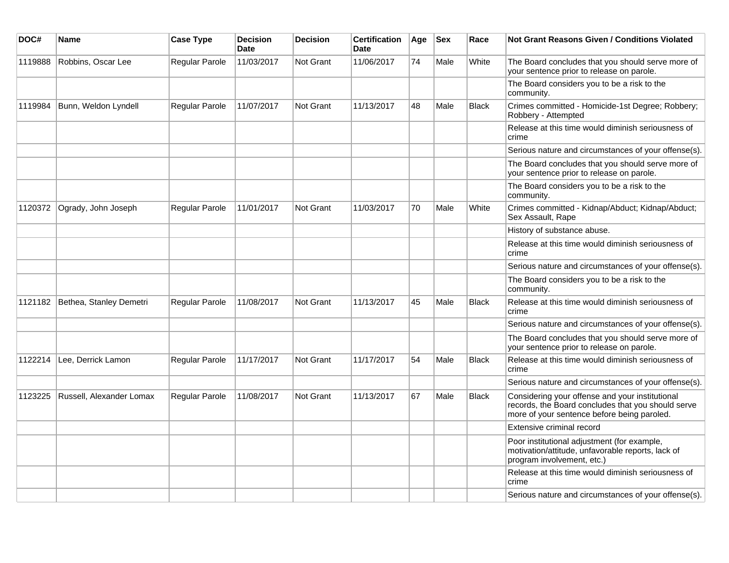| DOC#    | Name                     | <b>Case Type</b>      | <b>Decision</b><br>Date | <b>Decision</b>  | <b>Certification</b><br><b>Date</b> | Age | <b>Sex</b> | Race         | <b>Not Grant Reasons Given / Conditions Violated</b>                                                                                                 |
|---------|--------------------------|-----------------------|-------------------------|------------------|-------------------------------------|-----|------------|--------------|------------------------------------------------------------------------------------------------------------------------------------------------------|
| 1119888 | Robbins, Oscar Lee       | Regular Parole        | 11/03/2017              | Not Grant        | 11/06/2017                          | 74  | Male       | White        | The Board concludes that you should serve more of<br>your sentence prior to release on parole.                                                       |
|         |                          |                       |                         |                  |                                     |     |            |              | The Board considers you to be a risk to the<br>community.                                                                                            |
| 1119984 | Bunn, Weldon Lyndell     | Regular Parole        | 11/07/2017              | Not Grant        | 11/13/2017                          | 48  | Male       | <b>Black</b> | Crimes committed - Homicide-1st Degree; Robbery;<br>Robbery - Attempted                                                                              |
|         |                          |                       |                         |                  |                                     |     |            |              | Release at this time would diminish seriousness of<br>crime                                                                                          |
|         |                          |                       |                         |                  |                                     |     |            |              | Serious nature and circumstances of your offense(s).                                                                                                 |
|         |                          |                       |                         |                  |                                     |     |            |              | The Board concludes that you should serve more of<br>your sentence prior to release on parole.                                                       |
|         |                          |                       |                         |                  |                                     |     |            |              | The Board considers you to be a risk to the<br>community.                                                                                            |
| 1120372 | Ogrady, John Joseph      | Regular Parole        | 11/01/2017              | <b>Not Grant</b> | 11/03/2017                          | 70  | Male       | White        | Crimes committed - Kidnap/Abduct; Kidnap/Abduct;<br>Sex Assault, Rape                                                                                |
|         |                          |                       |                         |                  |                                     |     |            |              | History of substance abuse.                                                                                                                          |
|         |                          |                       |                         |                  |                                     |     |            |              | Release at this time would diminish seriousness of<br>crime                                                                                          |
|         |                          |                       |                         |                  |                                     |     |            |              | Serious nature and circumstances of your offense(s).                                                                                                 |
|         |                          |                       |                         |                  |                                     |     |            |              | The Board considers you to be a risk to the<br>community.                                                                                            |
| 1121182 | Bethea, Stanley Demetri  | <b>Regular Parole</b> | 11/08/2017              | Not Grant        | 11/13/2017                          | 45  | Male       | <b>Black</b> | Release at this time would diminish seriousness of<br>crime                                                                                          |
|         |                          |                       |                         |                  |                                     |     |            |              | Serious nature and circumstances of your offense(s).                                                                                                 |
|         |                          |                       |                         |                  |                                     |     |            |              | The Board concludes that you should serve more of<br>your sentence prior to release on parole.                                                       |
| 1122214 | Lee, Derrick Lamon       | <b>Regular Parole</b> | 11/17/2017              | Not Grant        | 11/17/2017                          | 54  | Male       | <b>Black</b> | Release at this time would diminish seriousness of<br>crime                                                                                          |
|         |                          |                       |                         |                  |                                     |     |            |              | Serious nature and circumstances of your offense(s).                                                                                                 |
| 1123225 | Russell, Alexander Lomax | Regular Parole        | 11/08/2017              | Not Grant        | 11/13/2017                          | 67  | Male       | <b>Black</b> | Considering your offense and your institutional<br>records, the Board concludes that you should serve<br>more of your sentence before being paroled. |
|         |                          |                       |                         |                  |                                     |     |            |              | Extensive criminal record                                                                                                                            |
|         |                          |                       |                         |                  |                                     |     |            |              | Poor institutional adjustment (for example,<br>motivation/attitude, unfavorable reports, lack of<br>program involvement, etc.)                       |
|         |                          |                       |                         |                  |                                     |     |            |              | Release at this time would diminish seriousness of<br>crime                                                                                          |
|         |                          |                       |                         |                  |                                     |     |            |              | Serious nature and circumstances of your offense(s).                                                                                                 |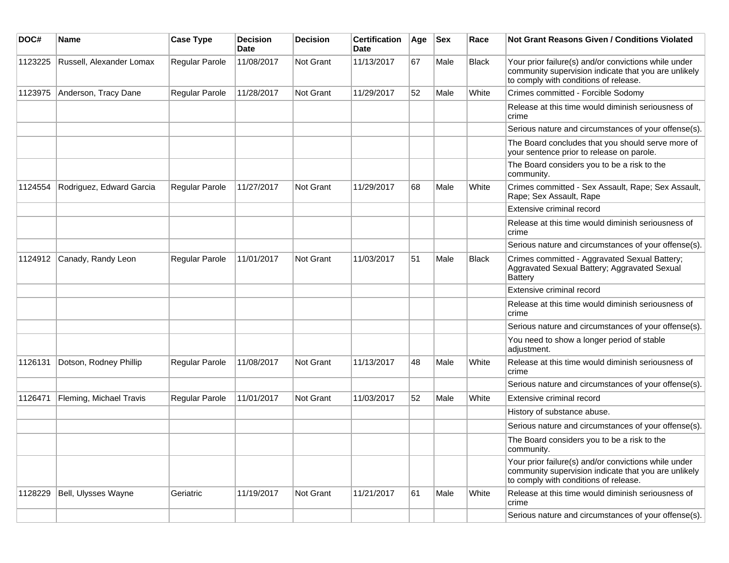| DOC#    | <b>Name</b>              | <b>Case Type</b> | <b>Decision</b><br><b>Date</b> | <b>Decision</b> | <b>Certification</b><br>Date | Age | $ $ Sex | Race         | Not Grant Reasons Given / Conditions Violated                                                                                                         |
|---------|--------------------------|------------------|--------------------------------|-----------------|------------------------------|-----|---------|--------------|-------------------------------------------------------------------------------------------------------------------------------------------------------|
| 1123225 | Russell, Alexander Lomax | Regular Parole   | 11/08/2017                     | Not Grant       | 11/13/2017                   | 67  | Male    | Black        | Your prior failure(s) and/or convictions while under<br>community supervision indicate that you are unlikely<br>to comply with conditions of release. |
| 1123975 | Anderson, Tracy Dane     | Regular Parole   | 11/28/2017                     | Not Grant       | 11/29/2017                   | 52  | Male    | White        | Crimes committed - Forcible Sodomy                                                                                                                    |
|         |                          |                  |                                |                 |                              |     |         |              | Release at this time would diminish seriousness of<br>crime                                                                                           |
|         |                          |                  |                                |                 |                              |     |         |              | Serious nature and circumstances of your offense(s).                                                                                                  |
|         |                          |                  |                                |                 |                              |     |         |              | The Board concludes that you should serve more of<br>your sentence prior to release on parole.                                                        |
|         |                          |                  |                                |                 |                              |     |         |              | The Board considers you to be a risk to the<br>community.                                                                                             |
| 1124554 | Rodriguez, Edward Garcia | Regular Parole   | 11/27/2017                     | Not Grant       | 11/29/2017                   | 68  | Male    | White        | Crimes committed - Sex Assault, Rape; Sex Assault,<br>Rape; Sex Assault, Rape                                                                         |
|         |                          |                  |                                |                 |                              |     |         |              | Extensive criminal record                                                                                                                             |
|         |                          |                  |                                |                 |                              |     |         |              | Release at this time would diminish seriousness of<br>crime                                                                                           |
|         |                          |                  |                                |                 |                              |     |         |              | Serious nature and circumstances of your offense(s).                                                                                                  |
| 1124912 | Canady, Randy Leon       | Regular Parole   | 11/01/2017                     | Not Grant       | 11/03/2017                   | 51  | Male    | <b>Black</b> | Crimes committed - Aggravated Sexual Battery;<br>Aggravated Sexual Battery; Aggravated Sexual<br><b>Battery</b>                                       |
|         |                          |                  |                                |                 |                              |     |         |              | Extensive criminal record                                                                                                                             |
|         |                          |                  |                                |                 |                              |     |         |              | Release at this time would diminish seriousness of<br>crime                                                                                           |
|         |                          |                  |                                |                 |                              |     |         |              | Serious nature and circumstances of your offense(s).                                                                                                  |
|         |                          |                  |                                |                 |                              |     |         |              | You need to show a longer period of stable<br>adjustment.                                                                                             |
| 1126131 | Dotson, Rodney Phillip   | Regular Parole   | 11/08/2017                     | Not Grant       | 11/13/2017                   | 48  | Male    | White        | Release at this time would diminish seriousness of<br>crime                                                                                           |
|         |                          |                  |                                |                 |                              |     |         |              | Serious nature and circumstances of your offense(s).                                                                                                  |
| 1126471 | Fleming, Michael Travis  | Regular Parole   | 11/01/2017                     | Not Grant       | 11/03/2017                   | 52  | Male    | White        | Extensive criminal record                                                                                                                             |
|         |                          |                  |                                |                 |                              |     |         |              | History of substance abuse.                                                                                                                           |
|         |                          |                  |                                |                 |                              |     |         |              | Serious nature and circumstances of your offense(s).                                                                                                  |
|         |                          |                  |                                |                 |                              |     |         |              | The Board considers you to be a risk to the<br>community.                                                                                             |
|         |                          |                  |                                |                 |                              |     |         |              | Your prior failure(s) and/or convictions while under<br>community supervision indicate that you are unlikely<br>to comply with conditions of release. |
| 1128229 | Bell, Ulysses Wayne      | Geriatric        | 11/19/2017                     | Not Grant       | 11/21/2017                   | 61  | Male    | White        | Release at this time would diminish seriousness of<br>crime                                                                                           |
|         |                          |                  |                                |                 |                              |     |         |              | Serious nature and circumstances of your offense(s).                                                                                                  |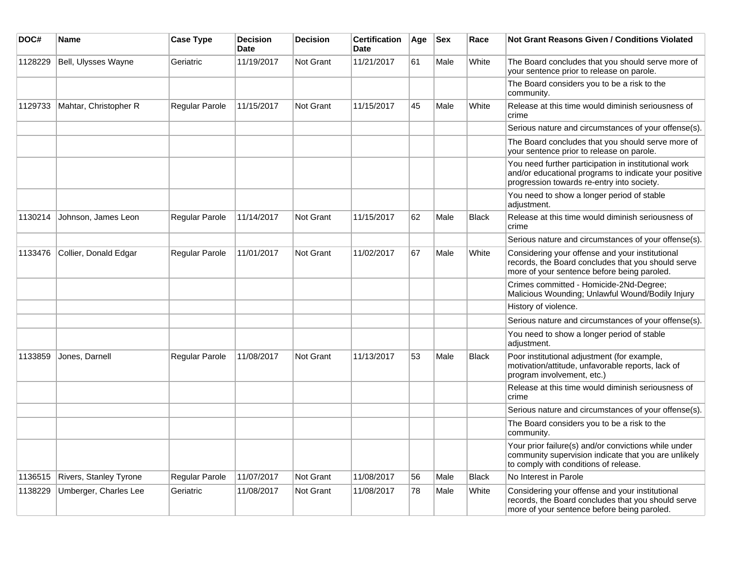| DOC#    | <b>Name</b>                   | <b>Case Type</b> | <b>Decision</b><br><b>Date</b> | <b>Decision</b>  | <b>Certification</b><br>Date | Age | <b>Sex</b> | Race         | <b>Not Grant Reasons Given / Conditions Violated</b>                                                                                                        |
|---------|-------------------------------|------------------|--------------------------------|------------------|------------------------------|-----|------------|--------------|-------------------------------------------------------------------------------------------------------------------------------------------------------------|
| 1128229 | Bell, Ulysses Wayne           | Geriatric        | 11/19/2017                     | Not Grant        | 11/21/2017                   | 61  | Male       | White        | The Board concludes that you should serve more of<br>your sentence prior to release on parole.                                                              |
|         |                               |                  |                                |                  |                              |     |            |              | The Board considers you to be a risk to the<br>community.                                                                                                   |
| 1129733 | Mahtar, Christopher R         | Regular Parole   | 11/15/2017                     | Not Grant        | 11/15/2017                   | 45  | Male       | White        | Release at this time would diminish seriousness of<br>crime                                                                                                 |
|         |                               |                  |                                |                  |                              |     |            |              | Serious nature and circumstances of your offense(s).                                                                                                        |
|         |                               |                  |                                |                  |                              |     |            |              | The Board concludes that you should serve more of<br>your sentence prior to release on parole.                                                              |
|         |                               |                  |                                |                  |                              |     |            |              | You need further participation in institutional work<br>and/or educational programs to indicate your positive<br>progression towards re-entry into society. |
|         |                               |                  |                                |                  |                              |     |            |              | You need to show a longer period of stable<br>adjustment.                                                                                                   |
| 1130214 | Johnson, James Leon           | Regular Parole   | 11/14/2017                     | <b>Not Grant</b> | 11/15/2017                   | 62  | Male       | <b>Black</b> | Release at this time would diminish seriousness of<br>crime                                                                                                 |
|         |                               |                  |                                |                  |                              |     |            |              | Serious nature and circumstances of your offense(s).                                                                                                        |
| 1133476 | Collier, Donald Edgar         | Regular Parole   | 11/01/2017                     | <b>Not Grant</b> | 11/02/2017                   | 67  | Male       | White        | Considering your offense and your institutional<br>records, the Board concludes that you should serve<br>more of your sentence before being paroled.        |
|         |                               |                  |                                |                  |                              |     |            |              | Crimes committed - Homicide-2Nd-Degree;<br>Malicious Wounding; Unlawful Wound/Bodily Injury                                                                 |
|         |                               |                  |                                |                  |                              |     |            |              | History of violence.                                                                                                                                        |
|         |                               |                  |                                |                  |                              |     |            |              | Serious nature and circumstances of your offense(s).                                                                                                        |
|         |                               |                  |                                |                  |                              |     |            |              | You need to show a longer period of stable<br>adjustment.                                                                                                   |
| 1133859 | Jones, Darnell                | Regular Parole   | 11/08/2017                     | <b>Not Grant</b> | 11/13/2017                   | 53  | Male       | <b>Black</b> | Poor institutional adjustment (for example,<br>motivation/attitude, unfavorable reports, lack of<br>program involvement, etc.)                              |
|         |                               |                  |                                |                  |                              |     |            |              | Release at this time would diminish seriousness of<br>crime                                                                                                 |
|         |                               |                  |                                |                  |                              |     |            |              | Serious nature and circumstances of your offense(s).                                                                                                        |
|         |                               |                  |                                |                  |                              |     |            |              | The Board considers you to be a risk to the<br>community.                                                                                                   |
|         |                               |                  |                                |                  |                              |     |            |              | Your prior failure(s) and/or convictions while under<br>community supervision indicate that you are unlikely<br>to comply with conditions of release.       |
| 1136515 | <b>Rivers, Stanley Tyrone</b> | Regular Parole   | 11/07/2017                     | Not Grant        | 11/08/2017                   | 56  | Male       | <b>Black</b> | No Interest in Parole                                                                                                                                       |
| 1138229 | Umberger, Charles Lee         | Geriatric        | 11/08/2017                     | Not Grant        | 11/08/2017                   | 78  | Male       | White        | Considering your offense and your institutional<br>records, the Board concludes that you should serve<br>more of your sentence before being paroled.        |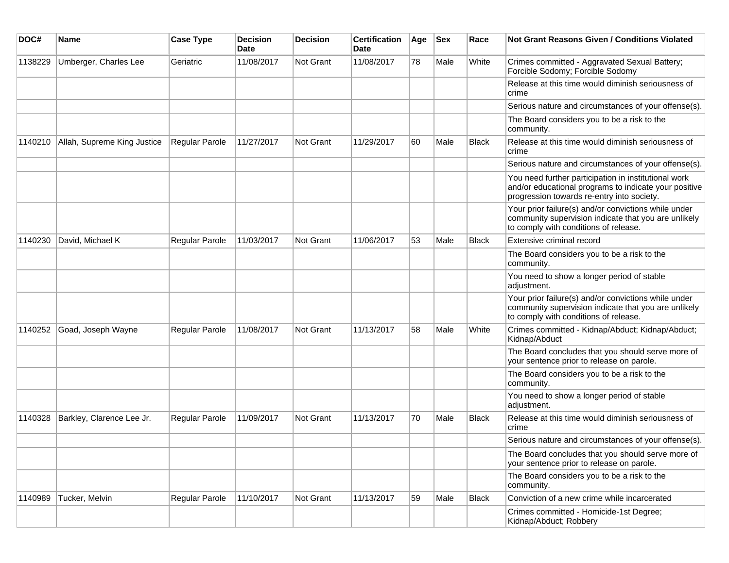| DOC#    | <b>Name</b>                 | <b>Case Type</b> | <b>Decision</b><br><b>Date</b> | <b>Decision</b> | <b>Certification</b><br>Date | Age | <b>Sex</b> | Race         | <b>Not Grant Reasons Given / Conditions Violated</b>                                                                                                        |
|---------|-----------------------------|------------------|--------------------------------|-----------------|------------------------------|-----|------------|--------------|-------------------------------------------------------------------------------------------------------------------------------------------------------------|
| 1138229 | Umberger, Charles Lee       | Geriatric        | 11/08/2017                     | Not Grant       | 11/08/2017                   | 78  | Male       | White        | Crimes committed - Aggravated Sexual Battery;<br>Forcible Sodomy; Forcible Sodomy                                                                           |
|         |                             |                  |                                |                 |                              |     |            |              | Release at this time would diminish seriousness of<br>crime                                                                                                 |
|         |                             |                  |                                |                 |                              |     |            |              | Serious nature and circumstances of your offense(s).                                                                                                        |
|         |                             |                  |                                |                 |                              |     |            |              | The Board considers you to be a risk to the<br>community.                                                                                                   |
| 1140210 | Allah, Supreme King Justice | Regular Parole   | 11/27/2017                     | Not Grant       | 11/29/2017                   | 60  | Male       | <b>Black</b> | Release at this time would diminish seriousness of<br>crime                                                                                                 |
|         |                             |                  |                                |                 |                              |     |            |              | Serious nature and circumstances of your offense(s).                                                                                                        |
|         |                             |                  |                                |                 |                              |     |            |              | You need further participation in institutional work<br>and/or educational programs to indicate your positive<br>progression towards re-entry into society. |
|         |                             |                  |                                |                 |                              |     |            |              | Your prior failure(s) and/or convictions while under<br>community supervision indicate that you are unlikely<br>to comply with conditions of release.       |
| 1140230 | David, Michael K            | Regular Parole   | 11/03/2017                     | Not Grant       | 11/06/2017                   | 53  | Male       | <b>Black</b> | Extensive criminal record                                                                                                                                   |
|         |                             |                  |                                |                 |                              |     |            |              | The Board considers you to be a risk to the<br>community.                                                                                                   |
|         |                             |                  |                                |                 |                              |     |            |              | You need to show a longer period of stable<br>adjustment.                                                                                                   |
|         |                             |                  |                                |                 |                              |     |            |              | Your prior failure(s) and/or convictions while under<br>community supervision indicate that you are unlikely<br>to comply with conditions of release.       |
| 1140252 | Goad, Joseph Wayne          | Regular Parole   | 11/08/2017                     | Not Grant       | 11/13/2017                   | 58  | Male       | White        | Crimes committed - Kidnap/Abduct; Kidnap/Abduct;<br>Kidnap/Abduct                                                                                           |
|         |                             |                  |                                |                 |                              |     |            |              | The Board concludes that you should serve more of<br>your sentence prior to release on parole.                                                              |
|         |                             |                  |                                |                 |                              |     |            |              | The Board considers you to be a risk to the<br>community.                                                                                                   |
|         |                             |                  |                                |                 |                              |     |            |              | You need to show a longer period of stable<br>adjustment.                                                                                                   |
| 1140328 | Barkley, Clarence Lee Jr.   | Regular Parole   | 11/09/2017                     | Not Grant       | 11/13/2017                   | 70  | Male       | <b>Black</b> | Release at this time would diminish seriousness of<br>crime                                                                                                 |
|         |                             |                  |                                |                 |                              |     |            |              | Serious nature and circumstances of your offense(s).                                                                                                        |
|         |                             |                  |                                |                 |                              |     |            |              | The Board concludes that you should serve more of<br>your sentence prior to release on parole.                                                              |
|         |                             |                  |                                |                 |                              |     |            |              | The Board considers you to be a risk to the<br>community.                                                                                                   |
| 1140989 | Tucker, Melvin              | Regular Parole   | 11/10/2017                     | Not Grant       | 11/13/2017                   | 59  | Male       | Black        | Conviction of a new crime while incarcerated                                                                                                                |
|         |                             |                  |                                |                 |                              |     |            |              | Crimes committed - Homicide-1st Degree;<br>Kidnap/Abduct; Robbery                                                                                           |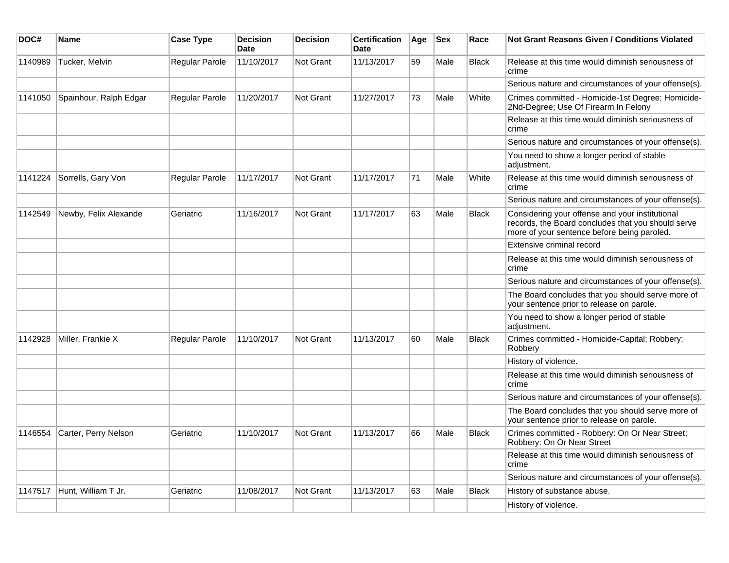| DOC#    | <b>Name</b>            | <b>Case Type</b>      | <b>Decision</b><br><b>Date</b> | <b>Decision</b>  | <b>Certification</b><br><b>Date</b> | Age | <b>Sex</b> | Race         | Not Grant Reasons Given / Conditions Violated                                                                                                        |
|---------|------------------------|-----------------------|--------------------------------|------------------|-------------------------------------|-----|------------|--------------|------------------------------------------------------------------------------------------------------------------------------------------------------|
| 1140989 | Tucker, Melvin         | Regular Parole        | 11/10/2017                     | Not Grant        | 11/13/2017                          | 59  | Male       | <b>Black</b> | Release at this time would diminish seriousness of<br>crime                                                                                          |
|         |                        |                       |                                |                  |                                     |     |            |              | Serious nature and circumstances of your offense(s).                                                                                                 |
| 1141050 | Spainhour, Ralph Edgar | <b>Regular Parole</b> | 11/20/2017                     | Not Grant        | 11/27/2017                          | 73  | Male       | White        | Crimes committed - Homicide-1st Degree; Homicide-<br>2Nd-Degree; Use Of Firearm In Felony                                                            |
|         |                        |                       |                                |                  |                                     |     |            |              | Release at this time would diminish seriousness of<br>crime                                                                                          |
|         |                        |                       |                                |                  |                                     |     |            |              | Serious nature and circumstances of your offense(s).                                                                                                 |
|         |                        |                       |                                |                  |                                     |     |            |              | You need to show a longer period of stable<br>adjustment.                                                                                            |
| 1141224 | Sorrells, Gary Von     | <b>Regular Parole</b> | 11/17/2017                     | <b>Not Grant</b> | 11/17/2017                          | 71  | Male       | White        | Release at this time would diminish seriousness of<br>crime                                                                                          |
|         |                        |                       |                                |                  |                                     |     |            |              | Serious nature and circumstances of your offense(s).                                                                                                 |
| 1142549 | Newby, Felix Alexande  | Geriatric             | 11/16/2017                     | Not Grant        | 11/17/2017                          | 63  | Male       | <b>Black</b> | Considering your offense and your institutional<br>records, the Board concludes that you should serve<br>more of your sentence before being paroled. |
|         |                        |                       |                                |                  |                                     |     |            |              | Extensive criminal record                                                                                                                            |
|         |                        |                       |                                |                  |                                     |     |            |              | Release at this time would diminish seriousness of<br>crime                                                                                          |
|         |                        |                       |                                |                  |                                     |     |            |              | Serious nature and circumstances of your offense(s).                                                                                                 |
|         |                        |                       |                                |                  |                                     |     |            |              | The Board concludes that you should serve more of<br>your sentence prior to release on parole.                                                       |
|         |                        |                       |                                |                  |                                     |     |            |              | You need to show a longer period of stable<br>adjustment.                                                                                            |
| 1142928 | Miller, Frankie X      | Regular Parole        | 11/10/2017                     | Not Grant        | 11/13/2017                          | 60  | Male       | <b>Black</b> | Crimes committed - Homicide-Capital; Robbery;<br>Robbery                                                                                             |
|         |                        |                       |                                |                  |                                     |     |            |              | History of violence.                                                                                                                                 |
|         |                        |                       |                                |                  |                                     |     |            |              | Release at this time would diminish seriousness of<br>crime                                                                                          |
|         |                        |                       |                                |                  |                                     |     |            |              | Serious nature and circumstances of your offense(s).                                                                                                 |
|         |                        |                       |                                |                  |                                     |     |            |              | The Board concludes that you should serve more of<br>your sentence prior to release on parole.                                                       |
| 1146554 | Carter, Perry Nelson   | Geriatric             | 11/10/2017                     | Not Grant        | 11/13/2017                          | 66  | Male       | <b>Black</b> | Crimes committed - Robbery: On Or Near Street;<br>Robbery: On Or Near Street                                                                         |
|         |                        |                       |                                |                  |                                     |     |            |              | Release at this time would diminish seriousness of<br>crime                                                                                          |
|         |                        |                       |                                |                  |                                     |     |            |              | Serious nature and circumstances of your offense(s).                                                                                                 |
| 1147517 | Hunt, William T Jr.    | Geriatric             | 11/08/2017                     | Not Grant        | 11/13/2017                          | 63  | Male       | <b>Black</b> | History of substance abuse.                                                                                                                          |
|         |                        |                       |                                |                  |                                     |     |            |              | History of violence.                                                                                                                                 |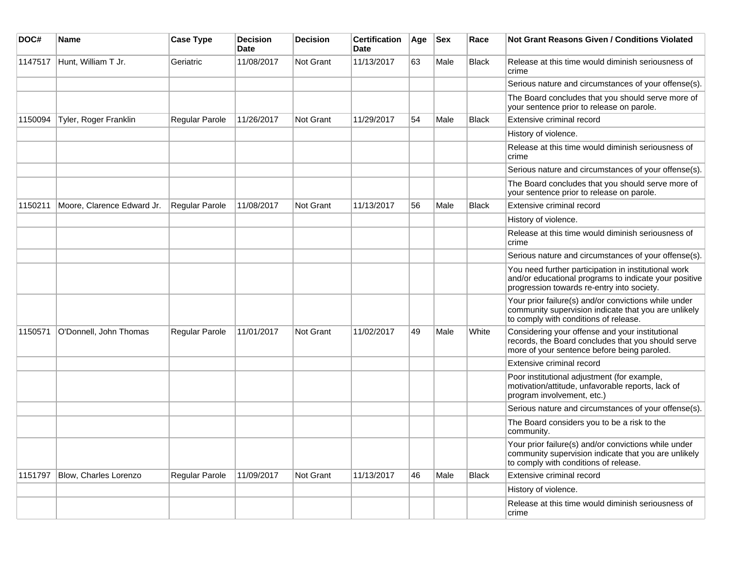| DOC#    | <b>Name</b>                  | <b>Case Type</b> | Decision<br><b>Date</b> | <b>Decision</b>  | <b>Certification</b><br>Date | Age | <b>Sex</b> | Race         | Not Grant Reasons Given / Conditions Violated                                                                                                               |
|---------|------------------------------|------------------|-------------------------|------------------|------------------------------|-----|------------|--------------|-------------------------------------------------------------------------------------------------------------------------------------------------------------|
| 1147517 | Hunt, William T Jr.          | Geriatric        | 11/08/2017              | Not Grant        | 11/13/2017                   | 63  | Male       | Black        | Release at this time would diminish seriousness of<br>crime                                                                                                 |
|         |                              |                  |                         |                  |                              |     |            |              | Serious nature and circumstances of your offense(s).                                                                                                        |
|         |                              |                  |                         |                  |                              |     |            |              | The Board concludes that you should serve more of<br>your sentence prior to release on parole.                                                              |
| 1150094 | Tyler, Roger Franklin        | Regular Parole   | 11/26/2017              | <b>Not Grant</b> | 11/29/2017                   | 54  | Male       | Black        | Extensive criminal record                                                                                                                                   |
|         |                              |                  |                         |                  |                              |     |            |              | History of violence.                                                                                                                                        |
|         |                              |                  |                         |                  |                              |     |            |              | Release at this time would diminish seriousness of<br>crime                                                                                                 |
|         |                              |                  |                         |                  |                              |     |            |              | Serious nature and circumstances of your offense(s).                                                                                                        |
|         |                              |                  |                         |                  |                              |     |            |              | The Board concludes that you should serve more of<br>your sentence prior to release on parole.                                                              |
| 1150211 | Moore, Clarence Edward Jr.   | Regular Parole   | 11/08/2017              | Not Grant        | 11/13/2017                   | 56  | Male       | <b>Black</b> | Extensive criminal record                                                                                                                                   |
|         |                              |                  |                         |                  |                              |     |            |              | History of violence.                                                                                                                                        |
|         |                              |                  |                         |                  |                              |     |            |              | Release at this time would diminish seriousness of<br>crime                                                                                                 |
|         |                              |                  |                         |                  |                              |     |            |              | Serious nature and circumstances of your offense(s).                                                                                                        |
|         |                              |                  |                         |                  |                              |     |            |              | You need further participation in institutional work<br>and/or educational programs to indicate your positive<br>progression towards re-entry into society. |
|         |                              |                  |                         |                  |                              |     |            |              | Your prior failure(s) and/or convictions while under<br>community supervision indicate that you are unlikely<br>to comply with conditions of release.       |
| 1150571 | O'Donnell, John Thomas       | Regular Parole   | 11/01/2017              | <b>Not Grant</b> | 11/02/2017                   | 49  | Male       | White        | Considering your offense and your institutional<br>records, the Board concludes that you should serve<br>more of your sentence before being paroled.        |
|         |                              |                  |                         |                  |                              |     |            |              | Extensive criminal record                                                                                                                                   |
|         |                              |                  |                         |                  |                              |     |            |              | Poor institutional adjustment (for example,<br>motivation/attitude, unfavorable reports, lack of<br>program involvement, etc.)                              |
|         |                              |                  |                         |                  |                              |     |            |              | Serious nature and circumstances of your offense(s).                                                                                                        |
|         |                              |                  |                         |                  |                              |     |            |              | The Board considers you to be a risk to the<br>community.                                                                                                   |
|         |                              |                  |                         |                  |                              |     |            |              | Your prior failure(s) and/or convictions while under<br>community supervision indicate that you are unlikely<br>to comply with conditions of release.       |
| 1151797 | <b>Blow, Charles Lorenzo</b> | Regular Parole   | 11/09/2017              | Not Grant        | 11/13/2017                   | 46  | Male       | <b>Black</b> | Extensive criminal record                                                                                                                                   |
|         |                              |                  |                         |                  |                              |     |            |              | History of violence.                                                                                                                                        |
|         |                              |                  |                         |                  |                              |     |            |              | Release at this time would diminish seriousness of<br>crime                                                                                                 |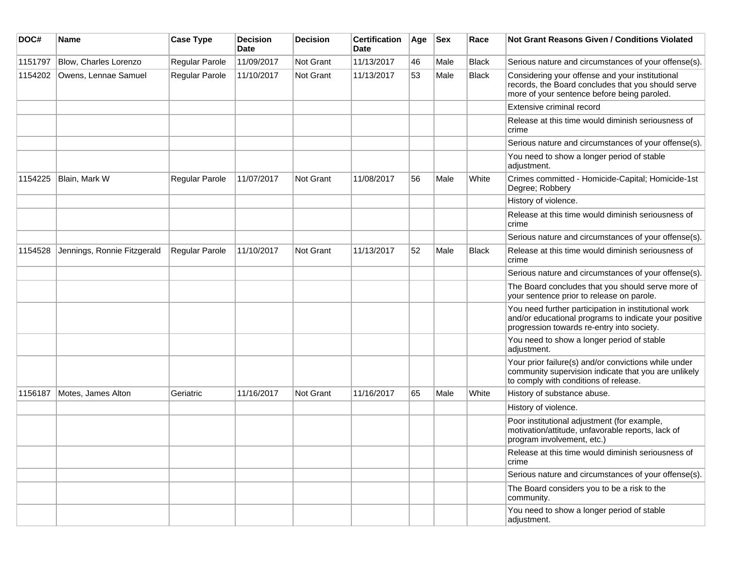| DOC#    | Name                        | <b>Case Type</b> | <b>Decision</b><br>Date | <b>Decision</b>  | <b>Certification</b><br>Date | Age | <b>Sex</b> | Race         | <b>Not Grant Reasons Given / Conditions Violated</b>                                                                                                        |
|---------|-----------------------------|------------------|-------------------------|------------------|------------------------------|-----|------------|--------------|-------------------------------------------------------------------------------------------------------------------------------------------------------------|
| 1151797 | Blow, Charles Lorenzo       | Regular Parole   | 11/09/2017              | Not Grant        | 11/13/2017                   | 46  | Male       | <b>Black</b> | Serious nature and circumstances of your offense(s).                                                                                                        |
| 1154202 | Owens, Lennae Samuel        | Regular Parole   | 11/10/2017              | Not Grant        | 11/13/2017                   | 53  | Male       | <b>Black</b> | Considering your offense and your institutional<br>records, the Board concludes that you should serve<br>more of your sentence before being paroled.        |
|         |                             |                  |                         |                  |                              |     |            |              | Extensive criminal record                                                                                                                                   |
|         |                             |                  |                         |                  |                              |     |            |              | Release at this time would diminish seriousness of<br>crime                                                                                                 |
|         |                             |                  |                         |                  |                              |     |            |              | Serious nature and circumstances of your offense(s).                                                                                                        |
|         |                             |                  |                         |                  |                              |     |            |              | You need to show a longer period of stable<br>adjustment.                                                                                                   |
| 1154225 | Blain, Mark W               | Regular Parole   | 11/07/2017              | Not Grant        | 11/08/2017                   | 56  | Male       | White        | Crimes committed - Homicide-Capital; Homicide-1st<br>Degree; Robbery                                                                                        |
|         |                             |                  |                         |                  |                              |     |            |              | History of violence.                                                                                                                                        |
|         |                             |                  |                         |                  |                              |     |            |              | Release at this time would diminish seriousness of<br>crime                                                                                                 |
|         |                             |                  |                         |                  |                              |     |            |              | Serious nature and circumstances of your offense(s).                                                                                                        |
| 1154528 | Jennings, Ronnie Fitzgerald | Regular Parole   | 11/10/2017              | Not Grant        | 11/13/2017                   | 52  | Male       | <b>Black</b> | Release at this time would diminish seriousness of<br>crime                                                                                                 |
|         |                             |                  |                         |                  |                              |     |            |              | Serious nature and circumstances of your offense(s).                                                                                                        |
|         |                             |                  |                         |                  |                              |     |            |              | The Board concludes that you should serve more of<br>your sentence prior to release on parole.                                                              |
|         |                             |                  |                         |                  |                              |     |            |              | You need further participation in institutional work<br>and/or educational programs to indicate your positive<br>progression towards re-entry into society. |
|         |                             |                  |                         |                  |                              |     |            |              | You need to show a longer period of stable<br>adjustment.                                                                                                   |
|         |                             |                  |                         |                  |                              |     |            |              | Your prior failure(s) and/or convictions while under<br>community supervision indicate that you are unlikely<br>to comply with conditions of release.       |
| 1156187 | Motes, James Alton          | Geriatric        | 11/16/2017              | <b>Not Grant</b> | 11/16/2017                   | 65  | Male       | White        | History of substance abuse.                                                                                                                                 |
|         |                             |                  |                         |                  |                              |     |            |              | History of violence.                                                                                                                                        |
|         |                             |                  |                         |                  |                              |     |            |              | Poor institutional adjustment (for example,<br>motivation/attitude, unfavorable reports, lack of<br>program involvement, etc.)                              |
|         |                             |                  |                         |                  |                              |     |            |              | Release at this time would diminish seriousness of<br>crime                                                                                                 |
|         |                             |                  |                         |                  |                              |     |            |              | Serious nature and circumstances of your offense(s).                                                                                                        |
|         |                             |                  |                         |                  |                              |     |            |              | The Board considers you to be a risk to the<br>community.                                                                                                   |
|         |                             |                  |                         |                  |                              |     |            |              | You need to show a longer period of stable<br>adjustment.                                                                                                   |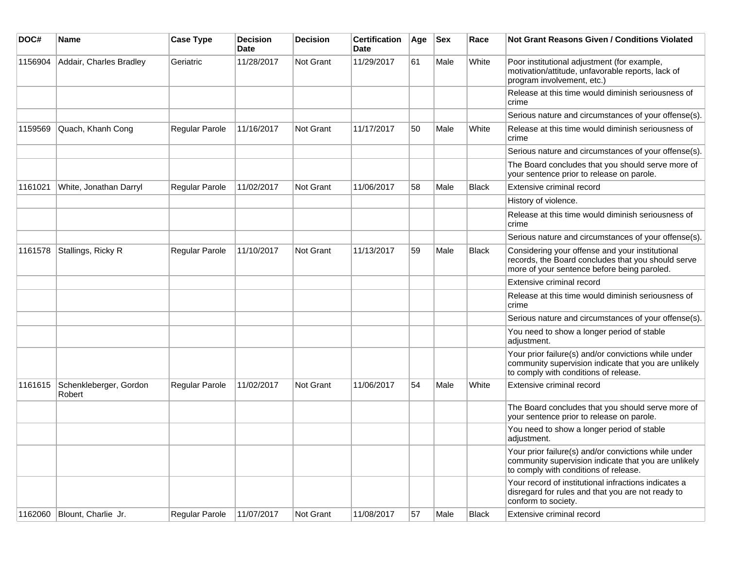| DOC#    | Name                             | <b>Case Type</b>      | <b>Decision</b><br><b>Date</b> | Decision  | <b>Certification</b><br><b>Date</b> | Age | <b>Sex</b> | Race         | <b>Not Grant Reasons Given / Conditions Violated</b>                                                                                                  |
|---------|----------------------------------|-----------------------|--------------------------------|-----------|-------------------------------------|-----|------------|--------------|-------------------------------------------------------------------------------------------------------------------------------------------------------|
| 1156904 | Addair, Charles Bradley          | Geriatric             | 11/28/2017                     | Not Grant | 11/29/2017                          | 61  | Male       | White        | Poor institutional adjustment (for example,<br>motivation/attitude, unfavorable reports, lack of<br>program involvement, etc.)                        |
|         |                                  |                       |                                |           |                                     |     |            |              | Release at this time would diminish seriousness of<br>crime                                                                                           |
|         |                                  |                       |                                |           |                                     |     |            |              | Serious nature and circumstances of your offense(s).                                                                                                  |
| 1159569 | Quach, Khanh Cong                | <b>Regular Parole</b> | 11/16/2017                     | Not Grant | 11/17/2017                          | 50  | Male       | White        | Release at this time would diminish seriousness of<br>crime                                                                                           |
|         |                                  |                       |                                |           |                                     |     |            |              | Serious nature and circumstances of your offense(s).                                                                                                  |
|         |                                  |                       |                                |           |                                     |     |            |              | The Board concludes that you should serve more of<br>your sentence prior to release on parole.                                                        |
| 1161021 | White, Jonathan Darryl           | Regular Parole        | 11/02/2017                     | Not Grant | 11/06/2017                          | 58  | Male       | Black        | Extensive criminal record                                                                                                                             |
|         |                                  |                       |                                |           |                                     |     |            |              | History of violence.                                                                                                                                  |
|         |                                  |                       |                                |           |                                     |     |            |              | Release at this time would diminish seriousness of<br>crime                                                                                           |
|         |                                  |                       |                                |           |                                     |     |            |              | Serious nature and circumstances of your offense(s).                                                                                                  |
| 1161578 | Stallings, Ricky R               | Regular Parole        | 11/10/2017                     | Not Grant | 11/13/2017                          | 59  | Male       | <b>Black</b> | Considering your offense and your institutional<br>records, the Board concludes that you should serve<br>more of your sentence before being paroled.  |
|         |                                  |                       |                                |           |                                     |     |            |              | Extensive criminal record                                                                                                                             |
|         |                                  |                       |                                |           |                                     |     |            |              | Release at this time would diminish seriousness of<br>crime                                                                                           |
|         |                                  |                       |                                |           |                                     |     |            |              | Serious nature and circumstances of your offense(s).                                                                                                  |
|         |                                  |                       |                                |           |                                     |     |            |              | You need to show a longer period of stable<br>adjustment.                                                                                             |
|         |                                  |                       |                                |           |                                     |     |            |              | Your prior failure(s) and/or convictions while under<br>community supervision indicate that you are unlikely<br>to comply with conditions of release. |
| 1161615 | Schenkleberger, Gordon<br>Robert | Regular Parole        | 11/02/2017                     | Not Grant | 11/06/2017                          | 54  | Male       | White        | Extensive criminal record                                                                                                                             |
|         |                                  |                       |                                |           |                                     |     |            |              | The Board concludes that you should serve more of<br>your sentence prior to release on parole.                                                        |
|         |                                  |                       |                                |           |                                     |     |            |              | You need to show a longer period of stable<br>adjustment.                                                                                             |
|         |                                  |                       |                                |           |                                     |     |            |              | Your prior failure(s) and/or convictions while under<br>community supervision indicate that you are unlikely<br>to comply with conditions of release. |
|         |                                  |                       |                                |           |                                     |     |            |              | Your record of institutional infractions indicates a<br>disregard for rules and that you are not ready to<br>conform to society.                      |
| 1162060 | Blount, Charlie Jr.              | Regular Parole        | 11/07/2017                     | Not Grant | 11/08/2017                          | 57  | Male       | Black        | Extensive criminal record                                                                                                                             |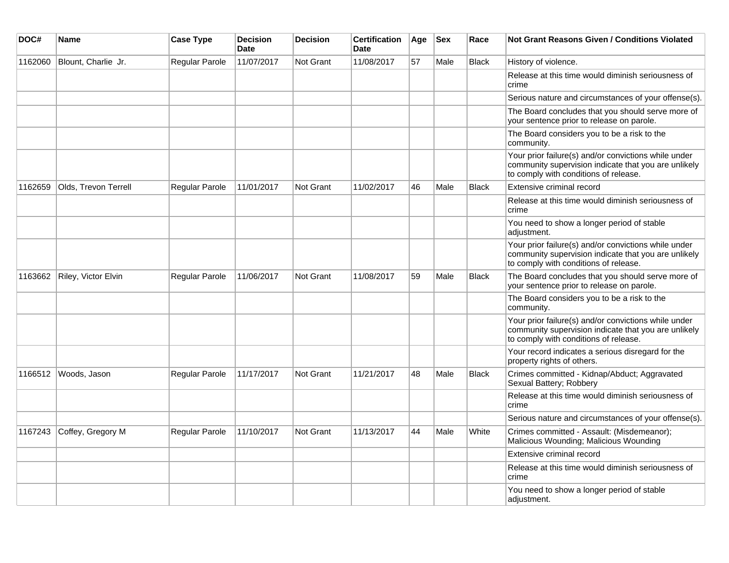| DOC#    | Name                 | <b>Case Type</b>      | <b>Decision</b><br>Date | <b>Decision</b>  | <b>Certification</b><br><b>Date</b> | Age | <b>Sex</b> | Race         | Not Grant Reasons Given / Conditions Violated                                                                                                         |
|---------|----------------------|-----------------------|-------------------------|------------------|-------------------------------------|-----|------------|--------------|-------------------------------------------------------------------------------------------------------------------------------------------------------|
| 1162060 | Blount, Charlie Jr.  | Regular Parole        | 11/07/2017              | <b>Not Grant</b> | 11/08/2017                          | 57  | Male       | <b>Black</b> | History of violence.                                                                                                                                  |
|         |                      |                       |                         |                  |                                     |     |            |              | Release at this time would diminish seriousness of<br>crime                                                                                           |
|         |                      |                       |                         |                  |                                     |     |            |              | Serious nature and circumstances of your offense(s).                                                                                                  |
|         |                      |                       |                         |                  |                                     |     |            |              | The Board concludes that you should serve more of<br>your sentence prior to release on parole.                                                        |
|         |                      |                       |                         |                  |                                     |     |            |              | The Board considers you to be a risk to the<br>community.                                                                                             |
|         |                      |                       |                         |                  |                                     |     |            |              | Your prior failure(s) and/or convictions while under<br>community supervision indicate that you are unlikely<br>to comply with conditions of release. |
| 1162659 | Olds. Trevon Terrell | Regular Parole        | 11/01/2017              | <b>Not Grant</b> | 11/02/2017                          | 46  | Male       | <b>Black</b> | Extensive criminal record                                                                                                                             |
|         |                      |                       |                         |                  |                                     |     |            |              | Release at this time would diminish seriousness of<br>crime                                                                                           |
|         |                      |                       |                         |                  |                                     |     |            |              | You need to show a longer period of stable<br>adjustment.                                                                                             |
|         |                      |                       |                         |                  |                                     |     |            |              | Your prior failure(s) and/or convictions while under<br>community supervision indicate that you are unlikely<br>to comply with conditions of release. |
| 1163662 | Riley, Victor Elvin  | Regular Parole        | 11/06/2017              | <b>Not Grant</b> | 11/08/2017                          | 59  | Male       | <b>Black</b> | The Board concludes that you should serve more of<br>your sentence prior to release on parole.                                                        |
|         |                      |                       |                         |                  |                                     |     |            |              | The Board considers you to be a risk to the<br>community.                                                                                             |
|         |                      |                       |                         |                  |                                     |     |            |              | Your prior failure(s) and/or convictions while under<br>community supervision indicate that you are unlikely<br>to comply with conditions of release. |
|         |                      |                       |                         |                  |                                     |     |            |              | Your record indicates a serious disregard for the<br>property rights of others.                                                                       |
| 1166512 | Woods, Jason         | Regular Parole        | 11/17/2017              | <b>Not Grant</b> | 11/21/2017                          | 48  | Male       | <b>Black</b> | Crimes committed - Kidnap/Abduct; Aggravated<br>Sexual Battery; Robbery                                                                               |
|         |                      |                       |                         |                  |                                     |     |            |              | Release at this time would diminish seriousness of<br>crime                                                                                           |
|         |                      |                       |                         |                  |                                     |     |            |              | Serious nature and circumstances of your offense(s).                                                                                                  |
| 1167243 | Coffey, Gregory M    | <b>Regular Parole</b> | 11/10/2017              | <b>Not Grant</b> | 11/13/2017                          | 44  | Male       | White        | Crimes committed - Assault: (Misdemeanor);<br>Malicious Wounding; Malicious Wounding                                                                  |
|         |                      |                       |                         |                  |                                     |     |            |              | Extensive criminal record                                                                                                                             |
|         |                      |                       |                         |                  |                                     |     |            |              | Release at this time would diminish seriousness of<br>crime                                                                                           |
|         |                      |                       |                         |                  |                                     |     |            |              | You need to show a longer period of stable<br>adjustment.                                                                                             |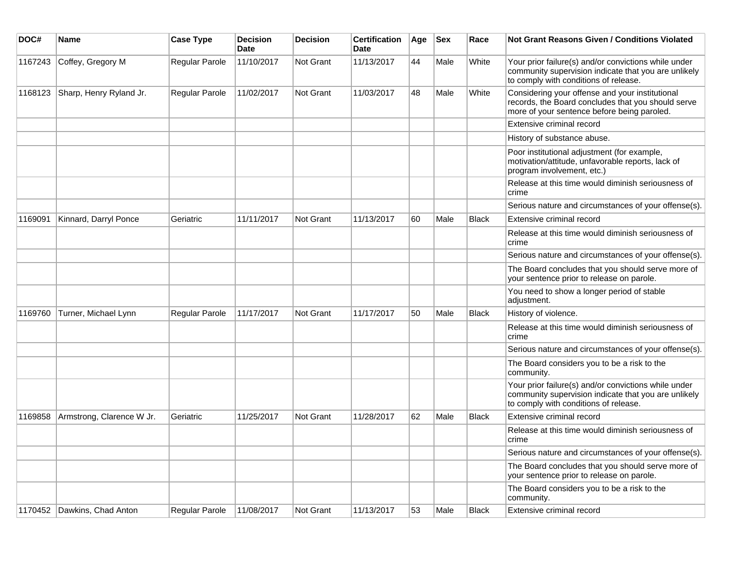| DOC#    | <b>Name</b>                 | <b>Case Type</b> | Decision<br><b>Date</b> | <b>Decision</b>  | <b>Certification</b><br>Date | Age | <b>Sex</b> | Race         | Not Grant Reasons Given / Conditions Violated                                                                                                         |
|---------|-----------------------------|------------------|-------------------------|------------------|------------------------------|-----|------------|--------------|-------------------------------------------------------------------------------------------------------------------------------------------------------|
| 1167243 | Coffey, Gregory M           | Regular Parole   | 11/10/2017              | Not Grant        | 11/13/2017                   | 44  | Male       | White        | Your prior failure(s) and/or convictions while under<br>community supervision indicate that you are unlikely<br>to comply with conditions of release. |
| 1168123 | Sharp, Henry Ryland Jr.     | Regular Parole   | 11/02/2017              | Not Grant        | 11/03/2017                   | 48  | Male       | White        | Considering your offense and your institutional<br>records, the Board concludes that you should serve<br>more of your sentence before being paroled.  |
|         |                             |                  |                         |                  |                              |     |            |              | Extensive criminal record                                                                                                                             |
|         |                             |                  |                         |                  |                              |     |            |              | History of substance abuse.                                                                                                                           |
|         |                             |                  |                         |                  |                              |     |            |              | Poor institutional adjustment (for example,<br>motivation/attitude, unfavorable reports, lack of<br>program involvement, etc.)                        |
|         |                             |                  |                         |                  |                              |     |            |              | Release at this time would diminish seriousness of<br>crime                                                                                           |
|         |                             |                  |                         |                  |                              |     |            |              | Serious nature and circumstances of your offense(s).                                                                                                  |
| 1169091 | Kinnard, Darryl Ponce       | Geriatric        | 11/11/2017              | <b>Not Grant</b> | 11/13/2017                   | 60  | Male       | <b>Black</b> | Extensive criminal record                                                                                                                             |
|         |                             |                  |                         |                  |                              |     |            |              | Release at this time would diminish seriousness of<br>crime                                                                                           |
|         |                             |                  |                         |                  |                              |     |            |              | Serious nature and circumstances of your offense(s).                                                                                                  |
|         |                             |                  |                         |                  |                              |     |            |              | The Board concludes that you should serve more of<br>your sentence prior to release on parole.                                                        |
|         |                             |                  |                         |                  |                              |     |            |              | You need to show a longer period of stable<br>adjustment.                                                                                             |
| 1169760 | Turner, Michael Lynn        | Regular Parole   | 11/17/2017              | Not Grant        | 11/17/2017                   | 50  | Male       | <b>Black</b> | History of violence.                                                                                                                                  |
|         |                             |                  |                         |                  |                              |     |            |              | Release at this time would diminish seriousness of<br>crime                                                                                           |
|         |                             |                  |                         |                  |                              |     |            |              | Serious nature and circumstances of your offense(s).                                                                                                  |
|         |                             |                  |                         |                  |                              |     |            |              | The Board considers you to be a risk to the<br>community.                                                                                             |
|         |                             |                  |                         |                  |                              |     |            |              | Your prior failure(s) and/or convictions while under<br>community supervision indicate that you are unlikely<br>to comply with conditions of release. |
| 1169858 | Armstrong, Clarence W Jr.   | Geriatric        | 11/25/2017              | <b>Not Grant</b> | 11/28/2017                   | 62  | Male       | <b>Black</b> | Extensive criminal record                                                                                                                             |
|         |                             |                  |                         |                  |                              |     |            |              | Release at this time would diminish seriousness of<br>crime                                                                                           |
|         |                             |                  |                         |                  |                              |     |            |              | Serious nature and circumstances of your offense(s).                                                                                                  |
|         |                             |                  |                         |                  |                              |     |            |              | The Board concludes that you should serve more of<br>your sentence prior to release on parole.                                                        |
|         |                             |                  |                         |                  |                              |     |            |              | The Board considers you to be a risk to the<br>community.                                                                                             |
|         | 1170452 Dawkins, Chad Anton | Regular Parole   | 11/08/2017              | Not Grant        | 11/13/2017                   | 53  | Male       | Black        | Extensive criminal record                                                                                                                             |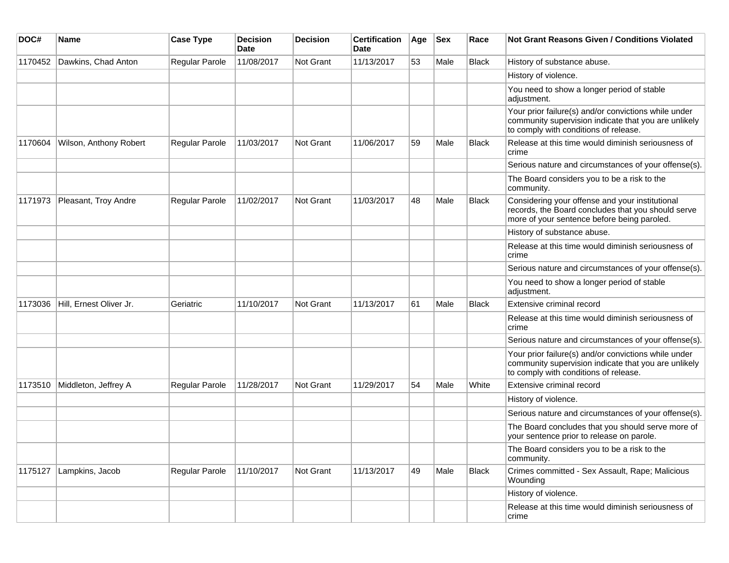| DOC#    | Name                    | <b>Case Type</b> | <b>Decision</b><br><b>Date</b> | Decision  | <b>Certification</b><br><b>Date</b> | Age | <b>Sex</b> | Race         | <b>Not Grant Reasons Given / Conditions Violated</b>                                                                                                  |
|---------|-------------------------|------------------|--------------------------------|-----------|-------------------------------------|-----|------------|--------------|-------------------------------------------------------------------------------------------------------------------------------------------------------|
| 1170452 | Dawkins, Chad Anton     | Regular Parole   | 11/08/2017                     | Not Grant | 11/13/2017                          | 53  | Male       | <b>Black</b> | History of substance abuse.                                                                                                                           |
|         |                         |                  |                                |           |                                     |     |            |              | History of violence.                                                                                                                                  |
|         |                         |                  |                                |           |                                     |     |            |              | You need to show a longer period of stable<br>adjustment.                                                                                             |
|         |                         |                  |                                |           |                                     |     |            |              | Your prior failure(s) and/or convictions while under<br>community supervision indicate that you are unlikely<br>to comply with conditions of release. |
| 1170604 | Wilson, Anthony Robert  | Regular Parole   | 11/03/2017                     | Not Grant | 11/06/2017                          | 59  | Male       | Black        | Release at this time would diminish seriousness of<br>crime                                                                                           |
|         |                         |                  |                                |           |                                     |     |            |              | Serious nature and circumstances of your offense(s).                                                                                                  |
|         |                         |                  |                                |           |                                     |     |            |              | The Board considers you to be a risk to the<br>community.                                                                                             |
| 1171973 | Pleasant, Troy Andre    | Regular Parole   | 11/02/2017                     | Not Grant | 11/03/2017                          | 48  | Male       | <b>Black</b> | Considering your offense and your institutional<br>records, the Board concludes that you should serve<br>more of your sentence before being paroled.  |
|         |                         |                  |                                |           |                                     |     |            |              | History of substance abuse.                                                                                                                           |
|         |                         |                  |                                |           |                                     |     |            |              | Release at this time would diminish seriousness of<br>crime                                                                                           |
|         |                         |                  |                                |           |                                     |     |            |              | Serious nature and circumstances of your offense(s).                                                                                                  |
|         |                         |                  |                                |           |                                     |     |            |              | You need to show a longer period of stable<br>adjustment.                                                                                             |
| 1173036 | Hill, Ernest Oliver Jr. | Geriatric        | 11/10/2017                     | Not Grant | 11/13/2017                          | 61  | Male       | Black        | Extensive criminal record                                                                                                                             |
|         |                         |                  |                                |           |                                     |     |            |              | Release at this time would diminish seriousness of<br>crime                                                                                           |
|         |                         |                  |                                |           |                                     |     |            |              | Serious nature and circumstances of your offense(s).                                                                                                  |
|         |                         |                  |                                |           |                                     |     |            |              | Your prior failure(s) and/or convictions while under<br>community supervision indicate that you are unlikely<br>to comply with conditions of release. |
| 1173510 | Middleton, Jeffrey A    | Regular Parole   | 11/28/2017                     | Not Grant | 11/29/2017                          | 54  | Male       | White        | Extensive criminal record                                                                                                                             |
|         |                         |                  |                                |           |                                     |     |            |              | History of violence.                                                                                                                                  |
|         |                         |                  |                                |           |                                     |     |            |              | Serious nature and circumstances of your offense(s).                                                                                                  |
|         |                         |                  |                                |           |                                     |     |            |              | The Board concludes that you should serve more of<br>your sentence prior to release on parole.                                                        |
|         |                         |                  |                                |           |                                     |     |            |              | The Board considers you to be a risk to the<br>community.                                                                                             |
| 1175127 | Lampkins, Jacob         | Regular Parole   | 11/10/2017                     | Not Grant | 11/13/2017                          | 49  | Male       | <b>Black</b> | Crimes committed - Sex Assault, Rape; Malicious<br>Wounding                                                                                           |
|         |                         |                  |                                |           |                                     |     |            |              | History of violence.                                                                                                                                  |
|         |                         |                  |                                |           |                                     |     |            |              | Release at this time would diminish seriousness of<br>crime                                                                                           |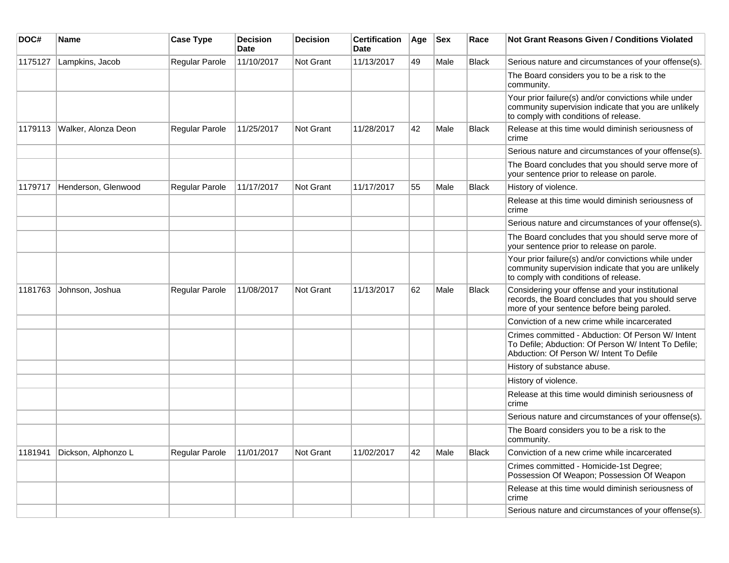| DOC#    | Name                | <b>Case Type</b> | <b>Decision</b><br><b>Date</b> | <b>Decision</b>  | <b>Certification</b><br><b>Date</b> | Age | <b>Sex</b> | Race         | <b>Not Grant Reasons Given / Conditions Violated</b>                                                                                                  |
|---------|---------------------|------------------|--------------------------------|------------------|-------------------------------------|-----|------------|--------------|-------------------------------------------------------------------------------------------------------------------------------------------------------|
| 1175127 | Lampkins, Jacob     | Regular Parole   | 11/10/2017                     | Not Grant        | 11/13/2017                          | 49  | Male       | Black        | Serious nature and circumstances of your offense(s).                                                                                                  |
|         |                     |                  |                                |                  |                                     |     |            |              | The Board considers you to be a risk to the<br>community.                                                                                             |
|         |                     |                  |                                |                  |                                     |     |            |              | Your prior failure(s) and/or convictions while under<br>community supervision indicate that you are unlikely<br>to comply with conditions of release. |
| 1179113 | Walker, Alonza Deon | Regular Parole   | 11/25/2017                     | <b>Not Grant</b> | 11/28/2017                          | 42  | Male       | Black        | Release at this time would diminish seriousness of<br>crime                                                                                           |
|         |                     |                  |                                |                  |                                     |     |            |              | Serious nature and circumstances of your offense(s).                                                                                                  |
|         |                     |                  |                                |                  |                                     |     |            |              | The Board concludes that you should serve more of<br>your sentence prior to release on parole.                                                        |
| 1179717 | Henderson, Glenwood | Regular Parole   | 11/17/2017                     | <b>Not Grant</b> | 11/17/2017                          | 55  | Male       | <b>Black</b> | History of violence.                                                                                                                                  |
|         |                     |                  |                                |                  |                                     |     |            |              | Release at this time would diminish seriousness of<br>crime                                                                                           |
|         |                     |                  |                                |                  |                                     |     |            |              | Serious nature and circumstances of your offense(s).                                                                                                  |
|         |                     |                  |                                |                  |                                     |     |            |              | The Board concludes that you should serve more of<br>your sentence prior to release on parole.                                                        |
|         |                     |                  |                                |                  |                                     |     |            |              | Your prior failure(s) and/or convictions while under<br>community supervision indicate that you are unlikely<br>to comply with conditions of release. |
| 1181763 | Johnson, Joshua     | Regular Parole   | 11/08/2017                     | <b>Not Grant</b> | 11/13/2017                          | 62  | Male       | <b>Black</b> | Considering your offense and your institutional<br>records, the Board concludes that you should serve<br>more of your sentence before being paroled.  |
|         |                     |                  |                                |                  |                                     |     |            |              | Conviction of a new crime while incarcerated                                                                                                          |
|         |                     |                  |                                |                  |                                     |     |            |              | Crimes committed - Abduction: Of Person W/ Intent<br>To Defile; Abduction: Of Person W/ Intent To Defile;<br>Abduction: Of Person W/ Intent To Defile |
|         |                     |                  |                                |                  |                                     |     |            |              | History of substance abuse.                                                                                                                           |
|         |                     |                  |                                |                  |                                     |     |            |              | History of violence.                                                                                                                                  |
|         |                     |                  |                                |                  |                                     |     |            |              | Release at this time would diminish seriousness of<br>crime                                                                                           |
|         |                     |                  |                                |                  |                                     |     |            |              | Serious nature and circumstances of your offense(s).                                                                                                  |
|         |                     |                  |                                |                  |                                     |     |            |              | The Board considers you to be a risk to the<br>community.                                                                                             |
| 1181941 | Dickson, Alphonzo L | Regular Parole   | 11/01/2017                     | Not Grant        | 11/02/2017                          | 42  | Male       | Black        | Conviction of a new crime while incarcerated                                                                                                          |
|         |                     |                  |                                |                  |                                     |     |            |              | Crimes committed - Homicide-1st Degree;<br>Possession Of Weapon; Possession Of Weapon                                                                 |
|         |                     |                  |                                |                  |                                     |     |            |              | Release at this time would diminish seriousness of<br>crime                                                                                           |
|         |                     |                  |                                |                  |                                     |     |            |              | Serious nature and circumstances of your offense(s).                                                                                                  |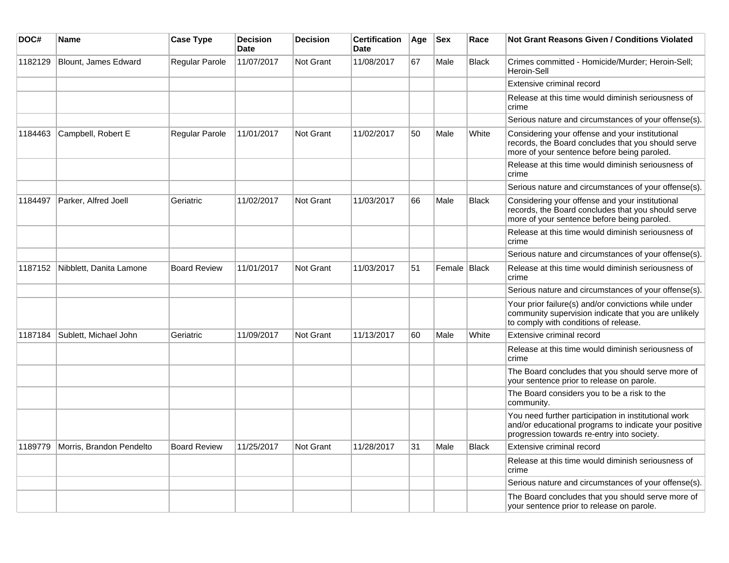| DOC#    | <b>Name</b>              | <b>Case Type</b>    | <b>Decision</b><br><b>Date</b> | <b>Decision</b>  | <b>Certification</b><br><b>Date</b> | Age | <b>Sex</b>     | Race         | <b>Not Grant Reasons Given / Conditions Violated</b>                                                                                                        |
|---------|--------------------------|---------------------|--------------------------------|------------------|-------------------------------------|-----|----------------|--------------|-------------------------------------------------------------------------------------------------------------------------------------------------------------|
| 1182129 | Blount, James Edward     | Regular Parole      | 11/07/2017                     | Not Grant        | 11/08/2017                          | 67  | Male           | <b>Black</b> | Crimes committed - Homicide/Murder; Heroin-Sell;<br>Heroin-Sell                                                                                             |
|         |                          |                     |                                |                  |                                     |     |                |              | Extensive criminal record                                                                                                                                   |
|         |                          |                     |                                |                  |                                     |     |                |              | Release at this time would diminish seriousness of<br>crime                                                                                                 |
|         |                          |                     |                                |                  |                                     |     |                |              | Serious nature and circumstances of your offense(s).                                                                                                        |
| 1184463 | Campbell, Robert E       | Regular Parole      | 11/01/2017                     | <b>Not Grant</b> | 11/02/2017                          | 50  | Male           | White        | Considering your offense and your institutional<br>records, the Board concludes that you should serve<br>more of your sentence before being paroled.        |
|         |                          |                     |                                |                  |                                     |     |                |              | Release at this time would diminish seriousness of<br>crime                                                                                                 |
|         |                          |                     |                                |                  |                                     |     |                |              | Serious nature and circumstances of your offense(s).                                                                                                        |
| 1184497 | Parker, Alfred Joell     | Geriatric           | 11/02/2017                     | <b>Not Grant</b> | 11/03/2017                          | 66  | Male           | <b>Black</b> | Considering your offense and your institutional<br>records, the Board concludes that you should serve<br>more of your sentence before being paroled.        |
|         |                          |                     |                                |                  |                                     |     |                |              | Release at this time would diminish seriousness of<br>crime                                                                                                 |
|         |                          |                     |                                |                  |                                     |     |                |              | Serious nature and circumstances of your offense(s).                                                                                                        |
| 1187152 | Nibblett, Danita Lamone  | <b>Board Review</b> | 11/01/2017                     | <b>Not Grant</b> | 11/03/2017                          | 51  | Female   Black |              | Release at this time would diminish seriousness of<br>crime                                                                                                 |
|         |                          |                     |                                |                  |                                     |     |                |              | Serious nature and circumstances of your offense(s).                                                                                                        |
|         |                          |                     |                                |                  |                                     |     |                |              | Your prior failure(s) and/or convictions while under<br>community supervision indicate that you are unlikely<br>to comply with conditions of release.       |
| 1187184 | Sublett, Michael John    | Geriatric           | 11/09/2017                     | Not Grant        | 11/13/2017                          | 60  | Male           | White        | Extensive criminal record                                                                                                                                   |
|         |                          |                     |                                |                  |                                     |     |                |              | Release at this time would diminish seriousness of<br>crime                                                                                                 |
|         |                          |                     |                                |                  |                                     |     |                |              | The Board concludes that you should serve more of<br>your sentence prior to release on parole.                                                              |
|         |                          |                     |                                |                  |                                     |     |                |              | The Board considers you to be a risk to the<br>community.                                                                                                   |
|         |                          |                     |                                |                  |                                     |     |                |              | You need further participation in institutional work<br>and/or educational programs to indicate your positive<br>progression towards re-entry into society. |
| 1189779 | Morris, Brandon Pendelto | <b>Board Review</b> | 11/25/2017                     | <b>Not Grant</b> | 11/28/2017                          | 31  | Male           | <b>Black</b> | Extensive criminal record                                                                                                                                   |
|         |                          |                     |                                |                  |                                     |     |                |              | Release at this time would diminish seriousness of<br>crime                                                                                                 |
|         |                          |                     |                                |                  |                                     |     |                |              | Serious nature and circumstances of your offense(s).                                                                                                        |
|         |                          |                     |                                |                  |                                     |     |                |              | The Board concludes that you should serve more of<br>your sentence prior to release on parole.                                                              |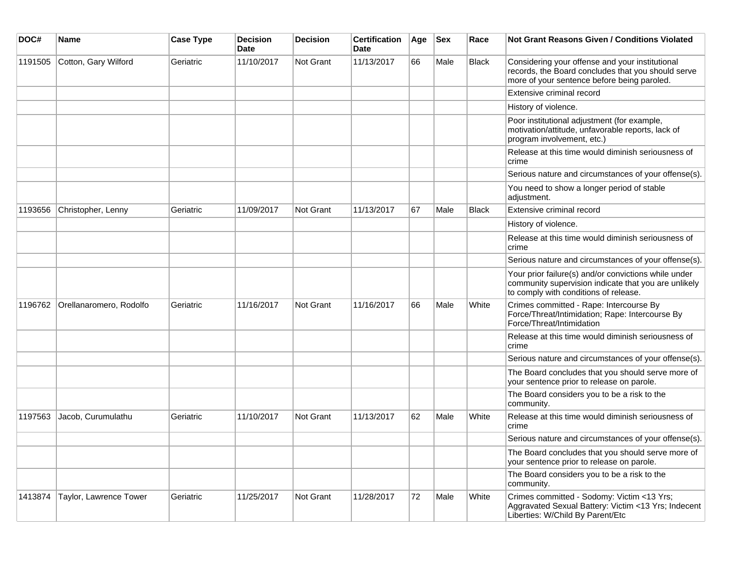| DOC#    | Name                    | <b>Case Type</b> | Decision<br><b>Date</b> | Decision         | <b>Certification</b><br>Date | Age | <b>Sex</b> | Race         | <b>Not Grant Reasons Given / Conditions Violated</b>                                                                                                  |
|---------|-------------------------|------------------|-------------------------|------------------|------------------------------|-----|------------|--------------|-------------------------------------------------------------------------------------------------------------------------------------------------------|
| 1191505 | Cotton, Gary Wilford    | Geriatric        | 11/10/2017              | Not Grant        | 11/13/2017                   | 66  | Male       | Black        | Considering your offense and your institutional<br>records, the Board concludes that you should serve<br>more of your sentence before being paroled.  |
|         |                         |                  |                         |                  |                              |     |            |              | Extensive criminal record                                                                                                                             |
|         |                         |                  |                         |                  |                              |     |            |              | History of violence.                                                                                                                                  |
|         |                         |                  |                         |                  |                              |     |            |              | Poor institutional adjustment (for example,<br>motivation/attitude, unfavorable reports, lack of<br>program involvement, etc.)                        |
|         |                         |                  |                         |                  |                              |     |            |              | Release at this time would diminish seriousness of<br>crime                                                                                           |
|         |                         |                  |                         |                  |                              |     |            |              | Serious nature and circumstances of your offense(s).                                                                                                  |
|         |                         |                  |                         |                  |                              |     |            |              | You need to show a longer period of stable<br>adjustment.                                                                                             |
| 1193656 | Christopher, Lenny      | Geriatric        | 11/09/2017              | <b>Not Grant</b> | 11/13/2017                   | 67  | Male       | <b>Black</b> | Extensive criminal record                                                                                                                             |
|         |                         |                  |                         |                  |                              |     |            |              | History of violence.                                                                                                                                  |
|         |                         |                  |                         |                  |                              |     |            |              | Release at this time would diminish seriousness of<br>crime                                                                                           |
|         |                         |                  |                         |                  |                              |     |            |              | Serious nature and circumstances of your offense(s).                                                                                                  |
|         |                         |                  |                         |                  |                              |     |            |              | Your prior failure(s) and/or convictions while under<br>community supervision indicate that you are unlikely<br>to comply with conditions of release. |
| 1196762 | Orellanaromero, Rodolfo | Geriatric        | 11/16/2017              | <b>Not Grant</b> | 11/16/2017                   | 66  | Male       | White        | Crimes committed - Rape: Intercourse By<br>Force/Threat/Intimidation; Rape: Intercourse By<br>Force/Threat/Intimidation                               |
|         |                         |                  |                         |                  |                              |     |            |              | Release at this time would diminish seriousness of<br>crime                                                                                           |
|         |                         |                  |                         |                  |                              |     |            |              | Serious nature and circumstances of your offense(s).                                                                                                  |
|         |                         |                  |                         |                  |                              |     |            |              | The Board concludes that you should serve more of<br>your sentence prior to release on parole.                                                        |
|         |                         |                  |                         |                  |                              |     |            |              | The Board considers you to be a risk to the<br>community.                                                                                             |
| 1197563 | Jacob, Curumulathu      | Geriatric        | 11/10/2017              | <b>Not Grant</b> | 11/13/2017                   | 62  | Male       | White        | Release at this time would diminish seriousness of<br>crime                                                                                           |
|         |                         |                  |                         |                  |                              |     |            |              | Serious nature and circumstances of your offense(s).                                                                                                  |
|         |                         |                  |                         |                  |                              |     |            |              | The Board concludes that you should serve more of<br>your sentence prior to release on parole.                                                        |
|         |                         |                  |                         |                  |                              |     |            |              | The Board considers you to be a risk to the<br>community.                                                                                             |
| 1413874 | Taylor, Lawrence Tower  | Geriatric        | 11/25/2017              | Not Grant        | 11/28/2017                   | 72  | Male       | White        | Crimes committed - Sodomy: Victim <13 Yrs;<br>Aggravated Sexual Battery: Victim <13 Yrs; Indecent<br>Liberties: W/Child By Parent/Etc                 |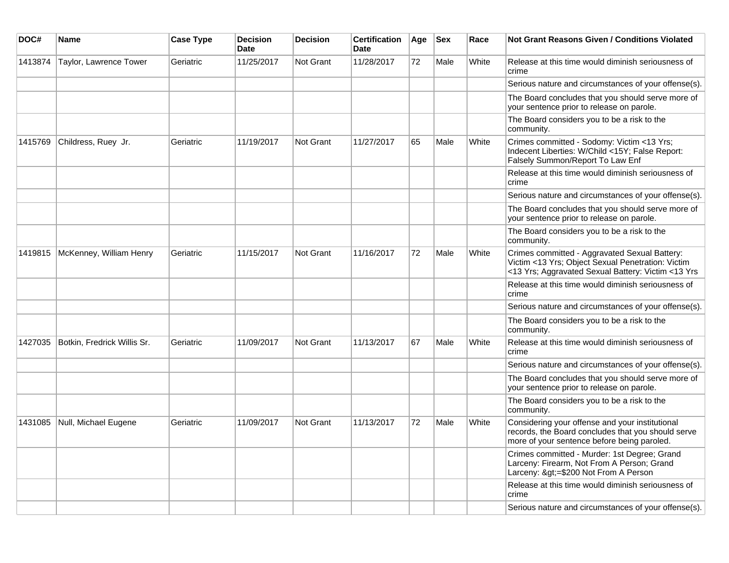| DOC#    | <b>Name</b>                 | <b>Case Type</b> | <b>Decision</b><br><b>Date</b> | <b>Decision</b>  | <b>Certification</b><br><b>Date</b> | Age | <b>Sex</b> | Race  | <b>Not Grant Reasons Given / Conditions Violated</b>                                                                                                     |
|---------|-----------------------------|------------------|--------------------------------|------------------|-------------------------------------|-----|------------|-------|----------------------------------------------------------------------------------------------------------------------------------------------------------|
| 1413874 | Taylor, Lawrence Tower      | Geriatric        | 11/25/2017                     | Not Grant        | 11/28/2017                          | 72  | Male       | White | Release at this time would diminish seriousness of<br>crime                                                                                              |
|         |                             |                  |                                |                  |                                     |     |            |       | Serious nature and circumstances of your offense(s).                                                                                                     |
|         |                             |                  |                                |                  |                                     |     |            |       | The Board concludes that you should serve more of<br>your sentence prior to release on parole.                                                           |
|         |                             |                  |                                |                  |                                     |     |            |       | The Board considers you to be a risk to the<br>community.                                                                                                |
| 1415769 | Childress, Ruey Jr.         | Geriatric        | 11/19/2017                     | Not Grant        | 11/27/2017                          | 65  | Male       | White | Crimes committed - Sodomy: Victim <13 Yrs;<br>Indecent Liberties: W/Child <15Y; False Report:<br>Falsely Summon/Report To Law Enf                        |
|         |                             |                  |                                |                  |                                     |     |            |       | Release at this time would diminish seriousness of<br>crime                                                                                              |
|         |                             |                  |                                |                  |                                     |     |            |       | Serious nature and circumstances of your offense(s).                                                                                                     |
|         |                             |                  |                                |                  |                                     |     |            |       | The Board concludes that you should serve more of<br>your sentence prior to release on parole.                                                           |
|         |                             |                  |                                |                  |                                     |     |            |       | The Board considers you to be a risk to the<br>community.                                                                                                |
| 1419815 | McKenney, William Henry     | Geriatric        | 11/15/2017                     | <b>Not Grant</b> | 11/16/2017                          | 72  | Male       | White | Crimes committed - Aggravated Sexual Battery:<br>Victim <13 Yrs; Object Sexual Penetration: Victim<br><13 Yrs; Aggravated Sexual Battery: Victim <13 Yrs |
|         |                             |                  |                                |                  |                                     |     |            |       | Release at this time would diminish seriousness of<br>crime                                                                                              |
|         |                             |                  |                                |                  |                                     |     |            |       | Serious nature and circumstances of your offense(s).                                                                                                     |
|         |                             |                  |                                |                  |                                     |     |            |       | The Board considers you to be a risk to the<br>community.                                                                                                |
| 1427035 | Botkin, Fredrick Willis Sr. | Geriatric        | 11/09/2017                     | <b>Not Grant</b> | 11/13/2017                          | 67  | Male       | White | Release at this time would diminish seriousness of<br>crime                                                                                              |
|         |                             |                  |                                |                  |                                     |     |            |       | Serious nature and circumstances of your offense(s).                                                                                                     |
|         |                             |                  |                                |                  |                                     |     |            |       | The Board concludes that you should serve more of<br>your sentence prior to release on parole.                                                           |
|         |                             |                  |                                |                  |                                     |     |            |       | The Board considers you to be a risk to the<br>community.                                                                                                |
| 1431085 | Null, Michael Eugene        | Geriatric        | 11/09/2017                     | <b>Not Grant</b> | 11/13/2017                          | 72  | Male       | White | Considering your offense and your institutional<br>records, the Board concludes that you should serve<br>more of your sentence before being paroled.     |
|         |                             |                  |                                |                  |                                     |     |            |       | Crimes committed - Murder: 1st Degree; Grand<br>Larceny: Firearm, Not From A Person; Grand<br>Larceny: >=\$200 Not From A Person                         |
|         |                             |                  |                                |                  |                                     |     |            |       | Release at this time would diminish seriousness of<br>crime                                                                                              |
|         |                             |                  |                                |                  |                                     |     |            |       | Serious nature and circumstances of your offense(s).                                                                                                     |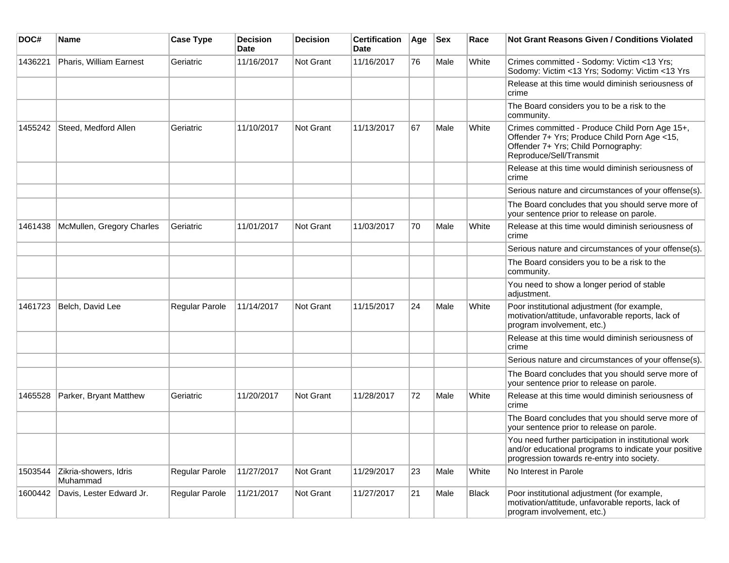| DOC#    | <b>Name</b>                       | <b>Case Type</b> | <b>Decision</b><br><b>Date</b> | <b>Decision</b>  | <b>Certification</b><br>Date | Age | <b>Sex</b> | Race         | <b>Not Grant Reasons Given / Conditions Violated</b>                                                                                                             |
|---------|-----------------------------------|------------------|--------------------------------|------------------|------------------------------|-----|------------|--------------|------------------------------------------------------------------------------------------------------------------------------------------------------------------|
| 1436221 | Pharis, William Earnest           | Geriatric        | 11/16/2017                     | <b>Not Grant</b> | 11/16/2017                   | 76  | Male       | White        | Crimes committed - Sodomy: Victim <13 Yrs;<br>Sodomy: Victim <13 Yrs; Sodomy: Victim <13 Yrs                                                                     |
|         |                                   |                  |                                |                  |                              |     |            |              | Release at this time would diminish seriousness of<br>crime                                                                                                      |
|         |                                   |                  |                                |                  |                              |     |            |              | The Board considers you to be a risk to the<br>community.                                                                                                        |
| 1455242 | Steed, Medford Allen              | Geriatric        | 11/10/2017                     | <b>Not Grant</b> | 11/13/2017                   | 67  | Male       | White        | Crimes committed - Produce Child Porn Age 15+,<br>Offender 7+ Yrs; Produce Child Porn Age <15,<br>Offender 7+ Yrs; Child Pornography:<br>Reproduce/Sell/Transmit |
|         |                                   |                  |                                |                  |                              |     |            |              | Release at this time would diminish seriousness of<br>crime                                                                                                      |
|         |                                   |                  |                                |                  |                              |     |            |              | Serious nature and circumstances of your offense(s).                                                                                                             |
|         |                                   |                  |                                |                  |                              |     |            |              | The Board concludes that you should serve more of<br>your sentence prior to release on parole.                                                                   |
| 1461438 | McMullen, Gregory Charles         | Geriatric        | 11/01/2017                     | Not Grant        | 11/03/2017                   | 70  | Male       | White        | Release at this time would diminish seriousness of<br>crime                                                                                                      |
|         |                                   |                  |                                |                  |                              |     |            |              | Serious nature and circumstances of your offense(s).                                                                                                             |
|         |                                   |                  |                                |                  |                              |     |            |              | The Board considers you to be a risk to the<br>community.                                                                                                        |
|         |                                   |                  |                                |                  |                              |     |            |              | You need to show a longer period of stable<br>adjustment.                                                                                                        |
| 1461723 | Belch, David Lee                  | Regular Parole   | 11/14/2017                     | <b>Not Grant</b> | 11/15/2017                   | 24  | Male       | White        | Poor institutional adjustment (for example,<br>motivation/attitude, unfavorable reports, lack of<br>program involvement, etc.)                                   |
|         |                                   |                  |                                |                  |                              |     |            |              | Release at this time would diminish seriousness of<br>crime                                                                                                      |
|         |                                   |                  |                                |                  |                              |     |            |              | Serious nature and circumstances of your offense(s).                                                                                                             |
|         |                                   |                  |                                |                  |                              |     |            |              | The Board concludes that you should serve more of<br>your sentence prior to release on parole.                                                                   |
| 1465528 | Parker, Bryant Matthew            | Geriatric        | 11/20/2017                     | Not Grant        | 11/28/2017                   | 72  | Male       | White        | Release at this time would diminish seriousness of<br>crime                                                                                                      |
|         |                                   |                  |                                |                  |                              |     |            |              | The Board concludes that you should serve more of<br>your sentence prior to release on parole.                                                                   |
|         |                                   |                  |                                |                  |                              |     |            |              | You need further participation in institutional work<br>and/or educational programs to indicate your positive<br>progression towards re-entry into society.      |
| 1503544 | Zikria-showers, Idris<br>Muhammad | Regular Parole   | 11/27/2017                     | Not Grant        | 11/29/2017                   | 23  | Male       | White        | No Interest in Parole                                                                                                                                            |
| 1600442 | Davis, Lester Edward Jr.          | Regular Parole   | 11/21/2017                     | Not Grant        | 11/27/2017                   | 21  | Male       | <b>Black</b> | Poor institutional adjustment (for example,<br>motivation/attitude, unfavorable reports, lack of<br>program involvement, etc.)                                   |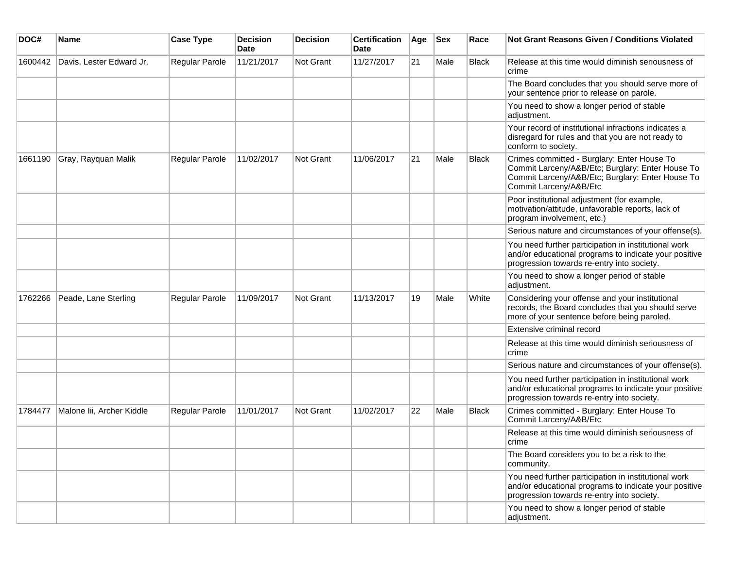| DOC#    | <b>Name</b>               | <b>Case Type</b> | <b>Decision</b><br><b>Date</b> | <b>Decision</b>  | <b>Certification</b><br><b>Date</b> | Age | <b>Sex</b> | Race         | <b>Not Grant Reasons Given / Conditions Violated</b>                                                                                                                          |
|---------|---------------------------|------------------|--------------------------------|------------------|-------------------------------------|-----|------------|--------------|-------------------------------------------------------------------------------------------------------------------------------------------------------------------------------|
| 1600442 | Davis, Lester Edward Jr.  | Regular Parole   | 11/21/2017                     | <b>Not Grant</b> | 11/27/2017                          | 21  | Male       | Black        | Release at this time would diminish seriousness of<br>crime                                                                                                                   |
|         |                           |                  |                                |                  |                                     |     |            |              | The Board concludes that you should serve more of<br>your sentence prior to release on parole.                                                                                |
|         |                           |                  |                                |                  |                                     |     |            |              | You need to show a longer period of stable<br>adjustment.                                                                                                                     |
|         |                           |                  |                                |                  |                                     |     |            |              | Your record of institutional infractions indicates a<br>disregard for rules and that you are not ready to<br>conform to society.                                              |
| 1661190 | Gray, Rayquan Malik       | Regular Parole   | 11/02/2017                     | Not Grant        | 11/06/2017                          | 21  | Male       | Black        | Crimes committed - Burglary: Enter House To<br>Commit Larceny/A&B/Etc; Burglary: Enter House To<br>Commit Larceny/A&B/Etc; Burglary: Enter House To<br>Commit Larceny/A&B/Etc |
|         |                           |                  |                                |                  |                                     |     |            |              | Poor institutional adjustment (for example,<br>motivation/attitude, unfavorable reports, lack of<br>program involvement, etc.)                                                |
|         |                           |                  |                                |                  |                                     |     |            |              | Serious nature and circumstances of your offense(s).                                                                                                                          |
|         |                           |                  |                                |                  |                                     |     |            |              | You need further participation in institutional work<br>and/or educational programs to indicate your positive<br>progression towards re-entry into society.                   |
|         |                           |                  |                                |                  |                                     |     |            |              | You need to show a longer period of stable<br>adjustment.                                                                                                                     |
| 1762266 | Peade, Lane Sterling      | Regular Parole   | 11/09/2017                     | Not Grant        | 11/13/2017                          | 19  | Male       | White        | Considering your offense and your institutional<br>records, the Board concludes that you should serve<br>more of your sentence before being paroled.                          |
|         |                           |                  |                                |                  |                                     |     |            |              | Extensive criminal record                                                                                                                                                     |
|         |                           |                  |                                |                  |                                     |     |            |              | Release at this time would diminish seriousness of<br>crime                                                                                                                   |
|         |                           |                  |                                |                  |                                     |     |            |              | Serious nature and circumstances of your offense(s).                                                                                                                          |
|         |                           |                  |                                |                  |                                     |     |            |              | You need further participation in institutional work<br>and/or educational programs to indicate your positive<br>progression towards re-entry into society.                   |
| 1784477 | Malone lii, Archer Kiddle | Regular Parole   | 11/01/2017                     | Not Grant        | 11/02/2017                          | 22  | Male       | <b>Black</b> | Crimes committed - Burglary: Enter House To<br>Commit Larceny/A&B/Etc                                                                                                         |
|         |                           |                  |                                |                  |                                     |     |            |              | Release at this time would diminish seriousness of<br> crime                                                                                                                  |
|         |                           |                  |                                |                  |                                     |     |            |              | The Board considers you to be a risk to the<br>community.                                                                                                                     |
|         |                           |                  |                                |                  |                                     |     |            |              | You need further participation in institutional work<br>and/or educational programs to indicate your positive<br>progression towards re-entry into society.                   |
|         |                           |                  |                                |                  |                                     |     |            |              | You need to show a longer period of stable<br>adjustment.                                                                                                                     |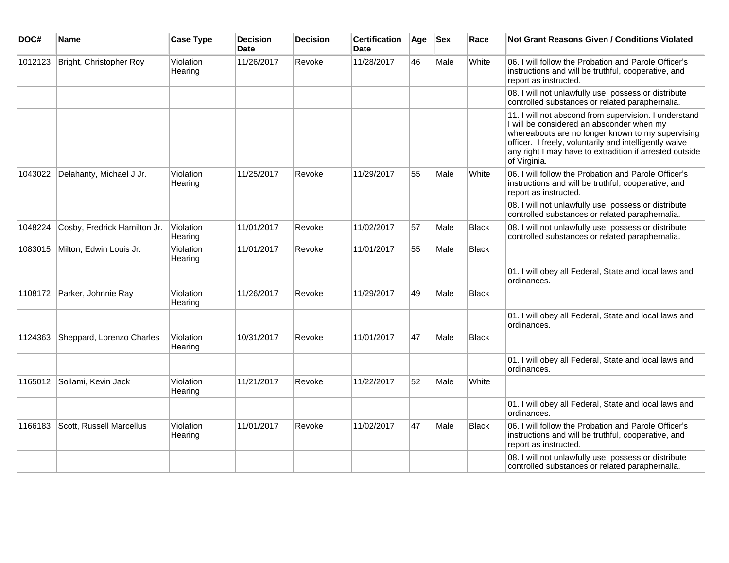| DOC#    | Name                         | <b>Case Type</b>     | <b>Decision</b><br><b>Date</b> | <b>Decision</b> | <b>Certification</b><br><b>Date</b> | Age | <b>Sex</b> | Race         | Not Grant Reasons Given / Conditions Violated                                                                                                                                                                                                                                                |
|---------|------------------------------|----------------------|--------------------------------|-----------------|-------------------------------------|-----|------------|--------------|----------------------------------------------------------------------------------------------------------------------------------------------------------------------------------------------------------------------------------------------------------------------------------------------|
| 1012123 | Bright, Christopher Roy      | Violation<br>Hearing | 11/26/2017                     | Revoke          | 11/28/2017                          | 46  | Male       | White        | 06. I will follow the Probation and Parole Officer's<br>instructions and will be truthful, cooperative, and<br>report as instructed.                                                                                                                                                         |
|         |                              |                      |                                |                 |                                     |     |            |              | 08. I will not unlawfully use, possess or distribute<br>controlled substances or related paraphernalia.                                                                                                                                                                                      |
|         |                              |                      |                                |                 |                                     |     |            |              | 11. I will not abscond from supervision. I understand<br>I will be considered an absconder when my<br>whereabouts are no longer known to my supervising<br>officer. I freely, voluntarily and intelligently waive<br>any right I may have to extradition if arrested outside<br>of Virginia. |
| 1043022 | Delahanty, Michael J Jr.     | Violation<br>Hearing | 11/25/2017                     | Revoke          | 11/29/2017                          | 55  | Male       | White        | 06. I will follow the Probation and Parole Officer's<br>instructions and will be truthful, cooperative, and<br>report as instructed.                                                                                                                                                         |
|         |                              |                      |                                |                 |                                     |     |            |              | 08. I will not unlawfully use, possess or distribute<br>controlled substances or related paraphernalia.                                                                                                                                                                                      |
| 1048224 | Cosby, Fredrick Hamilton Jr. | Violation<br>Hearing | 11/01/2017                     | Revoke          | 11/02/2017                          | 57  | Male       | Black        | 08. I will not unlawfully use, possess or distribute<br>controlled substances or related paraphernalia.                                                                                                                                                                                      |
| 1083015 | Milton, Edwin Louis Jr.      | Violation<br>Hearing | 11/01/2017                     | Revoke          | 11/01/2017                          | 55  | Male       | <b>Black</b> |                                                                                                                                                                                                                                                                                              |
|         |                              |                      |                                |                 |                                     |     |            |              | 01. I will obey all Federal, State and local laws and<br>ordinances.                                                                                                                                                                                                                         |
| 1108172 | Parker, Johnnie Ray          | Violation<br>Hearing | 11/26/2017                     | Revoke          | 11/29/2017                          | 49  | Male       | <b>Black</b> |                                                                                                                                                                                                                                                                                              |
|         |                              |                      |                                |                 |                                     |     |            |              | 01. I will obey all Federal, State and local laws and<br>ordinances.                                                                                                                                                                                                                         |
| 1124363 | Sheppard, Lorenzo Charles    | Violation<br>Hearing | 10/31/2017                     | Revoke          | 11/01/2017                          | 47  | Male       | Black        |                                                                                                                                                                                                                                                                                              |
|         |                              |                      |                                |                 |                                     |     |            |              | 01. I will obey all Federal, State and local laws and<br>ordinances.                                                                                                                                                                                                                         |
| 1165012 | Sollami, Kevin Jack          | Violation<br>Hearing | 11/21/2017                     | Revoke          | 11/22/2017                          | 52  | Male       | White        |                                                                                                                                                                                                                                                                                              |
|         |                              |                      |                                |                 |                                     |     |            |              | 01. I will obey all Federal, State and local laws and<br>ordinances.                                                                                                                                                                                                                         |
| 1166183 | Scott, Russell Marcellus     | Violation<br>Hearing | 11/01/2017                     | Revoke          | 11/02/2017                          | 47  | Male       | <b>Black</b> | 06. I will follow the Probation and Parole Officer's<br>instructions and will be truthful, cooperative, and<br>report as instructed.                                                                                                                                                         |
|         |                              |                      |                                |                 |                                     |     |            |              | 08. I will not unlawfully use, possess or distribute<br>controlled substances or related paraphernalia.                                                                                                                                                                                      |